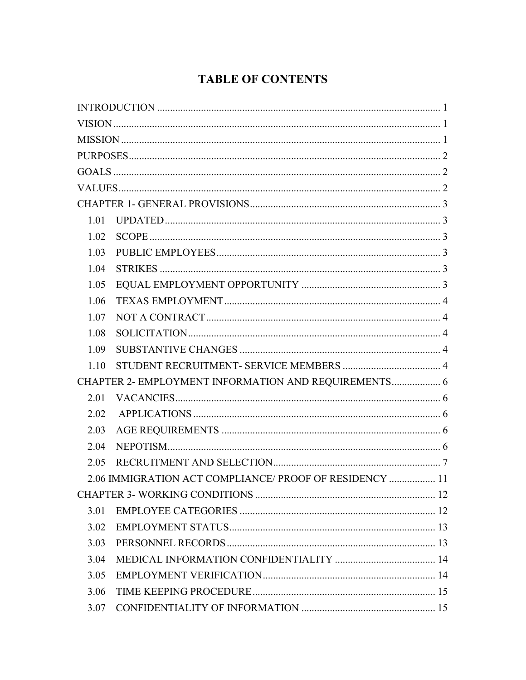## **TABLE OF CONTENTS**

| 1.01                                                 |                                                         |  |
|------------------------------------------------------|---------------------------------------------------------|--|
| 1.02                                                 |                                                         |  |
| 1.03                                                 |                                                         |  |
| 1.04                                                 |                                                         |  |
| 1.05                                                 |                                                         |  |
| 1.06                                                 |                                                         |  |
| 1.07                                                 |                                                         |  |
| 1.08                                                 |                                                         |  |
| 1.09                                                 |                                                         |  |
| 1.10                                                 |                                                         |  |
| CHAPTER 2- EMPLOYMENT INFORMATION AND REQUIREMENTS 6 |                                                         |  |
| 2.01                                                 |                                                         |  |
| 2.02                                                 |                                                         |  |
| 2.03                                                 |                                                         |  |
| 2.04                                                 |                                                         |  |
| 2.05                                                 |                                                         |  |
|                                                      | 2.06 IMMIGRATION ACT COMPLIANCE/ PROOF OF RESIDENCY  11 |  |
|                                                      |                                                         |  |
| 3.01                                                 |                                                         |  |
| 3.02                                                 |                                                         |  |
| 3.03                                                 |                                                         |  |
| 3.04                                                 |                                                         |  |
| 3.05                                                 |                                                         |  |
| 3.06                                                 |                                                         |  |
| 3.07                                                 |                                                         |  |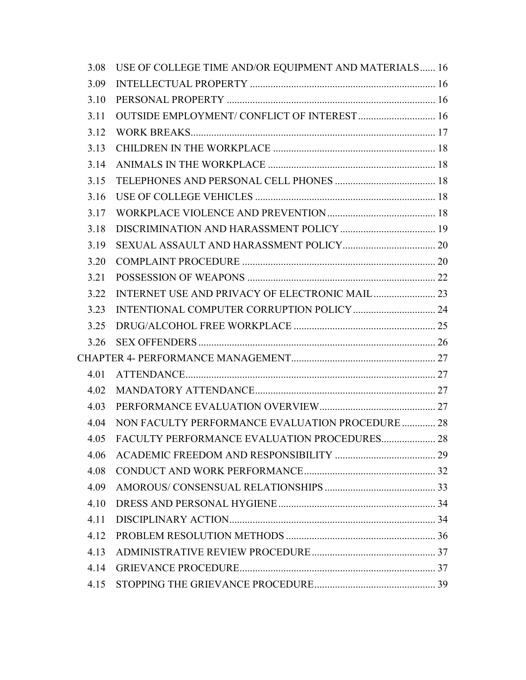| 3.08 | USE OF COLLEGE TIME AND/OR EQUIPMENT AND MATERIALS 16 |  |
|------|-------------------------------------------------------|--|
| 3.09 |                                                       |  |
| 3.10 |                                                       |  |
| 3.11 | OUTSIDE EMPLOYMENT/ CONFLICT OF INTEREST  16          |  |
| 3.12 |                                                       |  |
| 3.13 |                                                       |  |
| 3.14 |                                                       |  |
| 3.15 |                                                       |  |
| 3.16 |                                                       |  |
| 3.17 |                                                       |  |
| 3.18 |                                                       |  |
| 3.19 |                                                       |  |
| 3.20 |                                                       |  |
| 3.21 |                                                       |  |
| 3.22 |                                                       |  |
| 3.23 |                                                       |  |
| 3.25 |                                                       |  |
| 3.26 |                                                       |  |
|      |                                                       |  |
| 4.01 |                                                       |  |
| 4.02 |                                                       |  |
| 4.03 |                                                       |  |
| 4.04 | NON FACULTY PERFORMANCE EVALUATION PROCEDURE  28      |  |
| 4.05 | FACULTY PERFORMANCE EVALUATION PROCEDURES 28          |  |
| 4.06 |                                                       |  |
| 4.08 |                                                       |  |
| 4.09 |                                                       |  |
| 4.10 |                                                       |  |
| 4.11 |                                                       |  |
| 4.12 |                                                       |  |
| 4.13 |                                                       |  |
| 4.14 |                                                       |  |
| 4.15 |                                                       |  |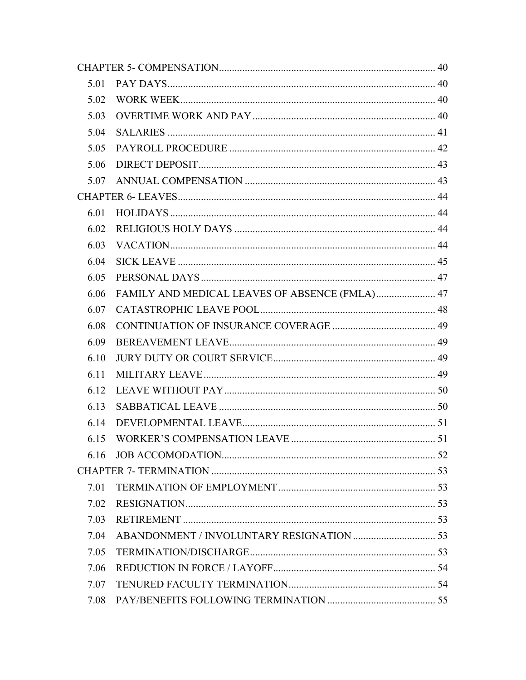| 5.01 |                                                |  |
|------|------------------------------------------------|--|
| 5.02 |                                                |  |
| 5.03 |                                                |  |
| 5.04 |                                                |  |
| 5.05 |                                                |  |
| 5.06 |                                                |  |
| 5.07 |                                                |  |
|      |                                                |  |
| 6.01 |                                                |  |
| 6.02 |                                                |  |
| 6.03 |                                                |  |
| 6.04 |                                                |  |
| 6.05 |                                                |  |
| 6.06 | FAMILY AND MEDICAL LEAVES OF ABSENCE (FMLA) 47 |  |
| 6.07 |                                                |  |
| 6.08 |                                                |  |
| 6.09 |                                                |  |
| 6.10 |                                                |  |
| 6.11 |                                                |  |
| 6.12 |                                                |  |
| 6.13 |                                                |  |
| 6.14 |                                                |  |
| 6.15 |                                                |  |
| 6.16 |                                                |  |
|      |                                                |  |
| 7.01 |                                                |  |
| 7.02 |                                                |  |
| 7.03 |                                                |  |
| 7.04 |                                                |  |
| 7.05 |                                                |  |
| 7.06 |                                                |  |
| 7.07 |                                                |  |
| 7.08 |                                                |  |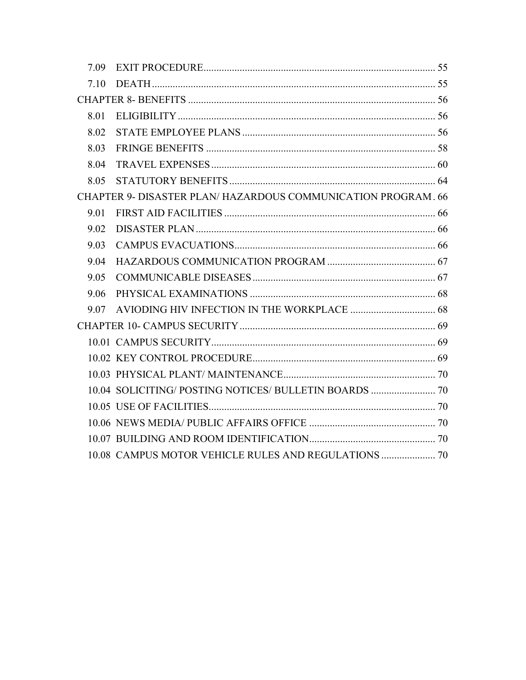| 7.10 |                                                              |  |
|------|--------------------------------------------------------------|--|
|      |                                                              |  |
| 8.01 |                                                              |  |
| 8.02 |                                                              |  |
| 8.03 |                                                              |  |
| 8.04 |                                                              |  |
| 8.05 |                                                              |  |
|      | CHAPTER 9- DISASTER PLAN/HAZARDOUS COMMUNICATION PROGRAM. 66 |  |
| 9.01 |                                                              |  |
| 9.02 |                                                              |  |
| 9.03 |                                                              |  |
| 9.04 |                                                              |  |
| 9.05 |                                                              |  |
| 9.06 |                                                              |  |
|      |                                                              |  |
|      |                                                              |  |
|      |                                                              |  |
|      |                                                              |  |
|      |                                                              |  |
|      | 10.04 SOLICITING/POSTING NOTICES/BULLETIN BOARDS  70         |  |
|      |                                                              |  |
|      |                                                              |  |
|      |                                                              |  |
|      |                                                              |  |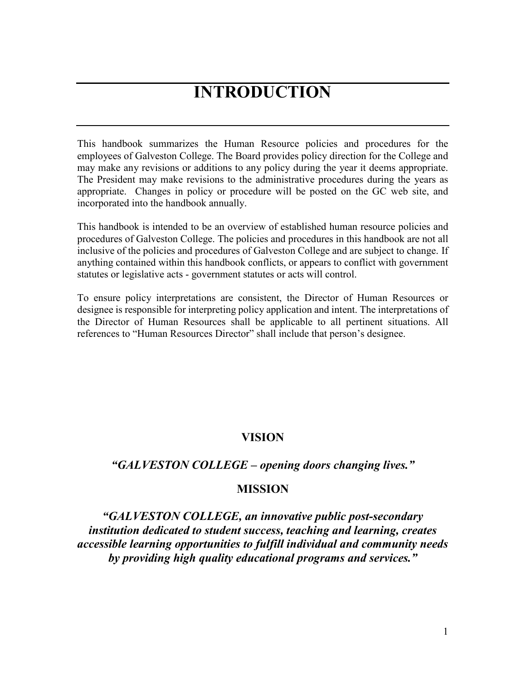# **INTRODUCTION**

<span id="page-4-0"></span>This handbook summarizes the Human Resource policies and procedures for the employees of Galveston College. The Board provides policy direction for the College and may make any revisions or additions to any policy during the year it deems appropriate. The President may make revisions to the administrative procedures during the years as appropriate. Changes in policy or procedure will be posted on the GC web site, and incorporated into the handbook annually.

This handbook is intended to be an overview of established human resource policies and procedures of Galveston College. The policies and procedures in this handbook are not all inclusive of the policies and procedures of Galveston College and are subject to change. If anything contained within this handbook conflicts, or appears to conflict with government statutes or legislative acts - government statutes or acts will control.

To ensure policy interpretations are consistent, the Director of Human Resources or designee is responsible for interpreting policy application and intent. The interpretations of the Director of Human Resources shall be applicable to all pertinent situations. All references to "Human Resources Director" shall include that person's designee.

## **VISION**

## <span id="page-4-1"></span>*"GALVESTON COLLEGE – opening doors changing lives."*

## **MISSION**

<span id="page-4-2"></span>*"GALVESTON COLLEGE, an innovative public post-secondary institution dedicated to student success, teaching and learning, creates accessible learning opportunities to fulfill individual and community needs by providing high quality educational programs and services."*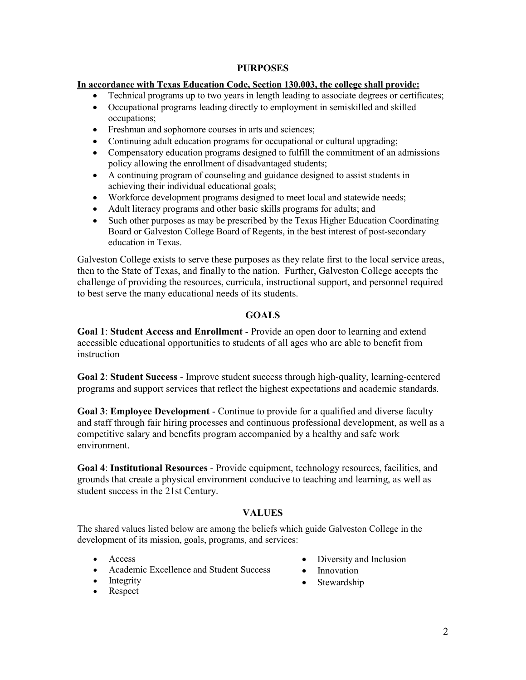## **PURPOSES**

#### <span id="page-5-0"></span>**In accordance with Texas Education Code, Section 130.003, the college shall provide:**

- Technical programs up to two years in length leading to associate degrees or certificates;
- Occupational programs leading directly to employment in semiskilled and skilled occupations;
- Freshman and sophomore courses in arts and sciences;
- Continuing adult education programs for occupational or cultural upgrading;
- Compensatory education programs designed to fulfill the commitment of an admissions policy allowing the enrollment of disadvantaged students;
- A continuing program of counseling and guidance designed to assist students in achieving their individual educational goals;
- Workforce development programs designed to meet local and statewide needs;
- Adult literacy programs and other basic skills programs for adults; and
- Such other purposes as may be prescribed by the Texas Higher Education Coordinating Board or Galveston College Board of Regents, in the best interest of post-secondary education in Texas.

Galveston College exists to serve these purposes as they relate first to the local service areas, then to the State of Texas, and finally to the nation. Further, Galveston College accepts the challenge of providing the resources, curricula, instructional support, and personnel required to best serve the many educational needs of its students.

## **GOALS**

<span id="page-5-1"></span>**Goal 1**: **Student Access and Enrollment** - Provide an open door to learning and extend accessible educational opportunities to students of all ages who are able to benefit from instruction

**Goal 2**: **Student Success** - Improve student success through high-quality, learning-centered programs and support services that reflect the highest expectations and academic standards.

**Goal 3**: **Employee Development** - Continue to provide for a qualified and diverse faculty and staff through fair hiring processes and continuous professional development, as well as a competitive salary and benefits program accompanied by a healthy and safe work environment.

**Goal 4**: **Institutional Resources** - Provide equipment, technology resources, facilities, and grounds that create a physical environment conducive to teaching and learning, as well as student success in the 21st Century.

## **VALUES**

<span id="page-5-2"></span>The shared values listed below are among the beliefs which guide Galveston College in the development of its mission, goals, programs, and services:

- Access
- Academic Excellence and Student Success
- Integrity
- Respect
- Diversity and Inclusion
- Innovation
- Stewardship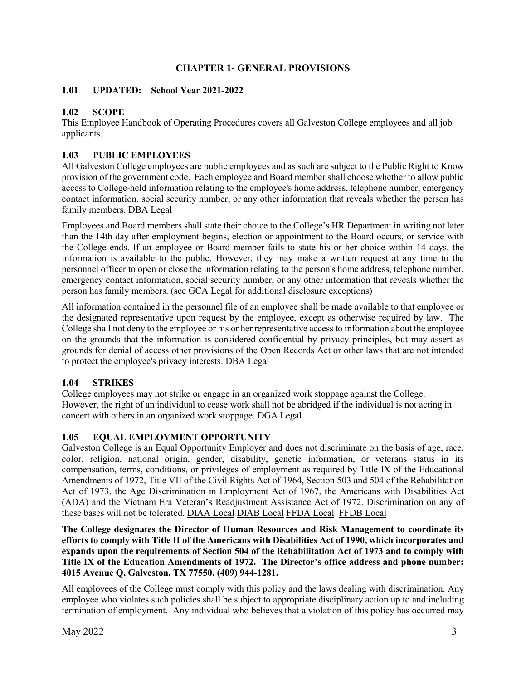## **CHAPTER 1- GENERAL PROVISIONS**

## <span id="page-6-1"></span><span id="page-6-0"></span>**1.01 UPDATED: School Year 2021-2022**

## <span id="page-6-2"></span>**1.02 SCOPE**

This Employee Handbook of Operating Procedures covers all Galveston College employees and all job applicants.

## <span id="page-6-3"></span>**1.03 PUBLIC EMPLOYEES**

All Galveston College employees are public employees and as such are subject to the Public Right to Know provision of the government code. Each employee and Board member shall choose whether to allow public access to College-held information relating to the employee's home address, telephone number, emergency contact information, social security number, or any other information that reveals whether the person has family members. DBA Legal

Employees and Board members shall state their choice to the College's HR Department in writing not later than the 14th day after employment begins, election or appointment to the Board occurs, or service with the College ends. If an employee or Board member fails to state his or her choice within 14 days, the information is available to the public. However, they may make a written request at any time to the personnel officer to open or close the information relating to the person's home address, telephone number, emergency contact information, social security number, or any other information that reveals whether the person has family members. (see GCA Legal for additional disclosure exceptions)

All information contained in the personnel file of an employee shall be made available to that employee or the designated representative upon request by the employee, except as otherwise required by law. The College shall not deny to the employee or his or her representative access to information about the employee on the grounds that the information is considered confidential by privacy principles, but may assert as grounds for denial of access other provisions of the Open Records Act or other laws that are not intended to protect the employee's privacy interests. DBA Legal

## <span id="page-6-4"></span>**1.04 STRIKES**

College employees may not strike or engage in an organized work stoppage against the College. However, the right of an individual to cease work shall not be abridged if the individual is not acting in concert with others in an organized work stoppage. DGA Legal

## <span id="page-6-5"></span>**1.05 EQUAL EMPLOYMENT OPPORTUNITY**

Galveston College is an Equal Opportunity Employer and does not discriminate on the basis of age, race, color, religion, national origin, gender, disability, genetic information, or veterans status in its compensation, terms, conditions, or privileges of employment as required by Title IX of the Educational Amendments of 1972, Title VII of the Civil Rights Act of 1964, Section 503 and 504 of the Rehabilitation Act of 1973, the Age Discrimination in Employment Act of 1967, the Americans with Disabilities Act (ADA) and the Vietnam Era Veteran's Readjustment Assistance Act of 1972. Discrimination on any of these bases will not be tolerated. [DIAA Local](https://gc.edu/wp-content/uploads/2017/04/DIAA-LOCAL-Approved-041217.pdf) DIAB Local [FFDA Local](https://gc.edu/wp-content/uploads/2017/04/FFDA-LOCAL-Approved-041217.pdf) [FFDB Local](https://gc.edu/wp-content/uploads/2017/04/FFDB-LOCAL-Approved-041217.pdf)

**The College designates the Director of Human Resources and Risk Management to coordinate its efforts to comply with Title II of the Americans with Disabilities Act of 1990, which incorporates and expands upon the requirements of Section 504 of the Rehabilitation Act of 1973 and to comply with Title IX of the Education Amendments of 1972. The Director's office address and phone number: 4015 Avenue Q, Galveston, TX 77550, (409) 944-1281.** 

All employees of the College must comply with this policy and the laws dealing with discrimination. Any employee who violates such policies shall be subject to appropriate disciplinary action up to and including termination of employment. Any individual who believes that a violation of this policy has occurred may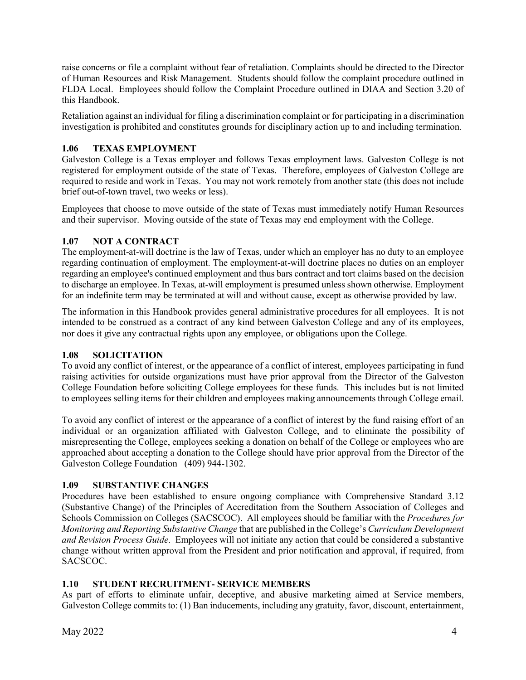raise concerns or file a complaint without fear of retaliation. Complaints should be directed to the Director of Human Resources and Risk Management. Students should follow the complaint procedure outlined in FLDA Local. Employees should follow the Complaint Procedure outlined in DIAA and Section 3.20 of this Handbook.

Retaliation against an individual for filing a discrimination complaint or for participating in a discrimination investigation is prohibited and constitutes grounds for disciplinary action up to and including termination.

## <span id="page-7-0"></span>**1.06 TEXAS EMPLOYMENT**

Galveston College is a Texas employer and follows Texas employment laws. Galveston College is not registered for employment outside of the state of Texas. Therefore, employees of Galveston College are required to reside and work in Texas. You may not work remotely from another state (this does not include brief out-of-town travel, two weeks or less).

Employees that choose to move outside of the state of Texas must immediately notify Human Resources and their supervisor. Moving outside of the state of Texas may end employment with the College.

## <span id="page-7-1"></span>**1.07 NOT A CONTRACT**

The employment-at-will doctrine is the law of Texas, under which an employer has no duty to an employee regarding continuation of employment. The employment-at-will doctrine places no duties on an employer regarding an employee's continued employment and thus bars contract and tort claims based on the decision to discharge an employee. In Texas, at-will employment is presumed unless shown otherwise. Employment for an indefinite term may be terminated at will and without cause, except as otherwise provided by law.

The information in this Handbook provides general administrative procedures for all employees. It is not intended to be construed as a contract of any kind between Galveston College and any of its employees, nor does it give any contractual rights upon any employee, or obligations upon the College.

## <span id="page-7-2"></span>**1.08 SOLICITATION**

To avoid any conflict of interest, or the appearance of a conflict of interest, employees participating in fund raising activities for outside organizations must have prior approval from the Director of the Galveston College Foundation before soliciting College employees for these funds. This includes but is not limited to employees selling items for their children and employees making announcements through College email.

To avoid any conflict of interest or the appearance of a conflict of interest by the fund raising effort of an individual or an organization affiliated with Galveston College, and to eliminate the possibility of misrepresenting the College, employees seeking a donation on behalf of the College or employees who are approached about accepting a donation to the College should have prior approval from the Director of the Galveston College Foundation (409) 944-1302.

## <span id="page-7-3"></span>**1.09 SUBSTANTIVE CHANGES**

Procedures have been established to ensure ongoing compliance with Comprehensive Standard 3.12 (Substantive Change) of the Principles of Accreditation from the Southern Association of Colleges and Schools Commission on Colleges (SACSCOC). All employees should be familiar with the *Procedures for Monitoring and Reporting Substantive Change* that are published in the College's *Curriculum Development and Revision Process Guide*. Employees will not initiate any action that could be considered a substantive change without written approval from the President and prior notification and approval, if required, from SACSCOC.

## <span id="page-7-4"></span>**1.10 STUDENT RECRUITMENT- SERVICE MEMBERS**

As part of efforts to eliminate unfair, deceptive, and abusive marketing aimed at Service members, Galveston College commits to: (1) Ban inducements, including any gratuity, favor, discount, entertainment,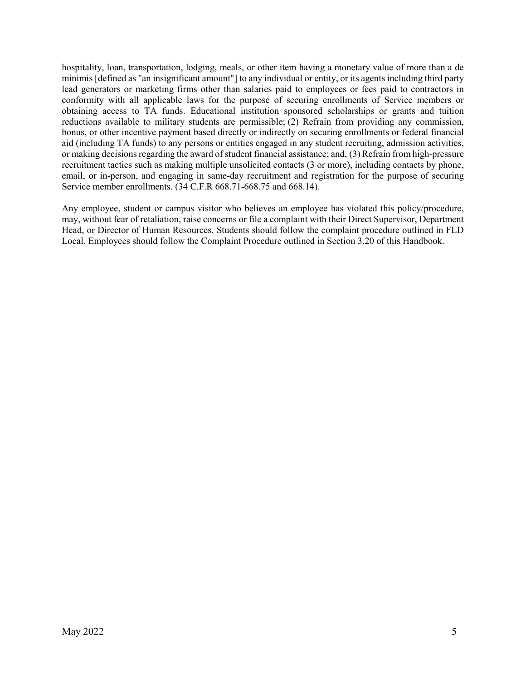hospitality, loan, transportation, lodging, meals, or other item having a monetary value of more than a de minimis [defined as "an insignificant amount"] to any individual or entity, or its agents including third party lead generators or marketing firms other than salaries paid to employees or fees paid to contractors in conformity with all applicable laws for the purpose of securing enrollments of Service members or obtaining access to TA funds. Educational institution sponsored scholarships or grants and tuition reductions available to military students are permissible; (2) Refrain from providing any commission, bonus, or other incentive payment based directly or indirectly on securing enrollments or federal financial aid (including TA funds) to any persons or entities engaged in any student recruiting, admission activities, or making decisions regarding the award of student financial assistance; and, (3) Refrain from high-pressure recruitment tactics such as making multiple unsolicited contacts (3 or more), including contacts by phone, email, or in-person, and engaging in same-day recruitment and registration for the purpose of securing Service member enrollments. (34 C.F.R 668.71-668.75 and 668.14).

Any employee, student or campus visitor who believes an employee has violated this policy/procedure, may, without fear of retaliation, raise concerns or file a complaint with their Direct Supervisor, Department Head, or Director of Human Resources. Students should follow the complaint procedure outlined in FLD Local. Employees should follow the Complaint Procedure outlined in Section 3.20 of this Handbook.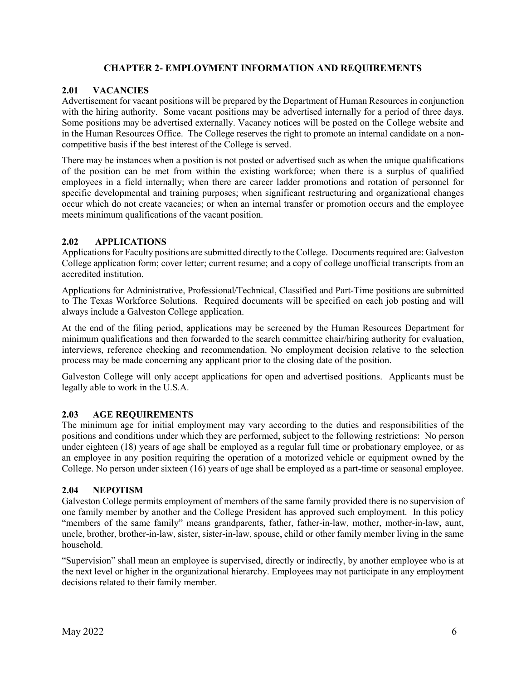## **CHAPTER 2- EMPLOYMENT INFORMATION AND REQUIREMENTS**

#### <span id="page-9-1"></span><span id="page-9-0"></span>**2.01 VACANCIES**

Advertisement for vacant positions will be prepared by the Department of Human Resources in conjunction with the hiring authority. Some vacant positions may be advertised internally for a period of three days. Some positions may be advertised externally. Vacancy notices will be posted on the College website and in the Human Resources Office. The College reserves the right to promote an internal candidate on a noncompetitive basis if the best interest of the College is served.

There may be instances when a position is not posted or advertised such as when the unique qualifications of the position can be met from within the existing workforce; when there is a surplus of qualified employees in a field internally; when there are career ladder promotions and rotation of personnel for specific developmental and training purposes; when significant restructuring and organizational changes occur which do not create vacancies; or when an internal transfer or promotion occurs and the employee meets minimum qualifications of the vacant position.

#### <span id="page-9-2"></span>**2.02 APPLICATIONS**

Applications for Faculty positions are submitted directly to the College. Documents required are: Galveston College application form; cover letter; current resume; and a copy of college unofficial transcripts from an accredited institution.

Applications for Administrative, Professional/Technical, Classified and Part-Time positions are submitted to The Texas Workforce Solutions. Required documents will be specified on each job posting and will always include a Galveston College application.

At the end of the filing period, applications may be screened by the Human Resources Department for minimum qualifications and then forwarded to the search committee chair/hiring authority for evaluation, interviews, reference checking and recommendation. No employment decision relative to the selection process may be made concerning any applicant prior to the closing date of the position.

Galveston College will only accept applications for open and advertised positions. Applicants must be legally able to work in the U.S.A.

#### <span id="page-9-3"></span>**2.03 AGE REQUIREMENTS**

The minimum age for initial employment may vary according to the duties and responsibilities of the positions and conditions under which they are performed, subject to the following restrictions: No person under eighteen (18) years of age shall be employed as a regular full time or probationary employee, or as an employee in any position requiring the operation of a motorized vehicle or equipment owned by the College. No person under sixteen (16) years of age shall be employed as a part-time or seasonal employee.

#### <span id="page-9-4"></span>**2.04 NEPOTISM**

Galveston College permits employment of members of the same family provided there is no supervision of one family member by another and the College President has approved such employment. In this policy "members of the same family" means grandparents, father, father-in-law, mother, mother-in-law, aunt, uncle, brother, brother-in-law, sister, sister-in-law, spouse, child or other family member living in the same household.

"Supervision" shall mean an employee is supervised, directly or indirectly, by another employee who is at the next level or higher in the organizational hierarchy. Employees may not participate in any employment decisions related to their family member.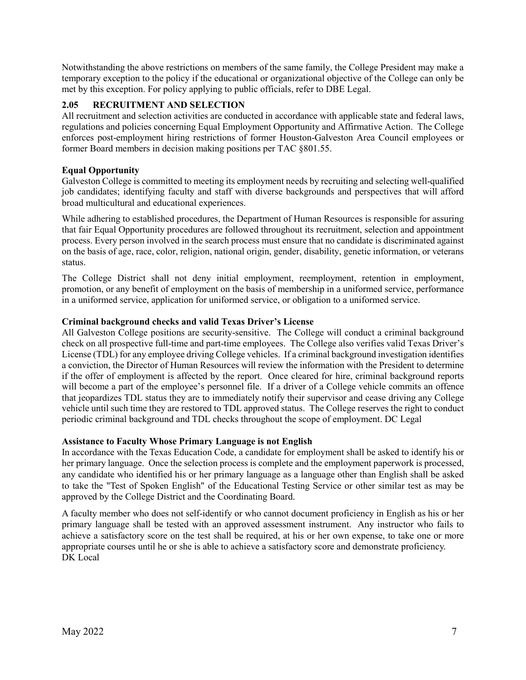Notwithstanding the above restrictions on members of the same family, the College President may make a temporary exception to the policy if the educational or organizational objective of the College can only be met by this exception. For policy applying to public officials, refer to DBE Legal.

## <span id="page-10-0"></span>**2.05 RECRUITMENT AND SELECTION**

All recruitment and selection activities are conducted in accordance with applicable state and federal laws, regulations and policies concerning Equal Employment Opportunity and Affirmative Action. The College enforces post-employment hiring restrictions of former Houston-Galveston Area Council employees or former Board members in decision making positions per TAC §801.55.

#### **Equal Opportunity**

Galveston College is committed to meeting its employment needs by recruiting and selecting well-qualified job candidates; identifying faculty and staff with diverse backgrounds and perspectives that will afford broad multicultural and educational experiences.

While adhering to established procedures, the Department of Human Resources is responsible for assuring that fair Equal Opportunity procedures are followed throughout its recruitment, selection and appointment process. Every person involved in the search process must ensure that no candidate is discriminated against on the basis of age, race, color, religion, national origin, gender, disability, genetic information, or veterans status.

The College District shall not deny initial employment, reemployment, retention in employment, promotion, or any benefit of employment on the basis of membership in a uniformed service, performance in a uniformed service, application for uniformed service, or obligation to a uniformed service.

#### **Criminal background checks and valid Texas Driver's License**

All Galveston College positions are security-sensitive. The College will conduct a criminal background check on all prospective full-time and part-time employees. The College also verifies valid Texas Driver's License (TDL) for any employee driving College vehicles. If a criminal background investigation identifies a conviction, the Director of Human Resources will review the information with the President to determine if the offer of employment is affected by the report. Once cleared for hire, criminal background reports will become a part of the employee's personnel file. If a driver of a College vehicle commits an offence that jeopardizes TDL status they are to immediately notify their supervisor and cease driving any College vehicle until such time they are restored to TDL approved status. The College reserves the right to conduct periodic criminal background and TDL checks throughout the scope of employment. DC Legal

## **Assistance to Faculty Whose Primary Language is not English**

In accordance with the Texas Education Code, a candidate for employment shall be asked to identify his or her primary language. Once the selection process is complete and the employment paperwork is processed, any candidate who identified his or her primary language as a language other than English shall be asked to take the "Test of Spoken English" of the Educational Testing Service or other similar test as may be approved by the College District and the Coordinating Board.

A faculty member who does not self-identify or who cannot document proficiency in English as his or her primary language shall be tested with an approved assessment instrument. Any instructor who fails to achieve a satisfactory score on the test shall be required, at his or her own expense, to take one or more appropriate courses until he or she is able to achieve a satisfactory score and demonstrate proficiency. DK Local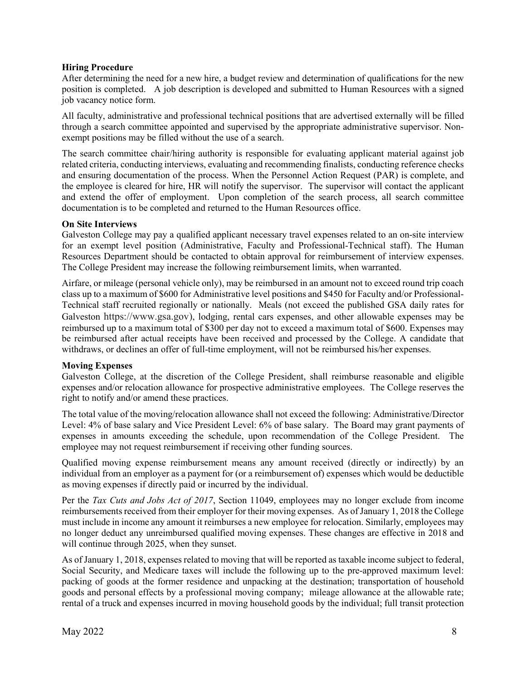#### **Hiring Procedure**

After determining the need for a new hire, a budget review and determination of qualifications for the new position is completed. A job description is developed and submitted to Human Resources with a signed job vacancy notice form.

All faculty, administrative and professional technical positions that are advertised externally will be filled through a search committee appointed and supervised by the appropriate administrative supervisor. Nonexempt positions may be filled without the use of a search.

The search committee chair/hiring authority is responsible for evaluating applicant material against job related criteria, conducting interviews, evaluating and recommending finalists, conducting reference checks and ensuring documentation of the process. When the Personnel Action Request (PAR) is complete, and the employee is cleared for hire, HR will notify the supervisor. The supervisor will contact the applicant and extend the offer of employment. Upon completion of the search process, all search committee documentation is to be completed and returned to the Human Resources office.

#### **On Site Interviews**

Galveston College may pay a qualified applicant necessary travel expenses related to an on-site interview for an exempt level position (Administrative, Faculty and Professional-Technical staff). The Human Resources Department should be contacted to obtain approval for reimbursement of interview expenses. The College President may increase the following reimbursement limits, when warranted.

Airfare, or mileage (personal vehicle only), may be reimbursed in an amount not to exceed round trip coach class up to a maximum of \$600 for Administrative level positions and \$450 for Faculty and/or Professional-Technical staff recruited regionally or nationally. Meals (not exceed the published GSA daily rates for Galveston https://www.gsa.gov), lodging, rental cars expenses, and other allowable expenses may be reimbursed up to a maximum total of \$300 per day not to exceed a maximum total of \$600. Expenses may be reimbursed after actual receipts have been received and processed by the College. A candidate that withdraws, or declines an offer of full-time employment, will not be reimbursed his/her expenses.

#### **Moving Expenses**

Galveston College, at the discretion of the College President, shall reimburse reasonable and eligible expenses and/or relocation allowance for prospective administrative employees. The College reserves the right to notify and/or amend these practices.

The total value of the moving/relocation allowance shall not exceed the following: Administrative/Director Level: 4% of base salary and Vice President Level: 6% of base salary. The Board may grant payments of expenses in amounts exceeding the schedule, upon recommendation of the College President. The employee may not request reimbursement if receiving other funding sources.

Qualified moving expense reimbursement means any amount received (directly or indirectly) by an individual from an employer as a payment for (or a reimbursement of) expenses which would be deductible as moving expenses if directly paid or incurred by the individual.

Per the *Tax Cuts and Jobs Act of 2017*, Section 11049, employees may no longer exclude from income reimbursements received from their employer for their moving expenses. As of January 1, 2018 the College must include in income any amount it reimburses a new employee for relocation. Similarly, employees may no longer deduct any unreimbursed qualified moving expenses. These changes are effective in 2018 and will continue through 2025, when they sunset.

As of January 1, 2018, expenses related to moving that will be reported as taxable income subject to federal, Social Security, and Medicare taxes will include the following up to the pre-approved maximum level: packing of goods at the former residence and unpacking at the destination; transportation of household goods and personal effects by a professional moving company; mileage allowance at the allowable rate; rental of a truck and expenses incurred in moving household goods by the individual; full transit protection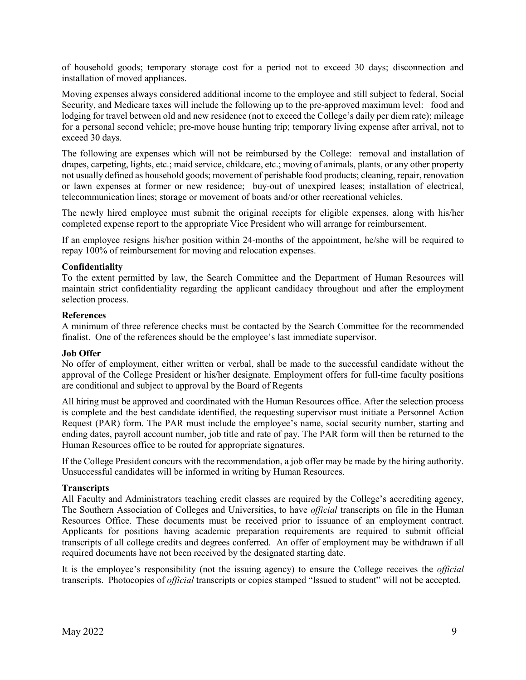of household goods; temporary storage cost for a period not to exceed 30 days; disconnection and installation of moved appliances.

Moving expenses always considered additional income to the employee and still subject to federal, Social Security, and Medicare taxes will include the following up to the pre-approved maximum level: food and lodging for travel between old and new residence (not to exceed the College's daily per diem rate); mileage for a personal second vehicle; pre-move house hunting trip; temporary living expense after arrival, not to exceed 30 days.

The following are expenses which will not be reimbursed by the College: removal and installation of drapes, carpeting, lights, etc.; maid service, childcare, etc.; moving of animals, plants, or any other property not usually defined as household goods; movement of perishable food products; cleaning, repair, renovation or lawn expenses at former or new residence; buy-out of unexpired leases; installation of electrical, telecommunication lines; storage or movement of boats and/or other recreational vehicles.

The newly hired employee must submit the original receipts for eligible expenses, along with his/her completed expense report to the appropriate Vice President who will arrange for reimbursement.

If an employee resigns his/her position within 24-months of the appointment, he/she will be required to repay 100% of reimbursement for moving and relocation expenses.

#### **Confidentiality**

To the extent permitted by law, the Search Committee and the Department of Human Resources will maintain strict confidentiality regarding the applicant candidacy throughout and after the employment selection process.

#### **References**

A minimum of three reference checks must be contacted by the Search Committee for the recommended finalist. One of the references should be the employee's last immediate supervisor.

#### **Job Offer**

No offer of employment, either written or verbal, shall be made to the successful candidate without the approval of the College President or his/her designate. Employment offers for full-time faculty positions are conditional and subject to approval by the Board of Regents

All hiring must be approved and coordinated with the Human Resources office. After the selection process is complete and the best candidate identified, the requesting supervisor must initiate a Personnel Action Request (PAR) form. The PAR must include the employee's name, social security number, starting and ending dates, payroll account number, job title and rate of pay. The PAR form will then be returned to the Human Resources office to be routed for appropriate signatures.

If the College President concurs with the recommendation, a job offer may be made by the hiring authority. Unsuccessful candidates will be informed in writing by Human Resources.

#### **Transcripts**

All Faculty and Administrators teaching credit classes are required by the College's accrediting agency, The Southern Association of Colleges and Universities, to have *official* transcripts on file in the Human Resources Office. These documents must be received prior to issuance of an employment contract. Applicants for positions having academic preparation requirements are required to submit official transcripts of all college credits and degrees conferred. An offer of employment may be withdrawn if all required documents have not been received by the designated starting date.

It is the employee's responsibility (not the issuing agency) to ensure the College receives the *official* transcripts. Photocopies of *official* transcripts or copies stamped "Issued to student" will not be accepted.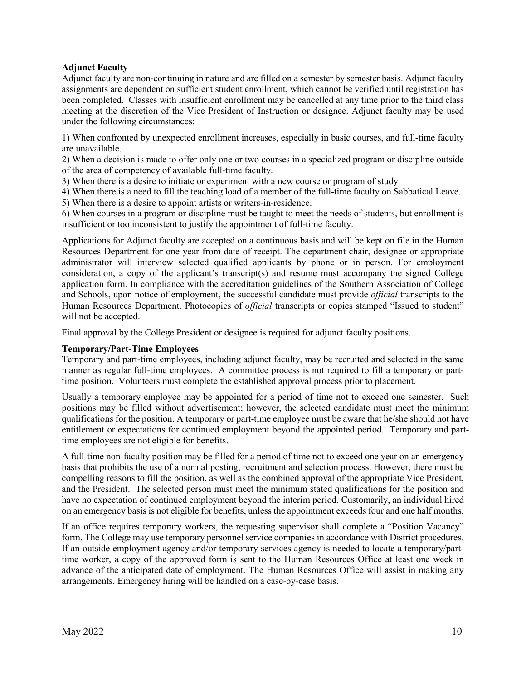## **Adjunct Faculty**

Adjunct faculty are non-continuing in nature and are filled on a semester by semester basis. Adjunct faculty assignments are dependent on sufficient student enrollment, which cannot be verified until registration has been completed. Classes with insufficient enrollment may be cancelled at any time prior to the third class meeting at the discretion of the Vice President of Instruction or designee. Adjunct faculty may be used under the following circumstances:

1) When confronted by unexpected enrollment increases, especially in basic courses, and full-time faculty are unavailable.

2) When a decision is made to offer only one or two courses in a specialized program or discipline outside of the area of competency of available full-time faculty.

3) When there is a desire to initiate or experiment with a new course or program of study.

4) When there is a need to fill the teaching load of a member of the full-time faculty on Sabbatical Leave.

5) When there is a desire to appoint artists or writers-in-residence.

6) When courses in a program or discipline must be taught to meet the needs of students, but enrollment is insufficient or too inconsistent to justify the appointment of full-time faculty.

Applications for Adjunct faculty are accepted on a continuous basis and will be kept on file in the Human Resources Department for one year from date of receipt. The department chair, designee or appropriate administrator will interview selected qualified applicants by phone or in person. For employment consideration, a copy of the applicant's transcript(s) and resume must accompany the signed College application form. In compliance with the accreditation guidelines of the Southern Association of College and Schools, upon notice of employment, the successful candidate must provide *official* transcripts to the Human Resources Department. Photocopies of *official* transcripts or copies stamped "Issued to student" will not be accepted.

Final approval by the College President or designee is required for adjunct faculty positions.

#### **Temporary/Part-Time Employees**

Temporary and part-time employees, including adjunct faculty, may be recruited and selected in the same manner as regular full-time employees. A committee process is not required to fill a temporary or parttime position. Volunteers must complete the established approval process prior to placement.

Usually a temporary employee may be appointed for a period of time not to exceed one semester. Such positions may be filled without advertisement; however, the selected candidate must meet the minimum qualifications for the position. A temporary or part-time employee must be aware that he/she should not have entitlement or expectations for continued employment beyond the appointed period. Temporary and parttime employees are not eligible for benefits.

A full-time non-faculty position may be filled for a period of time not to exceed one year on an emergency basis that prohibits the use of a normal posting, recruitment and selection process. However, there must be compelling reasons to fill the position, as well as the combined approval of the appropriate Vice President, and the President. The selected person must meet the minimum stated qualifications for the position and have no expectation of continued employment beyond the interim period. Customarily, an individual hired on an emergency basis is not eligible for benefits, unless the appointment exceeds four and one half months.

If an office requires temporary workers, the requesting supervisor shall complete a "Position Vacancy" form. The College may use temporary personnel service companies in accordance with District procedures. If an outside employment agency and/or temporary services agency is needed to locate a temporary/parttime worker, a copy of the approved form is sent to the Human Resources Office at least one week in advance of the anticipated date of employment. The Human Resources Office will assist in making any arrangements. Emergency hiring will be handled on a case-by-case basis.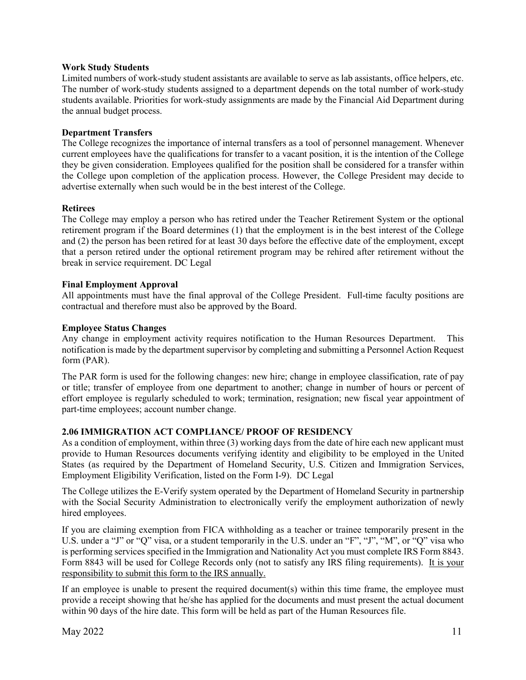#### **Work Study Students**

Limited numbers of work-study student assistants are available to serve as lab assistants, office helpers, etc. The number of work-study students assigned to a department depends on the total number of work-study students available. Priorities for work-study assignments are made by the Financial Aid Department during the annual budget process.

#### **Department Transfers**

The College recognizes the importance of internal transfers as a tool of personnel management. Whenever current employees have the qualifications for transfer to a vacant position, it is the intention of the College they be given consideration. Employees qualified for the position shall be considered for a transfer within the College upon completion of the application process. However, the College President may decide to advertise externally when such would be in the best interest of the College.

#### **Retirees**

The College may employ a person who has retired under the Teacher Retirement System or the optional retirement program if the Board determines (1) that the employment is in the best interest of the College and (2) the person has been retired for at least 30 days before the effective date of the employment, except that a person retired under the optional retirement program may be rehired after retirement without the break in service requirement. DC Legal

#### **Final Employment Approval**

All appointments must have the final approval of the College President. Full-time faculty positions are contractual and therefore must also be approved by the Board.

#### **Employee Status Changes**

Any change in employment activity requires notification to the Human Resources Department. This notification is made by the department supervisor by completing and submitting a Personnel Action Request form (PAR).

The PAR form is used for the following changes: new hire; change in employee classification, rate of pay or title; transfer of employee from one department to another; change in number of hours or percent of effort employee is regularly scheduled to work; termination, resignation; new fiscal year appointment of part-time employees; account number change.

#### <span id="page-14-0"></span>**2.06 IMMIGRATION ACT COMPLIANCE/ PROOF OF RESIDENCY**

As a condition of employment, within three (3) working days from the date of hire each new applicant must provide to Human Resources documents verifying identity and eligibility to be employed in the United States (as required by the Department of Homeland Security, U.S. Citizen and Immigration Services, Employment Eligibility Verification, listed on the Form I-9). DC Legal

The College utilizes the E-Verify system operated by the Department of Homeland Security in partnership with the Social Security Administration to electronically verify the employment authorization of newly hired employees.

If you are claiming exemption from FICA withholding as a teacher or trainee temporarily present in the U.S. under a "J" or "Q" visa, or a student temporarily in the U.S. under an "F", "J", "M", or "Q" visa who is performing services specified in the Immigration and Nationality Act you must complete IRS Form 8843. Form 8843 will be used for College Records only (not to satisfy any IRS filing requirements). It is your responsibility to submit this form to the IRS annually.

If an employee is unable to present the required document(s) within this time frame, the employee must provide a receipt showing that he/she has applied for the documents and must present the actual document within 90 days of the hire date. This form will be held as part of the Human Resources file.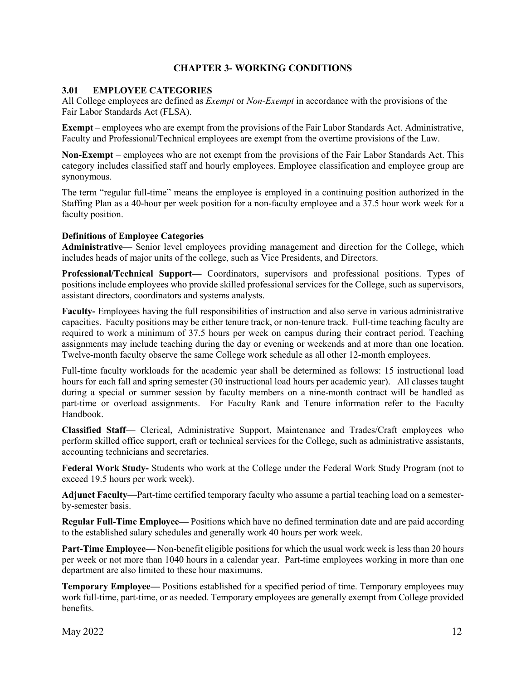## **CHAPTER 3- WORKING CONDITIONS**

## <span id="page-15-1"></span><span id="page-15-0"></span>**3.01 EMPLOYEE CATEGORIES**

All College employees are defined as *Exempt* or *Non-Exempt* in accordance with the provisions of the Fair Labor Standards Act (FLSA).

**Exempt** – employees who are exempt from the provisions of the Fair Labor Standards Act. Administrative, Faculty and Professional/Technical employees are exempt from the overtime provisions of the Law.

**Non-Exempt** – employees who are not exempt from the provisions of the Fair Labor Standards Act. This category includes classified staff and hourly employees. Employee classification and employee group are synonymous.

The term "regular full-time" means the employee is employed in a continuing position authorized in the Staffing Plan as a 40-hour per week position for a non-faculty employee and a 37.5 hour work week for a faculty position.

#### **Definitions of Employee Categories**

**Administrative—** Senior level employees providing management and direction for the College, which includes heads of major units of the college, such as Vice Presidents, and Directors.

**Professional/Technical Support—** Coordinators, supervisors and professional positions. Types of positions include employees who provide skilled professional services for the College, such as supervisors, assistant directors, coordinators and systems analysts.

**Faculty-** Employees having the full responsibilities of instruction and also serve in various administrative capacities. Faculty positions may be either tenure track, or non-tenure track. Full-time teaching faculty are required to work a minimum of 37.5 hours per week on campus during their contract period. Teaching assignments may include teaching during the day or evening or weekends and at more than one location. Twelve-month faculty observe the same College work schedule as all other 12-month employees.

Full-time faculty workloads for the academic year shall be determined as follows: 15 instructional load hours for each fall and spring semester (30 instructional load hours per academic year). All classes taught during a special or summer session by faculty members on a nine-month contract will be handled as part-time or overload assignments. For Faculty Rank and Tenure information refer to the Faculty Handbook.

**Classified Staff—** Clerical, Administrative Support, Maintenance and Trades/Craft employees who perform skilled office support, craft or technical services for the College, such as administrative assistants, accounting technicians and secretaries.

**Federal Work Study-** Students who work at the College under the Federal Work Study Program (not to exceed 19.5 hours per work week).

**Adjunct Faculty—**Part-time certified temporary faculty who assume a partial teaching load on a semesterby-semester basis.

**Regular Full-Time Employee—** Positions which have no defined termination date and are paid according to the established salary schedules and generally work 40 hours per work week.

**Part-Time Employee—** Non-benefit eligible positions for which the usual work week is less than 20 hours per week or not more than 1040 hours in a calendar year. Part-time employees working in more than one department are also limited to these hour maximums.

**Temporary Employee—** Positions established for a specified period of time. Temporary employees may work full-time, part-time, or as needed. Temporary employees are generally exempt from College provided benefits.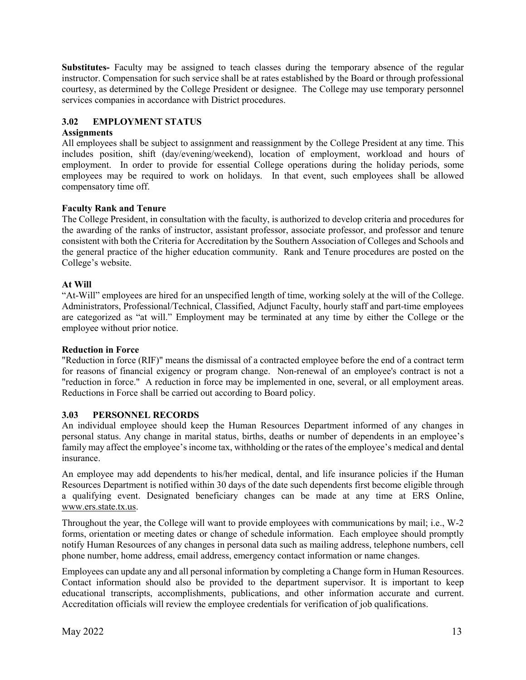**Substitutes-** Faculty may be assigned to teach classes during the temporary absence of the regular instructor. Compensation for such service shall be at rates established by the Board or through professional courtesy, as determined by the College President or designee. The College may use temporary personnel services companies in accordance with District procedures.

## <span id="page-16-0"></span>**3.02 EMPLOYMENT STATUS**

#### **Assignments**

All employees shall be subject to assignment and reassignment by the College President at any time. This includes position, shift (day/evening/weekend), location of employment, workload and hours of employment. In order to provide for essential College operations during the holiday periods, some employees may be required to work on holidays. In that event, such employees shall be allowed compensatory time off.

#### **Faculty Rank and Tenure**

The College President, in consultation with the faculty, is authorized to develop criteria and procedures for the awarding of the ranks of instructor, assistant professor, associate professor, and professor and tenure consistent with both the Criteria for Accreditation by the Southern Association of Colleges and Schools and the general practice of the higher education community. Rank and Tenure procedures are posted on the College's website.

#### **At Will**

"At-Will" employees are hired for an unspecified length of time, working solely at the will of the College. Administrators, Professional/Technical, Classified, Adjunct Faculty, hourly staff and part-time employees are categorized as "at will." Employment may be terminated at any time by either the College or the employee without prior notice.

#### **Reduction in Force**

"Reduction in force (RIF)" means the dismissal of a contracted employee before the end of a contract term for reasons of financial exigency or program change. Non-renewal of an employee's contract is not a "reduction in force." A reduction in force may be implemented in one, several, or all employment areas. Reductions in Force shall be carried out according to Board policy.

## <span id="page-16-1"></span>**3.03 PERSONNEL RECORDS**

An individual employee should keep the Human Resources Department informed of any changes in personal status. Any change in marital status, births, deaths or number of dependents in an employee's family may affect the employee's income tax, withholding or the rates of the employee's medical and dental insurance.

An employee may add dependents to his/her medical, dental, and life insurance policies if the Human Resources Department is notified within 30 days of the date such dependents first become eligible through a qualifying event. Designated beneficiary changes can be made at any time at ERS Online, www.ers.state.tx.us.

Throughout the year, the College will want to provide employees with communications by mail; i.e., W-2 forms, orientation or meeting dates or change of schedule information. Each employee should promptly notify Human Resources of any changes in personal data such as mailing address, telephone numbers, cell phone number, home address, email address, emergency contact information or name changes.

Employees can update any and all personal information by completing a Change form in Human Resources. Contact information should also be provided to the department supervisor. It is important to keep educational transcripts, accomplishments, publications, and other information accurate and current. Accreditation officials will review the employee credentials for verification of job qualifications.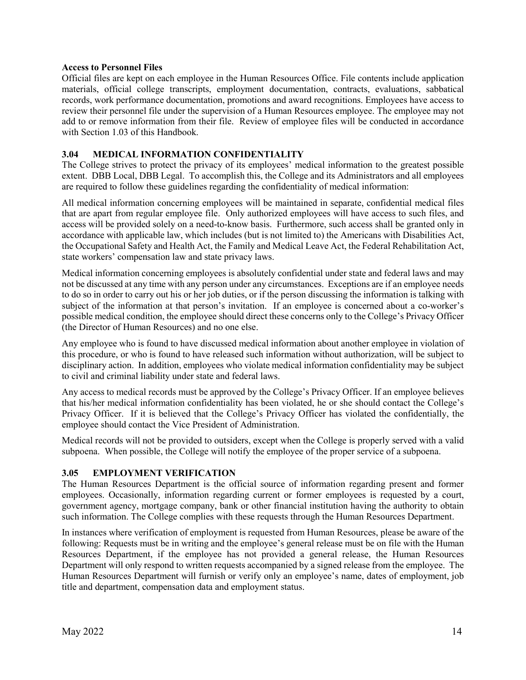#### **Access to Personnel Files**

Official files are kept on each employee in the Human Resources Office. File contents include application materials, official college transcripts, employment documentation, contracts, evaluations, sabbatical records, work performance documentation, promotions and award recognitions. Employees have access to review their personnel file under the supervision of a Human Resources employee. The employee may not add to or remove information from their file. Review of employee files will be conducted in accordance with Section 1.03 of this Handbook.

## <span id="page-17-0"></span>**3.04 MEDICAL INFORMATION CONFIDENTIALITY**

The College strives to protect the privacy of its employees' medical information to the greatest possible extent. DBB Local, DBB Legal. To accomplish this, the College and its Administrators and all employees are required to follow these guidelines regarding the confidentiality of medical information:

All medical information concerning employees will be maintained in separate, confidential medical files that are apart from regular employee file. Only authorized employees will have access to such files, and access will be provided solely on a need-to-know basis. Furthermore, such access shall be granted only in accordance with applicable law, which includes (but is not limited to) the Americans with Disabilities Act, the Occupational Safety and Health Act, the Family and Medical Leave Act, the Federal Rehabilitation Act, state workers' compensation law and state privacy laws.

Medical information concerning employees is absolutely confidential under state and federal laws and may not be discussed at any time with any person under any circumstances. Exceptions are if an employee needs to do so in order to carry out his or her job duties, or if the person discussing the information is talking with subject of the information at that person's invitation. If an employee is concerned about a co-worker's possible medical condition, the employee should direct these concerns only to the College's Privacy Officer (the Director of Human Resources) and no one else.

Any employee who is found to have discussed medical information about another employee in violation of this procedure, or who is found to have released such information without authorization, will be subject to disciplinary action. In addition, employees who violate medical information confidentiality may be subject to civil and criminal liability under state and federal laws.

Any access to medical records must be approved by the College's Privacy Officer. If an employee believes that his/her medical information confidentiality has been violated, he or she should contact the College's Privacy Officer. If it is believed that the College's Privacy Officer has violated the confidentially, the employee should contact the Vice President of Administration.

Medical records will not be provided to outsiders, except when the College is properly served with a valid subpoena. When possible, the College will notify the employee of the proper service of a subpoena.

#### <span id="page-17-1"></span>**3.05 EMPLOYMENT VERIFICATION**

The Human Resources Department is the official source of information regarding present and former employees. Occasionally, information regarding current or former employees is requested by a court, government agency, mortgage company, bank or other financial institution having the authority to obtain such information. The College complies with these requests through the Human Resources Department.

In instances where verification of employment is requested from Human Resources, please be aware of the following: Requests must be in writing and the employee's general release must be on file with the Human Resources Department, if the employee has not provided a general release, the Human Resources Department will only respond to written requests accompanied by a signed release from the employee. The Human Resources Department will furnish or verify only an employee's name, dates of employment, job title and department, compensation data and employment status.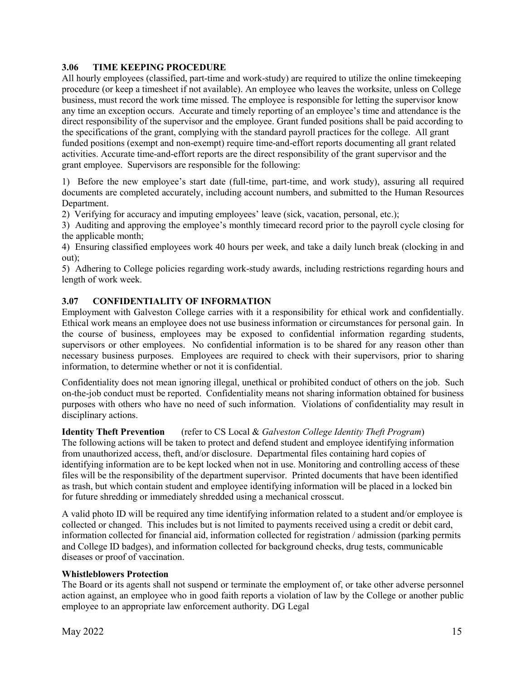## <span id="page-18-0"></span>**3.06 TIME KEEPING PROCEDURE**

All hourly employees (classified, part-time and work-study) are required to utilize the online timekeeping procedure (or keep a timesheet if not available). An employee who leaves the worksite, unless on College business, must record the work time missed. The employee is responsible for letting the supervisor know any time an exception occurs. Accurate and timely reporting of an employee's time and attendance is the direct responsibility of the supervisor and the employee. Grant funded positions shall be paid according to the specifications of the grant, complying with the standard payroll practices for the college. All grant funded positions (exempt and non-exempt) require time-and-effort reports documenting all grant related activities. Accurate time-and-effort reports are the direct responsibility of the grant supervisor and the grant employee. Supervisors are responsible for the following:

1) Before the new employee's start date (full-time, part-time, and work study), assuring all required documents are completed accurately, including account numbers, and submitted to the Human Resources Department.

2) Verifying for accuracy and imputing employees' leave (sick, vacation, personal, etc.);

3) Auditing and approving the employee's monthly timecard record prior to the payroll cycle closing for the applicable month;

4) Ensuring classified employees work 40 hours per week, and take a daily lunch break (clocking in and out);

5) Adhering to College policies regarding work-study awards, including restrictions regarding hours and length of work week.

#### <span id="page-18-1"></span>**3.07 CONFIDENTIALITY OF INFORMATION**

Employment with Galveston College carries with it a responsibility for ethical work and confidentially. Ethical work means an employee does not use business information or circumstances for personal gain. In the course of business, employees may be exposed to confidential information regarding students, supervisors or other employees. No confidential information is to be shared for any reason other than necessary business purposes. Employees are required to check with their supervisors, prior to sharing information, to determine whether or not it is confidential.

Confidentiality does not mean ignoring illegal, unethical or prohibited conduct of others on the job. Such on-the-job conduct must be reported. Confidentiality means not sharing information obtained for business purposes with others who have no need of such information. Violations of confidentiality may result in disciplinary actions.

#### **Identity Theft Prevention** (refer to CS Local & *Galveston College Identity Theft Program*)

The following actions will be taken to protect and defend student and employee identifying information from unauthorized access, theft, and/or disclosure. Departmental files containing hard copies of identifying information are to be kept locked when not in use. Monitoring and controlling access of these files will be the responsibility of the department supervisor. Printed documents that have been identified as trash, but which contain student and employee identifying information will be placed in a locked bin for future shredding or immediately shredded using a mechanical crosscut.

A valid photo ID will be required any time identifying information related to a student and/or employee is collected or changed. This includes but is not limited to payments received using a credit or debit card, information collected for financial aid, information collected for registration / admission (parking permits and College ID badges), and information collected for background checks, drug tests, communicable diseases or proof of vaccination.

#### **Whistleblowers Protection**

The Board or its agents shall not suspend or terminate the employment of, or take other adverse personnel action against, an employee who in good faith reports a violation of law by the College or another public employee to an appropriate law enforcement authority. DG Legal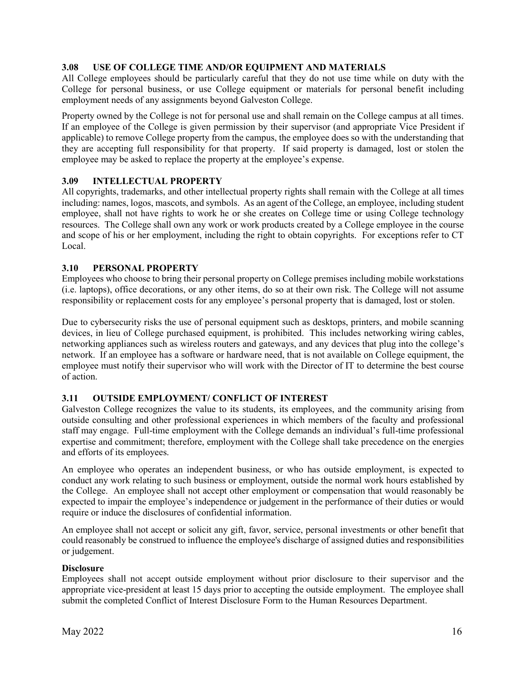## <span id="page-19-0"></span>**3.08 USE OF COLLEGE TIME AND/OR EQUIPMENT AND MATERIALS**

All College employees should be particularly careful that they do not use time while on duty with the College for personal business, or use College equipment or materials for personal benefit including employment needs of any assignments beyond Galveston College.

Property owned by the College is not for personal use and shall remain on the College campus at all times. If an employee of the College is given permission by their supervisor (and appropriate Vice President if applicable) to remove College property from the campus, the employee does so with the understanding that they are accepting full responsibility for that property. If said property is damaged, lost or stolen the employee may be asked to replace the property at the employee's expense.

#### <span id="page-19-1"></span>**3.09 INTELLECTUAL PROPERTY**

All copyrights, trademarks, and other intellectual property rights shall remain with the College at all times including: names, logos, mascots, and symbols. As an agent of the College, an employee, including student employee, shall not have rights to work he or she creates on College time or using College technology resources. The College shall own any work or work products created by a College employee in the course and scope of his or her employment, including the right to obtain copyrights. For exceptions refer to CT Local.

#### <span id="page-19-2"></span>**3.10 PERSONAL PROPERTY**

Employees who choose to bring their personal property on College premises including mobile workstations (i.e. laptops), office decorations, or any other items, do so at their own risk. The College will not assume responsibility or replacement costs for any employee's personal property that is damaged, lost or stolen.

Due to cybersecurity risks the use of personal equipment such as desktops, printers, and mobile scanning devices, in lieu of College purchased equipment, is prohibited. This includes networking wiring cables, networking appliances such as wireless routers and gateways, and any devices that plug into the college's network. If an employee has a software or hardware need, that is not available on College equipment, the employee must notify their supervisor who will work with the Director of IT to determine the best course of action.

## <span id="page-19-3"></span>**3.11 OUTSIDE EMPLOYMENT/ CONFLICT OF INTEREST**

Galveston College recognizes the value to its students, its employees, and the community arising from outside consulting and other professional experiences in which members of the faculty and professional staff may engage. Full-time employment with the College demands an individual's full-time professional expertise and commitment; therefore, employment with the College shall take precedence on the energies and efforts of its employees.

An employee who operates an independent business, or who has outside employment, is expected to conduct any work relating to such business or employment, outside the normal work hours established by the College. An employee shall not accept other employment or compensation that would reasonably be expected to impair the employee's independence or judgement in the performance of their duties or would require or induce the disclosures of confidential information.

An employee shall not accept or solicit any gift, favor, service, personal investments or other benefit that could reasonably be construed to influence the employee's discharge of assigned duties and responsibilities or judgement.

#### **Disclosure**

Employees shall not accept outside employment without prior disclosure to their supervisor and the appropriate vice-president at least 15 days prior to accepting the outside employment. The employee shall submit the completed Conflict of Interest Disclosure Form to the Human Resources Department.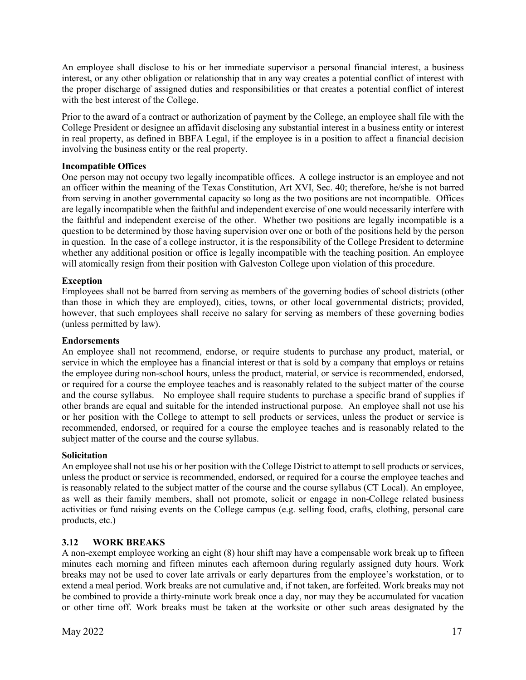An employee shall disclose to his or her immediate supervisor a personal financial interest, a business interest, or any other obligation or relationship that in any way creates a potential conflict of interest with the proper discharge of assigned duties and responsibilities or that creates a potential conflict of interest with the best interest of the College.

Prior to the award of a contract or authorization of payment by the College, an employee shall file with the College President or designee an affidavit disclosing any substantial interest in a business entity or interest in real property, as defined in BBFA Legal, if the employee is in a position to affect a financial decision involving the business entity or the real property.

#### **Incompatible Offices**

One person may not occupy two legally incompatible offices. A college instructor is an employee and not an officer within the meaning of the Texas Constitution, Art XVI, Sec. 40; therefore, he/she is not barred from serving in another governmental capacity so long as the two positions are not incompatible. Offices are legally incompatible when the faithful and independent exercise of one would necessarily interfere with the faithful and independent exercise of the other. Whether two positions are legally incompatible is a question to be determined by those having supervision over one or both of the positions held by the person in question. In the case of a college instructor, it is the responsibility of the College President to determine whether any additional position or office is legally incompatible with the teaching position. An employee will atomically resign from their position with Galveston College upon violation of this procedure.

## **Exception**

Employees shall not be barred from serving as members of the governing bodies of school districts (other than those in which they are employed), cities, towns, or other local governmental districts; provided, however, that such employees shall receive no salary for serving as members of these governing bodies (unless permitted by law).

#### **Endorsements**

An employee shall not recommend, endorse, or require students to purchase any product, material, or service in which the employee has a financial interest or that is sold by a company that employs or retains the employee during non-school hours, unless the product, material, or service is recommended, endorsed, or required for a course the employee teaches and is reasonably related to the subject matter of the course and the course syllabus. No employee shall require students to purchase a specific brand of supplies if other brands are equal and suitable for the intended instructional purpose. An employee shall not use his or her position with the College to attempt to sell products or services, unless the product or service is recommended, endorsed, or required for a course the employee teaches and is reasonably related to the subject matter of the course and the course syllabus.

#### **Solicitation**

An employee shall not use his or her position with the College District to attempt to sell products or services, unless the product or service is recommended, endorsed, or required for a course the employee teaches and is reasonably related to the subject matter of the course and the course syllabus (CT Local). An employee, as well as their family members, shall not promote, solicit or engage in non-College related business activities or fund raising events on the College campus (e.g. selling food, crafts, clothing, personal care products, etc.)

#### <span id="page-20-0"></span>**3.12 WORK BREAKS**

A non-exempt employee working an eight (8) hour shift may have a compensable work break up to fifteen minutes each morning and fifteen minutes each afternoon during regularly assigned duty hours. Work breaks may not be used to cover late arrivals or early departures from the employee's workstation, or to extend a meal period. Work breaks are not cumulative and, if not taken, are forfeited. Work breaks may not be combined to provide a thirty-minute work break once a day, nor may they be accumulated for vacation or other time off. Work breaks must be taken at the worksite or other such areas designated by the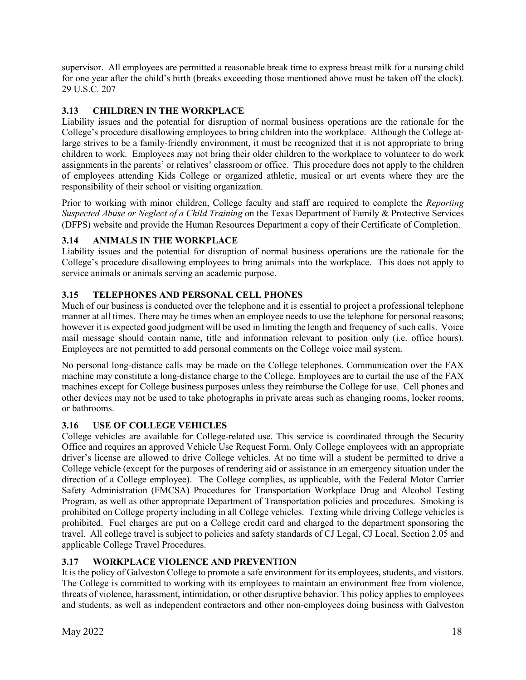supervisor. All employees are permitted a reasonable break time to express breast milk for a nursing child for one year after the child's birth (breaks exceeding those mentioned above must be taken off the clock). 29 U.S.C. 207

## <span id="page-21-0"></span>**3.13 CHILDREN IN THE WORKPLACE**

Liability issues and the potential for disruption of normal business operations are the rationale for the College's procedure disallowing employees to bring children into the workplace. Although the College atlarge strives to be a family-friendly environment, it must be recognized that it is not appropriate to bring children to work. Employees may not bring their older children to the workplace to volunteer to do work assignments in the parents' or relatives' classroom or office. This procedure does not apply to the children of employees attending Kids College or organized athletic, musical or art events where they are the responsibility of their school or visiting organization.

Prior to working with minor children, College faculty and staff are required to complete the *Reporting Suspected Abuse or Neglect of a Child Training* on the Texas Department of Family & Protective Services (DFPS) website and provide the Human Resources Department a copy of their Certificate of Completion.

## <span id="page-21-1"></span>**3.14 ANIMALS IN THE WORKPLACE**

Liability issues and the potential for disruption of normal business operations are the rationale for the College's procedure disallowing employees to bring animals into the workplace. This does not apply to service animals or animals serving an academic purpose.

## <span id="page-21-2"></span>**3.15 TELEPHONES AND PERSONAL CELL PHONES**

Much of our business is conducted over the telephone and it is essential to project a professional telephone manner at all times. There may be times when an employee needs to use the telephone for personal reasons; however it is expected good judgment will be used in limiting the length and frequency of such calls. Voice mail message should contain name, title and information relevant to position only (i.e. office hours). Employees are not permitted to add personal comments on the College voice mail system.

No personal long-distance calls may be made on the College telephones. Communication over the FAX machine may constitute a long-distance charge to the College. Employees are to curtail the use of the FAX machines except for College business purposes unless they reimburse the College for use. Cell phones and other devices may not be used to take photographs in private areas such as changing rooms, locker rooms, or bathrooms.

## <span id="page-21-3"></span>**3.16 USE OF COLLEGE VEHICLES**

College vehicles are available for College-related use. This service is coordinated through the Security Office and requires an approved Vehicle Use Request Form. Only College employees with an appropriate driver's license are allowed to drive College vehicles. At no time will a student be permitted to drive a College vehicle (except for the purposes of rendering aid or assistance in an emergency situation under the direction of a College employee). The College complies, as applicable, with the Federal Motor Carrier Safety Administration (FMCSA) Procedures for Transportation Workplace Drug and Alcohol Testing Program, as well as other appropriate Department of Transportation policies and procedures. Smoking is prohibited on College property including in all College vehicles. Texting while driving College vehicles is prohibited. Fuel charges are put on a College credit card and charged to the department sponsoring the travel. All college travel is subject to policies and safety standards of CJ Legal, CJ Local, Section 2.05 and applicable College Travel Procedures.

## <span id="page-21-4"></span>**3.17 WORKPLACE VIOLENCE AND PREVENTION**

It is the policy of Galveston College to promote a safe environment for its employees, students, and visitors. The College is committed to working with its employees to maintain an environment free from violence, threats of violence, harassment, intimidation, or other disruptive behavior. This policy applies to employees and students, as well as independent contractors and other non-employees doing business with Galveston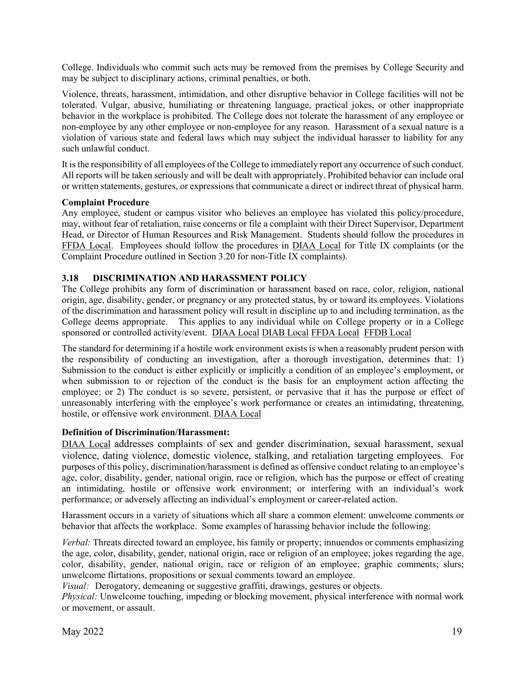College. Individuals who commit such acts may be removed from the premises by College Security and may be subject to disciplinary actions, criminal penalties, or both.

Violence, threats, harassment, intimidation, and other disruptive behavior in College facilities will not be tolerated. Vulgar, abusive, humiliating or threatening language, practical jokes, or other inappropriate behavior in the workplace is prohibited. The College does not tolerate the harassment of any employee or non-employee by any other employee or non-employee for any reason. Harassment of a sexual nature is a violation of various state and federal laws which may subject the individual harasser to liability for any such unlawful conduct.

It is the responsibility of all employees of the College to immediately report any occurrence of such conduct. All reports will be taken seriously and will be dealt with appropriately. Prohibited behavior can include oral or written statements, gestures, or expressions that communicate a direct or indirect threat of physical harm.

#### **Complaint Procedure**

Any employee, student or campus visitor who believes an employee has violated this policy/procedure, may, without fear of retaliation, raise concerns or file a complaint with their Direct Supervisor, Department Head, or Director of Human Resources and Risk Management. Students should follow the procedures in [FFDA Local.](https://gc.edu/wp-content/uploads/2020/08/FFDA-Local-Approved-081220.pdf) Employees should follow the procedures in [DIAA Local](https://gc.edu/wp-content/uploads/2020/08/DIAA-Local-Approved-081220.pdf) for Title IX complaints (or the Complaint Procedure outlined in Section 3.20 for non-Title IX complaints).

## <span id="page-22-0"></span>**3.18 DISCRIMINATION AND HARASSMENT POLICY**

The College prohibits any form of discrimination or harassment based on race, color, religion, national origin, age, disability, gender, or pregnancy or any protected status, by or toward its employees. Violations of the discrimination and harassment policy will result in discipline up to and including termination, as the College deems appropriate. This applies to any individual while on College property or in a College sponsored or controlled activity/event. [DIAA Local](https://gc.edu/wp-content/uploads/2020/08/DIAA-Local-Approved-081220.pdf) [DIAB Local](https://gc.edu/wp-content/uploads/2018/08/DIAB-Local-Approved-080818.pdf) [FFDA Local](https://gc.edu/wp-content/uploads/2020/08/FFDA-Local-Approved-081220.pdf) [FFDB Local](https://gc.edu/wp-content/uploads/2018/08/FFDB-Local-Approved-080818.pdf)

The standard for determining if a hostile work environment exists is when a reasonably prudent person with the responsibility of conducting an investigation, after a thorough investigation, determines that: 1) Submission to the conduct is either explicitly or implicitly a condition of an employee's employment, or when submission to or rejection of the conduct is the basis for an employment action affecting the employee; or 2) The conduct is so severe, persistent, or pervasive that it has the purpose or effect of unreasonably interfering with the employee's work performance or creates an intimidating, threatening, hostile, or offensive work environment. [DIAA Local](https://gc.edu/wp-content/uploads/2020/08/DIAA-Local-Approved-081220.pdf) 

## **Definition of Discrimination/Harassment:**

[DIAA Local](https://gc.edu/wp-content/uploads/2020/08/DIAA-Local-Approved-081220.pdf) addresses complaints of sex and gender discrimination, sexual harassment, sexual violence, dating violence, domestic violence, stalking, and retaliation targeting employees. For purposes of this policy, discrimination/harassment is defined as offensive conduct relating to an employee's age, color, disability, gender, national origin, race or religion, which has the purpose or effect of creating an intimidating, hostile or offensive work environment; or interfering with an individual's work performance; or adversely affecting an individual's employment or career-related action.

Harassment occurs in a variety of situations which all share a common element: unwelcome comments or behavior that affects the workplace. Some examples of harassing behavior include the following:

*Verbal:* Threats directed toward an employee, his family or property; innuendos or comments emphasizing the age, color, disability, gender, national origin, race or religion of an employee; jokes regarding the age, color, disability, gender, national origin, race or religion of an employee; graphic comments; slurs; unwelcome flirtations, propositions or sexual comments toward an employee.

*Visual:* Derogatory, demeaning or suggestive graffiti, drawings, gestures or objects.

*Physical:* Unwelcome touching, impeding or blocking movement, physical interference with normal work or movement, or assault.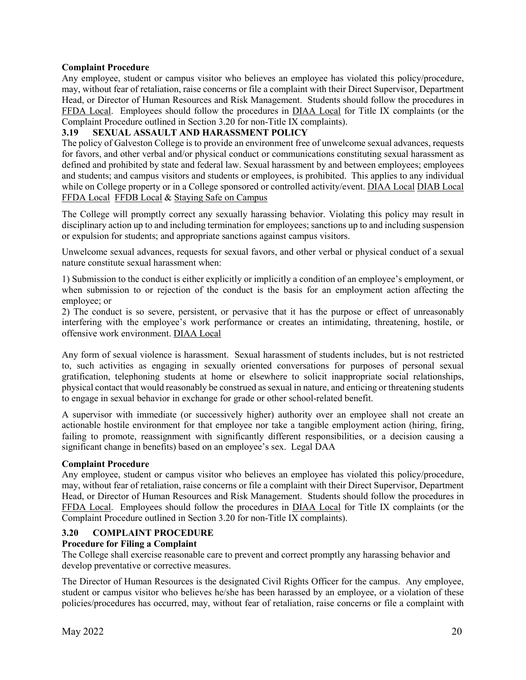#### **Complaint Procedure**

Any employee, student or campus visitor who believes an employee has violated this policy/procedure, may, without fear of retaliation, raise concerns or file a complaint with their Direct Supervisor, Department Head, or Director of Human Resources and Risk Management. Students should follow the procedures in [FFDA Local.](https://gc.edu/wp-content/uploads/2020/08/FFDA-Local-Approved-081220.pdf) Employees should follow the procedures in [DIAA Local](https://gc.edu/wp-content/uploads/2020/08/DIAA-Local-Approved-081220.pdf) for Title IX complaints (or the Complaint Procedure outlined in Section 3.20 for non-Title IX complaints).

## <span id="page-23-0"></span>**3.19 SEXUAL ASSAULT AND HARASSMENT POLICY**

The policy of Galveston College is to provide an environment free of unwelcome sexual advances, requests for favors, and other verbal and/or physical conduct or communications constituting sexual harassment as defined and prohibited by state and federal law. Sexual harassment by and between employees; employees and students; and campus visitors and students or employees, is prohibited. This applies to any individual while on College property or in a College sponsored or controlled activity/event. [DIAA Local](https://gc.edu/wp-content/uploads/2020/08/DIAA-Local-Approved-081220.pdf) [DIAB Local](https://gc.edu/wp-content/uploads/2018/08/DIAB-Local-Approved-080818.pdf) [FFDA Local](https://gc.edu/wp-content/uploads/2020/08/FFDA-Local-Approved-081220.pdf) [FFDB Local](https://gc.edu/wp-content/uploads/2018/08/FFDB-Local-Approved-080818.pdf) & [Staying Safe on Campus](https://gc.edu/campus-security-safety/staying-safe-on-campus/)

The College will promptly correct any sexually harassing behavior. Violating this policy may result in disciplinary action up to and including termination for employees; sanctions up to and including suspension or expulsion for students; and appropriate sanctions against campus visitors.

Unwelcome sexual advances, requests for sexual favors, and other verbal or physical conduct of a sexual nature constitute sexual harassment when:

1) Submission to the conduct is either explicitly or implicitly a condition of an employee's employment, or when submission to or rejection of the conduct is the basis for an employment action affecting the employee; or

2) The conduct is so severe, persistent, or pervasive that it has the purpose or effect of unreasonably interfering with the employee's work performance or creates an intimidating, threatening, hostile, or offensive work environment. [DIAA Local](https://gc.edu/wp-content/uploads/2020/08/DIAA-Local-Approved-081220.pdf) 

Any form of sexual violence is harassment. Sexual harassment of students includes, but is not restricted to, such activities as engaging in sexually oriented conversations for purposes of personal sexual gratification, telephoning students at home or elsewhere to solicit inappropriate social relationships, physical contact that would reasonably be construed as sexual in nature, and enticing or threatening students to engage in sexual behavior in exchange for grade or other school-related benefit.

A supervisor with immediate (or successively higher) authority over an employee shall not create an actionable hostile environment for that employee nor take a tangible employment action (hiring, firing, failing to promote, reassignment with significantly different responsibilities, or a decision causing a significant change in benefits) based on an employee's sex. Legal DAA

#### **Complaint Procedure**

Any employee, student or campus visitor who believes an employee has violated this policy/procedure, may, without fear of retaliation, raise concerns or file a complaint with their Direct Supervisor, Department Head, or Director of Human Resources and Risk Management. Students should follow the procedures in [FFDA Local.](https://gc.edu/wp-content/uploads/2020/08/FFDA-Local-Approved-081220.pdf) Employees should follow the procedures in [DIAA Local](https://gc.edu/wp-content/uploads/2020/08/DIAA-Local-Approved-081220.pdf) for Title IX complaints (or the Complaint Procedure outlined in Section 3.20 for non-Title IX complaints).

#### <span id="page-23-1"></span>**3.20 COMPLAINT PROCEDURE**

#### **Procedure for Filing a Complaint**

The College shall exercise reasonable care to prevent and correct promptly any harassing behavior and develop preventative or corrective measures.

The Director of Human Resources is the designated Civil Rights Officer for the campus. Any employee, student or campus visitor who believes he/she has been harassed by an employee, or a violation of these policies/procedures has occurred, may, without fear of retaliation, raise concerns or file a complaint with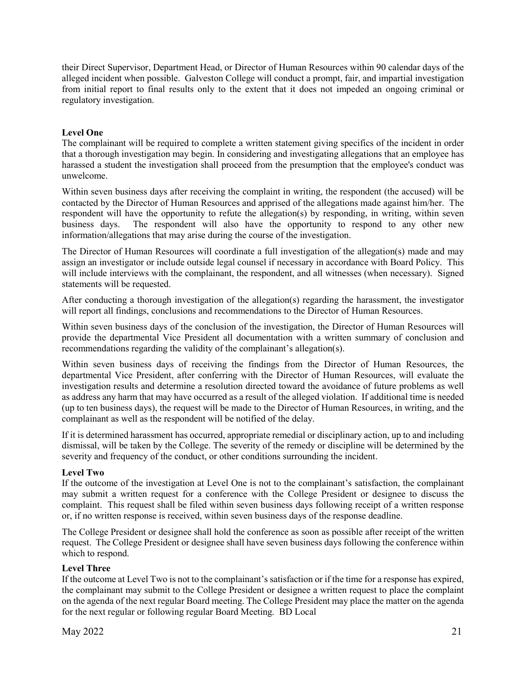their Direct Supervisor, Department Head, or Director of Human Resources within 90 calendar days of the alleged incident when possible. Galveston College will conduct a prompt, fair, and impartial investigation from initial report to final results only to the extent that it does not impeded an ongoing criminal or regulatory investigation.

## **Level One**

The complainant will be required to complete a written statement giving specifics of the incident in order that a thorough investigation may begin. In considering and investigating allegations that an employee has harassed a student the investigation shall proceed from the presumption that the employee's conduct was unwelcome.

Within seven business days after receiving the complaint in writing, the respondent (the accused) will be contacted by the Director of Human Resources and apprised of the allegations made against him/her. The respondent will have the opportunity to refute the allegation(s) by responding, in writing, within seven business days. The respondent will also have the opportunity to respond to any other new information/allegations that may arise during the course of the investigation.

The Director of Human Resources will coordinate a full investigation of the allegation(s) made and may assign an investigator or include outside legal counsel if necessary in accordance with Board Policy. This will include interviews with the complainant, the respondent, and all witnesses (when necessary). Signed statements will be requested.

After conducting a thorough investigation of the allegation(s) regarding the harassment, the investigator will report all findings, conclusions and recommendations to the Director of Human Resources.

Within seven business days of the conclusion of the investigation, the Director of Human Resources will provide the departmental Vice President all documentation with a written summary of conclusion and recommendations regarding the validity of the complainant's allegation(s).

Within seven business days of receiving the findings from the Director of Human Resources, the departmental Vice President, after conferring with the Director of Human Resources, will evaluate the investigation results and determine a resolution directed toward the avoidance of future problems as well as address any harm that may have occurred as a result of the alleged violation. If additional time is needed (up to ten business days), the request will be made to the Director of Human Resources, in writing, and the complainant as well as the respondent will be notified of the delay.

If it is determined harassment has occurred, appropriate remedial or disciplinary action, up to and including dismissal, will be taken by the College. The severity of the remedy or discipline will be determined by the severity and frequency of the conduct, or other conditions surrounding the incident.

#### **Level Two**

If the outcome of the investigation at Level One is not to the complainant's satisfaction, the complainant may submit a written request for a conference with the College President or designee to discuss the complaint. This request shall be filed within seven business days following receipt of a written response or, if no written response is received, within seven business days of the response deadline.

The College President or designee shall hold the conference as soon as possible after receipt of the written request. The College President or designee shall have seven business days following the conference within which to respond.

#### **Level Three**

If the outcome at Level Two is not to the complainant's satisfaction or if the time for a response has expired, the complainant may submit to the College President or designee a written request to place the complaint on the agenda of the next regular Board meeting. The College President may place the matter on the agenda for the next regular or following regular Board Meeting. BD Local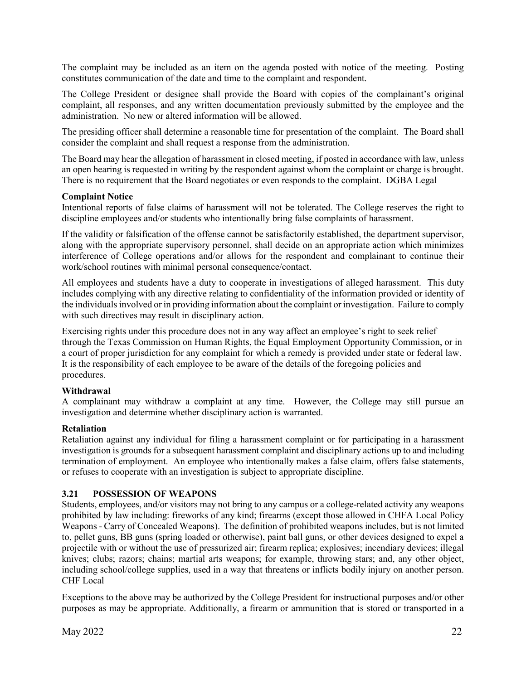The complaint may be included as an item on the agenda posted with notice of the meeting. Posting constitutes communication of the date and time to the complaint and respondent.

The College President or designee shall provide the Board with copies of the complainant's original complaint, all responses, and any written documentation previously submitted by the employee and the administration. No new or altered information will be allowed.

The presiding officer shall determine a reasonable time for presentation of the complaint. The Board shall consider the complaint and shall request a response from the administration.

The Board may hear the allegation of harassment in closed meeting, if posted in accordance with law, unless an open hearing is requested in writing by the respondent against whom the complaint or charge is brought. There is no requirement that the Board negotiates or even responds to the complaint. DGBA Legal

#### **Complaint Notice**

Intentional reports of false claims of harassment will not be tolerated. The College reserves the right to discipline employees and/or students who intentionally bring false complaints of harassment.

If the validity or falsification of the offense cannot be satisfactorily established, the department supervisor, along with the appropriate supervisory personnel, shall decide on an appropriate action which minimizes interference of College operations and/or allows for the respondent and complainant to continue their work/school routines with minimal personal consequence/contact.

All employees and students have a duty to cooperate in investigations of alleged harassment. This duty includes complying with any directive relating to confidentiality of the information provided or identity of the individuals involved or in providing information about the complaint or investigation. Failure to comply with such directives may result in disciplinary action.

Exercising rights under this procedure does not in any way affect an employee's right to seek relief through the Texas Commission on Human Rights, the Equal Employment Opportunity Commission, or in a court of proper jurisdiction for any complaint for which a remedy is provided under state or federal law. It is the responsibility of each employee to be aware of the details of the foregoing policies and procedures.

## **Withdrawal**

A complainant may withdraw a complaint at any time. However, the College may still pursue an investigation and determine whether disciplinary action is warranted.

#### **Retaliation**

Retaliation against any individual for filing a harassment complaint or for participating in a harassment investigation is grounds for a subsequent harassment complaint and disciplinary actions up to and including termination of employment. An employee who intentionally makes a false claim, offers false statements, or refuses to cooperate with an investigation is subject to appropriate discipline.

## <span id="page-25-0"></span>**3.21 POSSESSION OF WEAPONS**

Students, employees, and/or visitors may not bring to any campus or a college-related activity any weapons prohibited by law including: fireworks of any kind; firearms (except those allowed in CHFA Local Policy Weapons - Carry of Concealed Weapons). The definition of prohibited weapons includes, but is not limited to, pellet guns, BB guns (spring loaded or otherwise), paint ball guns, or other devices designed to expel a projectile with or without the use of pressurized air; firearm replica; explosives; incendiary devices; illegal knives; clubs; razors; chains; martial arts weapons; for example, throwing stars; and, any other object, including school/college supplies, used in a way that threatens or inflicts bodily injury on another person. CHF Local

Exceptions to the above may be authorized by the College President for instructional purposes and/or other purposes as may be appropriate. Additionally, a firearm or ammunition that is stored or transported in a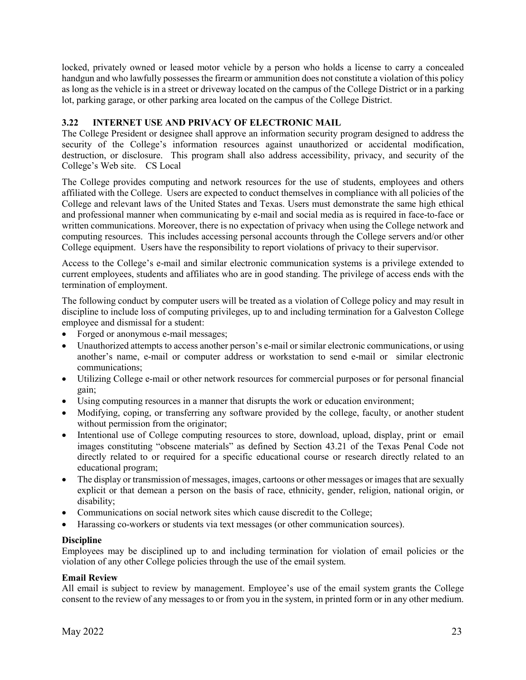locked, privately owned or leased motor vehicle by a person who holds a license to carry a concealed handgun and who lawfully possesses the firearm or ammunition does not constitute a violation of this policy as long as the vehicle is in a street or driveway located on the campus of the College District or in a parking lot, parking garage, or other parking area located on the campus of the College District.

## <span id="page-26-0"></span>**3.22 INTERNET USE AND PRIVACY OF ELECTRONIC MAIL**

The College President or designee shall approve an information security program designed to address the security of the College's information resources against unauthorized or accidental modification, destruction, or disclosure. This program shall also address accessibility, privacy, and security of the College's Web site. CS Local

The College provides computing and network resources for the use of students, employees and others affiliated with the College. Users are expected to conduct themselves in compliance with all policies of the College and relevant laws of the United States and Texas. Users must demonstrate the same high ethical and professional manner when communicating by e-mail and social media as is required in face-to-face or written communications. Moreover, there is no expectation of privacy when using the College network and computing resources. This includes accessing personal accounts through the College servers and/or other College equipment. Users have the responsibility to report violations of privacy to their supervisor.

Access to the College's e-mail and similar electronic communication systems is a privilege extended to current employees, students and affiliates who are in good standing. The privilege of access ends with the termination of employment.

The following conduct by computer users will be treated as a violation of College policy and may result in discipline to include loss of computing privileges, up to and including termination for a Galveston College employee and dismissal for a student:

- Forged or anonymous e-mail messages;
- Unauthorized attempts to access another person's e-mail or similar electronic communications, or using another's name, e-mail or computer address or workstation to send e-mail or similar electronic communications;
- Utilizing College e-mail or other network resources for commercial purposes or for personal financial gain;
- Using computing resources in a manner that disrupts the work or education environment;
- Modifying, coping, or transferring any software provided by the college, faculty, or another student without permission from the originator;
- Intentional use of College computing resources to store, download, upload, display, print or email images constituting "obscene materials" as defined by Section 43.21 of the Texas Penal Code not directly related to or required for a specific educational course or research directly related to an educational program;
- The display or transmission of messages, images, cartoons or other messages or images that are sexually explicit or that demean a person on the basis of race, ethnicity, gender, religion, national origin, or disability;
- Communications on social network sites which cause discredit to the College;
- Harassing co-workers or students via text messages (or other communication sources).

#### **Discipline**

Employees may be disciplined up to and including termination for violation of email policies or the violation of any other College policies through the use of the email system.

#### **Email Review**

All email is subject to review by management. Employee's use of the email system grants the College consent to the review of any messages to or from you in the system, in printed form or in any other medium.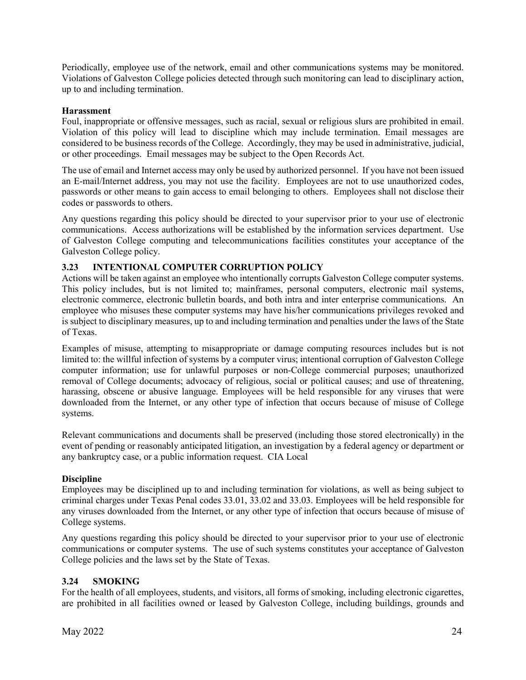Periodically, employee use of the network, email and other communications systems may be monitored. Violations of Galveston College policies detected through such monitoring can lead to disciplinary action, up to and including termination.

#### **Harassment**

Foul, inappropriate or offensive messages, such as racial, sexual or religious slurs are prohibited in email. Violation of this policy will lead to discipline which may include termination. Email messages are considered to be business records of the College. Accordingly, they may be used in administrative, judicial, or other proceedings. Email messages may be subject to the Open Records Act.

The use of email and Internet access may only be used by authorized personnel. If you have not been issued an E-mail/Internet address, you may not use the facility. Employees are not to use unauthorized codes, passwords or other means to gain access to email belonging to others. Employees shall not disclose their codes or passwords to others.

Any questions regarding this policy should be directed to your supervisor prior to your use of electronic communications. Access authorizations will be established by the information services department. Use of Galveston College computing and telecommunications facilities constitutes your acceptance of the Galveston College policy.

#### <span id="page-27-0"></span>**3.23 INTENTIONAL COMPUTER CORRUPTION POLICY**

Actions will be taken against an employee who intentionally corrupts Galveston College computer systems. This policy includes, but is not limited to; mainframes, personal computers, electronic mail systems, electronic commerce, electronic bulletin boards, and both intra and inter enterprise communications. An employee who misuses these computer systems may have his/her communications privileges revoked and is subject to disciplinary measures, up to and including termination and penalties under the laws of the State of Texas.

Examples of misuse, attempting to misappropriate or damage computing resources includes but is not limited to: the willful infection of systems by a computer virus; intentional corruption of Galveston College computer information; use for unlawful purposes or non-College commercial purposes; unauthorized removal of College documents; advocacy of religious, social or political causes; and use of threatening, harassing, obscene or abusive language. Employees will be held responsible for any viruses that were downloaded from the Internet, or any other type of infection that occurs because of misuse of College systems.

Relevant communications and documents shall be preserved (including those stored electronically) in the event of pending or reasonably anticipated litigation, an investigation by a federal agency or department or any bankruptcy case, or a public information request. CIA Local

#### **Discipline**

Employees may be disciplined up to and including termination for violations, as well as being subject to criminal charges under Texas Penal codes 33.01, 33.02 and 33.03. Employees will be held responsible for any viruses downloaded from the Internet, or any other type of infection that occurs because of misuse of College systems.

Any questions regarding this policy should be directed to your supervisor prior to your use of electronic communications or computer systems. The use of such systems constitutes your acceptance of Galveston College policies and the laws set by the State of Texas.

## **3.24 SMOKING**

For the health of all employees, students, and visitors, all forms of smoking, including electronic cigarettes, are prohibited in all facilities owned or leased by Galveston College, including buildings, grounds and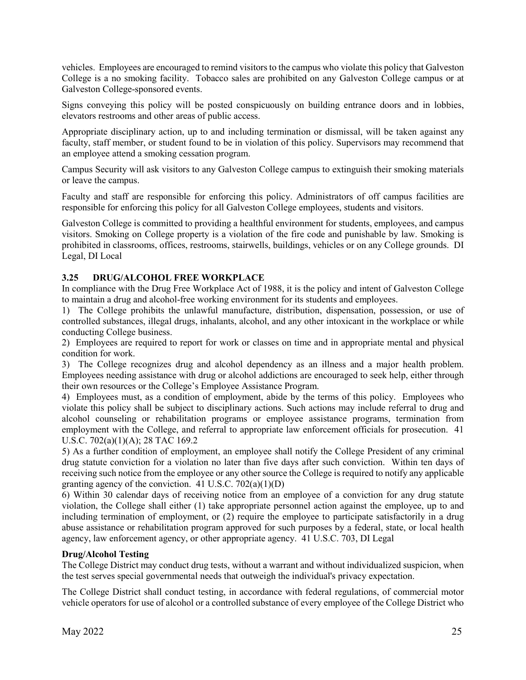vehicles. Employees are encouraged to remind visitors to the campus who violate this policy that Galveston College is a no smoking facility. Tobacco sales are prohibited on any Galveston College campus or at Galveston College-sponsored events.

Signs conveying this policy will be posted conspicuously on building entrance doors and in lobbies, elevators restrooms and other areas of public access.

Appropriate disciplinary action, up to and including termination or dismissal, will be taken against any faculty, staff member, or student found to be in violation of this policy. Supervisors may recommend that an employee attend a smoking cessation program.

Campus Security will ask visitors to any Galveston College campus to extinguish their smoking materials or leave the campus.

Faculty and staff are responsible for enforcing this policy. Administrators of off campus facilities are responsible for enforcing this policy for all Galveston College employees, students and visitors.

Galveston College is committed to providing a healthful environment for students, employees, and campus visitors. Smoking on College property is a violation of the fire code and punishable by law. Smoking is prohibited in classrooms, offices, restrooms, stairwells, buildings, vehicles or on any College grounds. DI Legal, DI Local

#### <span id="page-28-0"></span>**3.25 DRUG/ALCOHOL FREE WORKPLACE**

In compliance with the Drug Free Workplace Act of 1988, it is the policy and intent of Galveston College to maintain a drug and alcohol-free working environment for its students and employees.

1) The College prohibits the unlawful manufacture, distribution, dispensation, possession, or use of controlled substances, illegal drugs, inhalants, alcohol, and any other intoxicant in the workplace or while conducting College business.

2) Employees are required to report for work or classes on time and in appropriate mental and physical condition for work.

3) The College recognizes drug and alcohol dependency as an illness and a major health problem. Employees needing assistance with drug or alcohol addictions are encouraged to seek help, either through their own resources or the College's Employee Assistance Program.

4) Employees must, as a condition of employment, abide by the terms of this policy. Employees who violate this policy shall be subject to disciplinary actions. Such actions may include referral to drug and alcohol counseling or rehabilitation programs or employee assistance programs, termination from employment with the College, and referral to appropriate law enforcement officials for prosecution. 41 U.S.C. 702(a)(1)(A); 28 TAC 169.2

5) As a further condition of employment, an employee shall notify the College President of any criminal drug statute conviction for a violation no later than five days after such conviction. Within ten days of receiving such notice from the employee or any other source the College is required to notify any applicable granting agency of the conviction. 41 U.S.C.  $702(a)(1)(D)$ 

6) Within 30 calendar days of receiving notice from an employee of a conviction for any drug statute violation, the College shall either (1) take appropriate personnel action against the employee, up to and including termination of employment, or (2) require the employee to participate satisfactorily in a drug abuse assistance or rehabilitation program approved for such purposes by a federal, state, or local health agency, law enforcement agency, or other appropriate agency. 41 U.S.C. 703, DI Legal

#### **Drug/Alcohol Testing**

The College District may conduct drug tests, without a warrant and without individualized suspicion, when the test serves special governmental needs that outweigh the individual's privacy expectation.

The College District shall conduct testing, in accordance with federal regulations, of commercial motor vehicle operators for use of alcohol or a controlled substance of every employee of the College District who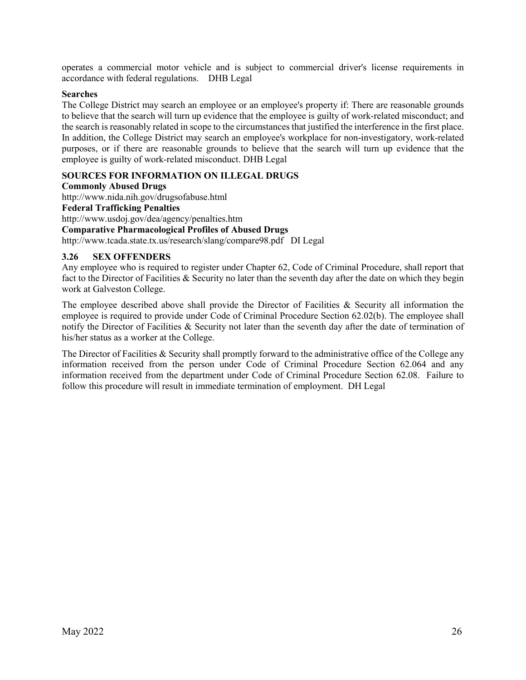operates a commercial motor vehicle and is subject to commercial driver's license requirements in accordance with federal regulations. DHB Legal

#### **Searches**

The College District may search an employee or an employee's property if: There are reasonable grounds to believe that the search will turn up evidence that the employee is guilty of work-related misconduct; and the search is reasonably related in scope to the circumstances that justified the interference in the first place. In addition, the College District may search an employee's workplace for non-investigatory, work-related purposes, or if there are reasonable grounds to believe that the search will turn up evidence that the employee is guilty of work-related misconduct. DHB Legal

#### **SOURCES FOR INFORMATION ON ILLEGAL DRUGS**

#### **Commonly Abused Drugs**

http://www.nida.nih.gov/drugsofabuse.html **Federal Trafficking Penalties** http://www.usdoj.gov/dea/agency/penalties.htm **Comparative Pharmacological Profiles of Abused Drugs**

http://www.tcada.state.tx.us/research/slang/compare98.pdf DI Legal

#### <span id="page-29-0"></span>**3.26 SEX OFFENDERS**

Any employee who is required to register under Chapter 62, Code of Criminal Procedure, shall report that fact to the Director of Facilities & Security no later than the seventh day after the date on which they begin work at Galveston College.

The employee described above shall provide the Director of Facilities & Security all information the employee is required to provide under Code of Criminal Procedure Section 62.02(b). The employee shall notify the Director of Facilities & Security not later than the seventh day after the date of termination of his/her status as a worker at the College.

The Director of Facilities & Security shall promptly forward to the administrative office of the College any information received from the person under Code of Criminal Procedure Section 62.064 and any information received from the department under Code of Criminal Procedure Section 62.08. Failure to follow this procedure will result in immediate termination of employment. DH Legal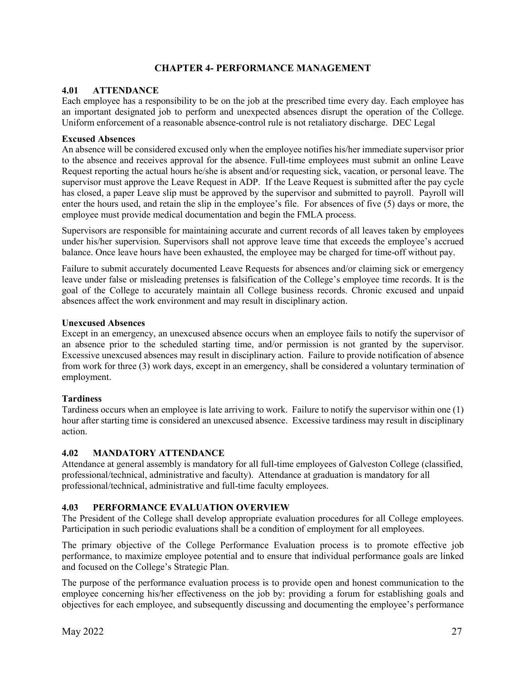## **CHAPTER 4- PERFORMANCE MANAGEMENT**

#### <span id="page-30-1"></span><span id="page-30-0"></span>**4.01 ATTENDANCE**

Each employee has a responsibility to be on the job at the prescribed time every day. Each employee has an important designated job to perform and unexpected absences disrupt the operation of the College. Uniform enforcement of a reasonable absence-control rule is not retaliatory discharge. DEC Legal

#### **Excused Absences**

An absence will be considered excused only when the employee notifies his/her immediate supervisor prior to the absence and receives approval for the absence. Full-time employees must submit an online Leave Request reporting the actual hours he/she is absent and/or requesting sick, vacation, or personal leave. The supervisor must approve the Leave Request in ADP. If the Leave Request is submitted after the pay cycle has closed, a paper Leave slip must be approved by the supervisor and submitted to payroll. Payroll will enter the hours used, and retain the slip in the employee's file. For absences of five (5) days or more, the employee must provide medical documentation and begin the FMLA process.

Supervisors are responsible for maintaining accurate and current records of all leaves taken by employees under his/her supervision. Supervisors shall not approve leave time that exceeds the employee's accrued balance. Once leave hours have been exhausted, the employee may be charged for time-off without pay.

Failure to submit accurately documented Leave Requests for absences and/or claiming sick or emergency leave under false or misleading pretenses is falsification of the College's employee time records. It is the goal of the College to accurately maintain all College business records. Chronic excused and unpaid absences affect the work environment and may result in disciplinary action.

#### **Unexcused Absences**

Except in an emergency, an unexcused absence occurs when an employee fails to notify the supervisor of an absence prior to the scheduled starting time, and/or permission is not granted by the supervisor. Excessive unexcused absences may result in disciplinary action. Failure to provide notification of absence from work for three (3) work days, except in an emergency, shall be considered a voluntary termination of employment.

#### **Tardiness**

Tardiness occurs when an employee is late arriving to work. Failure to notify the supervisor within one (1) hour after starting time is considered an unexcused absence. Excessive tardiness may result in disciplinary action.

#### <span id="page-30-2"></span>**4.02 MANDATORY ATTENDANCE**

Attendance at general assembly is mandatory for all full-time employees of Galveston College (classified, professional/technical, administrative and faculty). Attendance at graduation is mandatory for all professional/technical, administrative and full-time faculty employees.

#### <span id="page-30-3"></span>**4.03 PERFORMANCE EVALUATION OVERVIEW**

The President of the College shall develop appropriate evaluation procedures for all College employees. Participation in such periodic evaluations shall be a condition of employment for all employees.

The primary objective of the College Performance Evaluation process is to promote effective job performance, to maximize employee potential and to ensure that individual performance goals are linked and focused on the College's Strategic Plan.

The purpose of the performance evaluation process is to provide open and honest communication to the employee concerning his/her effectiveness on the job by: providing a forum for establishing goals and objectives for each employee, and subsequently discussing and documenting the employee's performance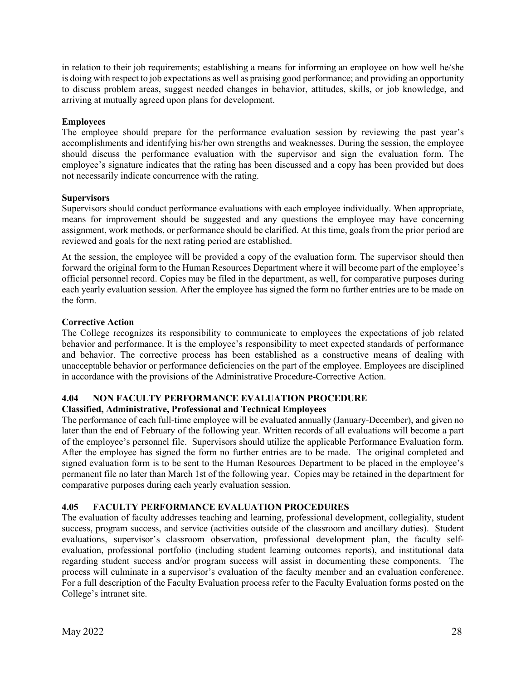in relation to their job requirements; establishing a means for informing an employee on how well he/she is doing with respect to job expectations as well as praising good performance; and providing an opportunity to discuss problem areas, suggest needed changes in behavior, attitudes, skills, or job knowledge, and arriving at mutually agreed upon plans for development.

## **Employees**

The employee should prepare for the performance evaluation session by reviewing the past year's accomplishments and identifying his/her own strengths and weaknesses. During the session, the employee should discuss the performance evaluation with the supervisor and sign the evaluation form. The employee's signature indicates that the rating has been discussed and a copy has been provided but does not necessarily indicate concurrence with the rating.

#### **Supervisors**

Supervisors should conduct performance evaluations with each employee individually. When appropriate, means for improvement should be suggested and any questions the employee may have concerning assignment, work methods, or performance should be clarified. At this time, goals from the prior period are reviewed and goals for the next rating period are established.

At the session, the employee will be provided a copy of the evaluation form. The supervisor should then forward the original form to the Human Resources Department where it will become part of the employee's official personnel record. Copies may be filed in the department, as well, for comparative purposes during each yearly evaluation session. After the employee has signed the form no further entries are to be made on the form.

#### **Corrective Action**

The College recognizes its responsibility to communicate to employees the expectations of job related behavior and performance. It is the employee's responsibility to meet expected standards of performance and behavior. The corrective process has been established as a constructive means of dealing with unacceptable behavior or performance deficiencies on the part of the employee. Employees are disciplined in accordance with the provisions of the Administrative Procedure-Corrective Action.

## <span id="page-31-0"></span>**4.04 NON FACULTY PERFORMANCE EVALUATION PROCEDURE**

## **Classified, Administrative, Professional and Technical Employees**

The performance of each full-time employee will be evaluated annually (January-December), and given no later than the end of February of the following year. Written records of all evaluations will become a part of the employee's personnel file. Supervisors should utilize the applicable Performance Evaluation form. After the employee has signed the form no further entries are to be made. The original completed and signed evaluation form is to be sent to the Human Resources Department to be placed in the employee's permanent file no later than March 1st of the following year. Copies may be retained in the department for comparative purposes during each yearly evaluation session.

## <span id="page-31-1"></span>**4.05 FACULTY PERFORMANCE EVALUATION PROCEDURES**

The evaluation of faculty addresses teaching and learning, professional development, collegiality, student success, program success, and service (activities outside of the classroom and ancillary duties). Student evaluations, supervisor's classroom observation, professional development plan, the faculty selfevaluation, professional portfolio (including student learning outcomes reports), and institutional data regarding student success and/or program success will assist in documenting these components. The process will culminate in a supervisor's evaluation of the faculty member and an evaluation conference. For a full description of the Faculty Evaluation process refer to the Faculty Evaluation forms posted on the College's intranet site.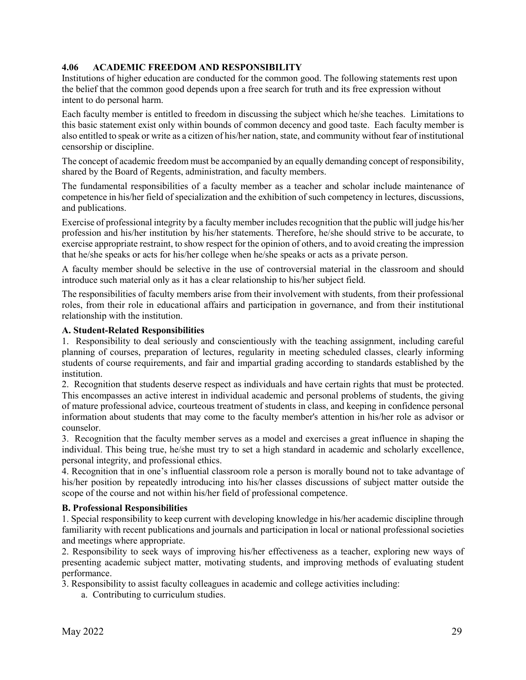## <span id="page-32-0"></span>**4.06 ACADEMIC FREEDOM AND RESPONSIBILITY**

Institutions of higher education are conducted for the common good. The following statements rest upon the belief that the common good depends upon a free search for truth and its free expression without intent to do personal harm.

Each faculty member is entitled to freedom in discussing the subject which he/she teaches. Limitations to this basic statement exist only within bounds of common decency and good taste. Each faculty member is also entitled to speak or write as a citizen of his/her nation, state, and community without fear of institutional censorship or discipline.

The concept of academic freedom must be accompanied by an equally demanding concept of responsibility, shared by the Board of Regents, administration, and faculty members.

The fundamental responsibilities of a faculty member as a teacher and scholar include maintenance of competence in his/her field of specialization and the exhibition of such competency in lectures, discussions, and publications.

Exercise of professional integrity by a faculty member includes recognition that the public will judge his/her profession and his/her institution by his/her statements. Therefore, he/she should strive to be accurate, to exercise appropriate restraint, to show respect for the opinion of others, and to avoid creating the impression that he/she speaks or acts for his/her college when he/she speaks or acts as a private person.

A faculty member should be selective in the use of controversial material in the classroom and should introduce such material only as it has a clear relationship to his/her subject field.

The responsibilities of faculty members arise from their involvement with students, from their professional roles, from their role in educational affairs and participation in governance, and from their institutional relationship with the institution.

#### **A. Student-Related Responsibilities**

1. Responsibility to deal seriously and conscientiously with the teaching assignment, including careful planning of courses, preparation of lectures, regularity in meeting scheduled classes, clearly informing students of course requirements, and fair and impartial grading according to standards established by the institution.

2. Recognition that students deserve respect as individuals and have certain rights that must be protected. This encompasses an active interest in individual academic and personal problems of students, the giving of mature professional advice, courteous treatment of students in class, and keeping in confidence personal information about students that may come to the faculty member's attention in his/her role as advisor or counselor.

3. Recognition that the faculty member serves as a model and exercises a great influence in shaping the individual. This being true, he/she must try to set a high standard in academic and scholarly excellence, personal integrity, and professional ethics.

4. Recognition that in one's influential classroom role a person is morally bound not to take advantage of his/her position by repeatedly introducing into his/her classes discussions of subject matter outside the scope of the course and not within his/her field of professional competence.

#### **B. Professional Responsibilities**

1. Special responsibility to keep current with developing knowledge in his/her academic discipline through familiarity with recent publications and journals and participation in local or national professional societies and meetings where appropriate.

2. Responsibility to seek ways of improving his/her effectiveness as a teacher, exploring new ways of presenting academic subject matter, motivating students, and improving methods of evaluating student performance.

3. Responsibility to assist faculty colleagues in academic and college activities including:

a. Contributing to curriculum studies.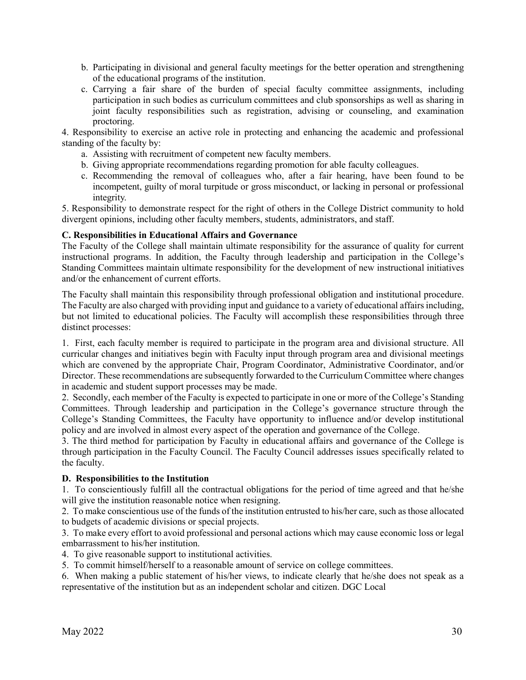- b. Participating in divisional and general faculty meetings for the better operation and strengthening of the educational programs of the institution.
- c. Carrying a fair share of the burden of special faculty committee assignments, including participation in such bodies as curriculum committees and club sponsorships as well as sharing in joint faculty responsibilities such as registration, advising or counseling, and examination proctoring.

4. Responsibility to exercise an active role in protecting and enhancing the academic and professional standing of the faculty by:

- a. Assisting with recruitment of competent new faculty members.
- b. Giving appropriate recommendations regarding promotion for able faculty colleagues.
- c. Recommending the removal of colleagues who, after a fair hearing, have been found to be incompetent, guilty of moral turpitude or gross misconduct, or lacking in personal or professional integrity.

5. Responsibility to demonstrate respect for the right of others in the College District community to hold divergent opinions, including other faculty members, students, administrators, and staff.

#### **C. Responsibilities in Educational Affairs and Governance**

The Faculty of the College shall maintain ultimate responsibility for the assurance of quality for current instructional programs. In addition, the Faculty through leadership and participation in the College's Standing Committees maintain ultimate responsibility for the development of new instructional initiatives and/or the enhancement of current efforts.

The Faculty shall maintain this responsibility through professional obligation and institutional procedure. The Faculty are also charged with providing input and guidance to a variety of educational affairs including, but not limited to educational policies. The Faculty will accomplish these responsibilities through three distinct processes:

1. First, each faculty member is required to participate in the program area and divisional structure. All curricular changes and initiatives begin with Faculty input through program area and divisional meetings which are convened by the appropriate Chair, Program Coordinator, Administrative Coordinator, and/or Director. These recommendations are subsequently forwarded to the Curriculum Committee where changes in academic and student support processes may be made.

2. Secondly, each member of the Faculty is expected to participate in one or more of the College's Standing Committees. Through leadership and participation in the College's governance structure through the College's Standing Committees, the Faculty have opportunity to influence and/or develop institutional policy and are involved in almost every aspect of the operation and governance of the College.

3. The third method for participation by Faculty in educational affairs and governance of the College is through participation in the Faculty Council. The Faculty Council addresses issues specifically related to the faculty.

#### **D. Responsibilities to the Institution**

1. To conscientiously fulfill all the contractual obligations for the period of time agreed and that he/she will give the institution reasonable notice when resigning.

2. To make conscientious use of the funds of the institution entrusted to his/her care, such as those allocated to budgets of academic divisions or special projects.

3. To make every effort to avoid professional and personal actions which may cause economic loss or legal embarrassment to his/her institution.

4. To give reasonable support to institutional activities.

5. To commit himself/herself to a reasonable amount of service on college committees.

6. When making a public statement of his/her views, to indicate clearly that he/she does not speak as a representative of the institution but as an independent scholar and citizen. DGC Local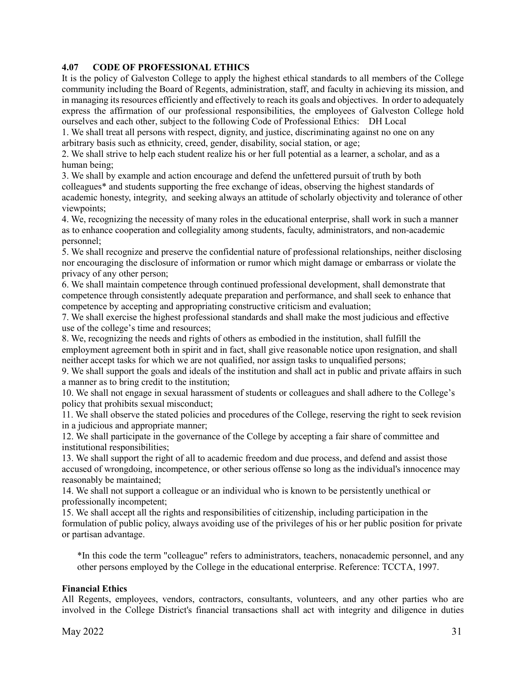## **4.07 CODE OF PROFESSIONAL ETHICS**

It is the policy of Galveston College to apply the highest ethical standards to all members of the College community including the Board of Regents, administration, staff, and faculty in achieving its mission, and in managing its resources efficiently and effectively to reach its goals and objectives. In order to adequately express the affirmation of our professional responsibilities, the employees of Galveston College hold ourselves and each other, subject to the following Code of Professional Ethics: DH Local

1. We shall treat all persons with respect, dignity, and justice, discriminating against no one on any arbitrary basis such as ethnicity, creed, gender, disability, social station, or age;

2. We shall strive to help each student realize his or her full potential as a learner, a scholar, and as a human being;

3. We shall by example and action encourage and defend the unfettered pursuit of truth by both colleagues\* and students supporting the free exchange of ideas, observing the highest standards of academic honesty, integrity, and seeking always an attitude of scholarly objectivity and tolerance of other viewpoints;

4. We, recognizing the necessity of many roles in the educational enterprise, shall work in such a manner as to enhance cooperation and collegiality among students, faculty, administrators, and non-academic personnel;

5. We shall recognize and preserve the confidential nature of professional relationships, neither disclosing nor encouraging the disclosure of information or rumor which might damage or embarrass or violate the privacy of any other person;

6. We shall maintain competence through continued professional development, shall demonstrate that competence through consistently adequate preparation and performance, and shall seek to enhance that competence by accepting and appropriating constructive criticism and evaluation;

7. We shall exercise the highest professional standards and shall make the most judicious and effective use of the college's time and resources;

8. We, recognizing the needs and rights of others as embodied in the institution, shall fulfill the employment agreement both in spirit and in fact, shall give reasonable notice upon resignation, and shall neither accept tasks for which we are not qualified, nor assign tasks to unqualified persons;

9. We shall support the goals and ideals of the institution and shall act in public and private affairs in such a manner as to bring credit to the institution;

10. We shall not engage in sexual harassment of students or colleagues and shall adhere to the College's policy that prohibits sexual misconduct;

11. We shall observe the stated policies and procedures of the College, reserving the right to seek revision in a judicious and appropriate manner;

12. We shall participate in the governance of the College by accepting a fair share of committee and institutional responsibilities;

13. We shall support the right of all to academic freedom and due process, and defend and assist those accused of wrongdoing, incompetence, or other serious offense so long as the individual's innocence may reasonably be maintained;

14. We shall not support a colleague or an individual who is known to be persistently unethical or professionally incompetent;

15. We shall accept all the rights and responsibilities of citizenship, including participation in the formulation of public policy, always avoiding use of the privileges of his or her public position for private or partisan advantage.

\*In this code the term "colleague" refers to administrators, teachers, nonacademic personnel, and any other persons employed by the College in the educational enterprise. Reference: TCCTA, 1997.

## **Financial Ethics**

All Regents, employees, vendors, contractors, consultants, volunteers, and any other parties who are involved in the College District's financial transactions shall act with integrity and diligence in duties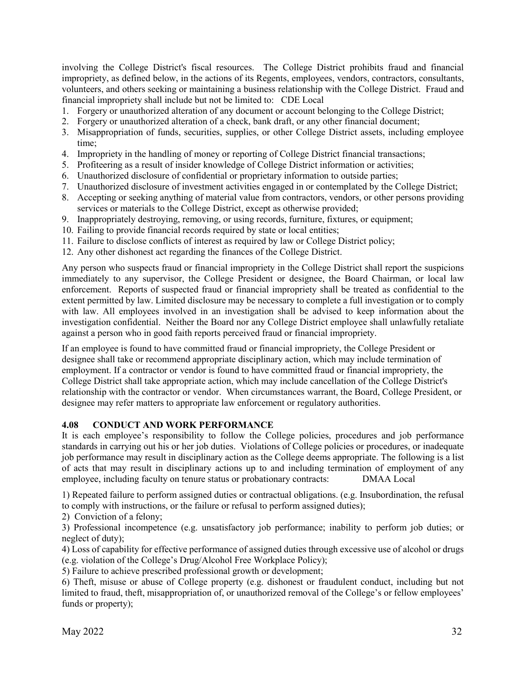involving the College District's fiscal resources. The College District prohibits fraud and financial impropriety, as defined below, in the actions of its Regents, employees, vendors, contractors, consultants, volunteers, and others seeking or maintaining a business relationship with the College District. Fraud and financial impropriety shall include but not be limited to: CDE Local

- 1. Forgery or unauthorized alteration of any document or account belonging to the College District;
- 2. Forgery or unauthorized alteration of a check, bank draft, or any other financial document;
- 3. Misappropriation of funds, securities, supplies, or other College District assets, including employee time;
- 4. Impropriety in the handling of money or reporting of College District financial transactions;
- 5. Profiteering as a result of insider knowledge of College District information or activities;
- 6. Unauthorized disclosure of confidential or proprietary information to outside parties;
- 7. Unauthorized disclosure of investment activities engaged in or contemplated by the College District;
- 8. Accepting or seeking anything of material value from contractors, vendors, or other persons providing services or materials to the College District, except as otherwise provided;
- 9. Inappropriately destroying, removing, or using records, furniture, fixtures, or equipment;
- 10. Failing to provide financial records required by state or local entities;
- 11. Failure to disclose conflicts of interest as required by law or College District policy;
- 12. Any other dishonest act regarding the finances of the College District.

Any person who suspects fraud or financial impropriety in the College District shall report the suspicions immediately to any supervisor, the College President or designee, the Board Chairman, or local law enforcement. Reports of suspected fraud or financial impropriety shall be treated as confidential to the extent permitted by law. Limited disclosure may be necessary to complete a full investigation or to comply with law. All employees involved in an investigation shall be advised to keep information about the investigation confidential. Neither the Board nor any College District employee shall unlawfully retaliate against a person who in good faith reports perceived fraud or financial impropriety.

If an employee is found to have committed fraud or financial impropriety, the College President or designee shall take or recommend appropriate disciplinary action, which may include termination of employment. If a contractor or vendor is found to have committed fraud or financial impropriety, the College District shall take appropriate action, which may include cancellation of the College District's relationship with the contractor or vendor. When circumstances warrant, the Board, College President, or designee may refer matters to appropriate law enforcement or regulatory authorities.

#### <span id="page-35-0"></span>**4.08 CONDUCT AND WORK PERFORMANCE**

It is each employee's responsibility to follow the College policies, procedures and job performance standards in carrying out his or her job duties. Violations of College policies or procedures, or inadequate job performance may result in disciplinary action as the College deems appropriate. The following is a list of acts that may result in disciplinary actions up to and including termination of employment of any employee, including faculty on tenure status or probationary contracts: DMAA Local

1) Repeated failure to perform assigned duties or contractual obligations. (e.g. Insubordination, the refusal to comply with instructions, or the failure or refusal to perform assigned duties);

2) Conviction of a felony;

3) Professional incompetence (e.g. unsatisfactory job performance; inability to perform job duties; or neglect of duty);

4) Loss of capability for effective performance of assigned duties through excessive use of alcohol or drugs (e.g. violation of the College's Drug/Alcohol Free Workplace Policy);

5) Failure to achieve prescribed professional growth or development;

6) Theft, misuse or abuse of College property (e.g. dishonest or fraudulent conduct, including but not limited to fraud, theft, misappropriation of, or unauthorized removal of the College's or fellow employees' funds or property);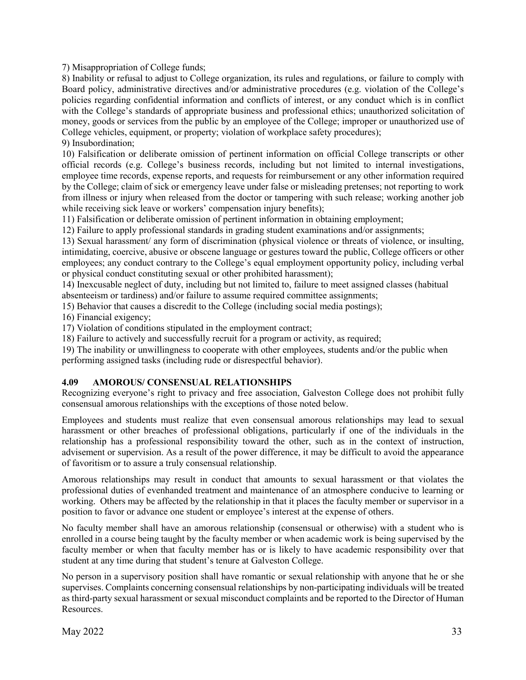7) Misappropriation of College funds;

8) Inability or refusal to adjust to College organization, its rules and regulations, or failure to comply with Board policy, administrative directives and/or administrative procedures (e.g. violation of the College's policies regarding confidential information and conflicts of interest, or any conduct which is in conflict with the College's standards of appropriate business and professional ethics; unauthorized solicitation of money, goods or services from the public by an employee of the College; improper or unauthorized use of College vehicles, equipment, or property; violation of workplace safety procedures); 9) Insubordination;

10) Falsification or deliberate omission of pertinent information on official College transcripts or other official records (e.g. College's business records, including but not limited to internal investigations, employee time records, expense reports, and requests for reimbursement or any other information required by the College; claim of sick or emergency leave under false or misleading pretenses; not reporting to work from illness or injury when released from the doctor or tampering with such release; working another job while receiving sick leave or workers' compensation injury benefits);

11) Falsification or deliberate omission of pertinent information in obtaining employment;

12) Failure to apply professional standards in grading student examinations and/or assignments;

13) Sexual harassment/ any form of discrimination (physical violence or threats of violence, or insulting, intimidating, coercive, abusive or obscene language or gestures toward the public, College officers or other employees; any conduct contrary to the College's equal employment opportunity policy, including verbal or physical conduct constituting sexual or other prohibited harassment);

14) Inexcusable neglect of duty, including but not limited to, failure to meet assigned classes (habitual absenteeism or tardiness) and/or failure to assume required committee assignments;

15) Behavior that causes a discredit to the College (including social media postings);

16) Financial exigency;

17) Violation of conditions stipulated in the employment contract;

18) Failure to actively and successfully recruit for a program or activity, as required;

19) The inability or unwillingness to cooperate with other employees, students and/or the public when performing assigned tasks (including rude or disrespectful behavior).

## **4.09 AMOROUS/ CONSENSUAL RELATIONSHIPS**

Recognizing everyone's right to privacy and free association, Galveston College does not prohibit fully consensual amorous relationships with the exceptions of those noted below.

Employees and students must realize that even consensual amorous relationships may lead to sexual harassment or other breaches of professional obligations, particularly if one of the individuals in the relationship has a professional responsibility toward the other, such as in the context of instruction, advisement or supervision. As a result of the power difference, it may be difficult to avoid the appearance of favoritism or to assure a truly consensual relationship.

Amorous relationships may result in conduct that amounts to sexual harassment or that violates the professional duties of evenhanded treatment and maintenance of an atmosphere conducive to learning or working. Others may be affected by the relationship in that it places the faculty member or supervisor in a position to favor or advance one student or employee's interest at the expense of others.

No faculty member shall have an amorous relationship (consensual or otherwise) with a student who is enrolled in a course being taught by the faculty member or when academic work is being supervised by the faculty member or when that faculty member has or is likely to have academic responsibility over that student at any time during that student's tenure at Galveston College.

No person in a supervisory position shall have romantic or sexual relationship with anyone that he or she supervises. Complaints concerning consensual relationships by non-participating individuals will be treated as third-party sexual harassment or sexual misconduct complaints and be reported to the Director of Human Resources.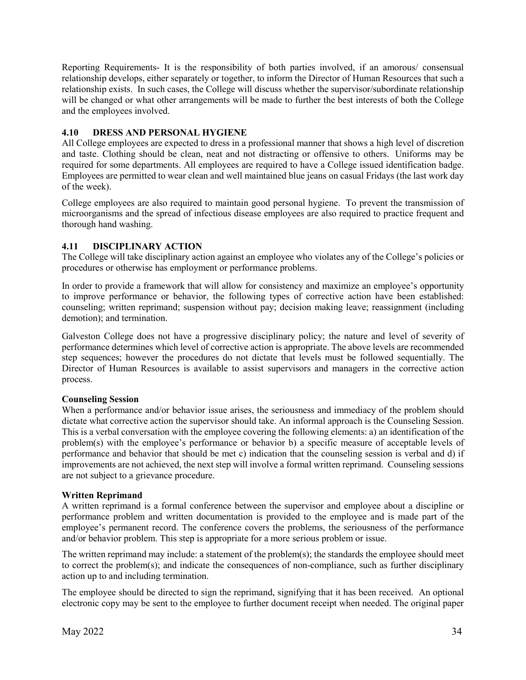[Reporting Requirements-](http://www.ajcity.net/Contribute/HR/Rule14_000.htm#Discipl#Discipl) It is the responsibility of both parties involved, if an amorous/ consensual relationshi[p develops, either separately or together, to inform the Director of Human Resources that such a](http://www.ajcity.net/Contribute/HR/Rule14_000.htm#Discipl#Discipl)  [relationship exists. In such cases, the College will discuss whether the supervisor/subordinate relationship](http://www.ajcity.net/Contribute/HR/Rule14_000.htm#Discipl#Discipl)  will be changed or what other arrangements will be made to further the best interests of both the College [and the employees involved.](http://www.ajcity.net/Contribute/HR/Rule14_000.htm#Discipl#Discipl)

# **4.10 DRESS AND PERSONAL HYGIENE**

All College employees are expected to dress in a professional manner that shows a high level of discretion and taste. Clothing should be clean, neat and not distracting or offensive to others. Uniforms may be required for some departments. All employees are required to have a College issued identification badge. Employees are permitted to wear clean and well maintained blue jeans on casual Fridays (the last work day of the week).

College employees are also required to maintain good personal hygiene. To prevent the transmission of microorganisms and the spread of infectious disease employees are also required to practice frequent and thorough hand washing.

# **4.11 DISCIPLINARY ACTION**

The College will take disciplinary action against an employee who violates any of the College's policies or procedures or otherwise has employment or performance problems.

In order to provide a framework that will allow for consistency and maximize an employee's opportunity to improve performance or behavior, the following types of corrective action have been established: counseling; written reprimand; suspension without pay; decision making leave; reassignment (including demotion); and termination.

Galveston College does not have a progressive disciplinary policy; the nature and level of severity of performance determines which level of corrective action is appropriate. The above levels are recommended step sequences; however the procedures do not dictate that levels must be followed sequentially. The Director of Human Resources is available to assist supervisors and managers in the corrective action process.

# **Counseling Session**

When a performance and/or behavior issue arises, the seriousness and immediacy of the problem should dictate what corrective action the supervisor should take. An informal approach is the Counseling Session. This is a verbal conversation with the employee covering the following elements: a) an identification of the problem(s) with the employee's performance or behavior b) a specific measure of acceptable levels of performance and behavior that should be met c) indication that the counseling session is verbal and d) if improvements are not achieved, the next step will involve a formal written reprimand. Counseling sessions are not subject to a grievance procedure.

# **Written Reprimand**

A written reprimand is a formal conference between the supervisor and employee about a discipline or performance problem and written documentation is provided to the employee and is made part of the employee's permanent record. The conference covers the problems, the seriousness of the performance and/or behavior problem. This step is appropriate for a more serious problem or issue.

The written reprimand may include: a statement of the problem(s); the standards the employee should meet to correct the problem(s); and indicate the consequences of non-compliance, such as further disciplinary action up to and including termination.

The employee should be directed to sign the reprimand, signifying that it has been received. An optional electronic copy may be sent to the employee to further document receipt when needed. The original paper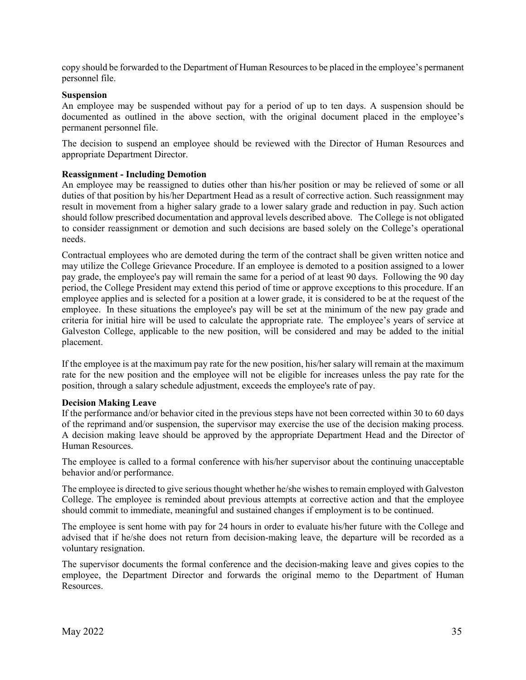copy should be forwarded to the Department of Human Resources to be placed in the employee's permanent personnel file.

# **Suspension**

An employee may be suspended without pay for a period of up to ten days. A suspension should be documented as outlined in the above section, with the original document placed in the employee's permanent personnel file.

The decision to suspend an employee should be reviewed with the Director of Human Resources and appropriate Department Director.

# **Reassignment - Including Demotion**

An employee may be reassigned to duties other than his/her position or may be relieved of some or all duties of that position by his/her Department Head as a result of corrective action. Such reassignment may result in movement from a higher salary grade to a lower salary grade and reduction in pay. Such action should follow prescribed documentation and approval levels described above. The College is not obligated to consider reassignment or demotion and such decisions are based solely on the College's operational needs.

Contractual employees who are demoted during the term of the contract shall be given written notice and may utilize the College Grievance Procedure. If an employee is demoted to a position assigned to a lower pay grade, the employee's pay will remain the same for a period of at least 90 days. Following the 90 day period, the College President may extend this period of time or approve exceptions to this procedure. If an employee applies and is selected for a position at a lower grade, it is considered to be at the request of the employee. In these situations the employee's pay will be set at the minimum of the new pay grade and criteria for initial hire will be used to calculate the appropriate rate. The employee's years of service at Galveston College, applicable to the new position, will be considered and may be added to the initial placement.

If the employee is at the maximum pay rate for the new position, his/her salary will remain at the maximum rate for the new position and the employee will not be eligible for increases unless the pay rate for the position, through a salary schedule adjustment, exceeds the employee's rate of pay.

## **Decision Making Leave**

If the performance and/or behavior cited in the previous steps have not been corrected within 30 to 60 days of the reprimand and/or suspension, the supervisor may exercise the use of the decision making process. A decision making leave should be approved by the appropriate Department Head and the Director of Human Resources.

The employee is called to a formal conference with his/her supervisor about the continuing unacceptable behavior and/or performance.

The employee is directed to give serious thought whether he/she wishes to remain employed with Galveston College. The employee is reminded about previous attempts at corrective action and that the employee should commit to immediate, meaningful and sustained changes if employment is to be continued.

The employee is sent home with pay for 24 hours in order to evaluate his/her future with the College and advised that if he/she does not return from decision-making leave, the departure will be recorded as a voluntary resignation.

The supervisor documents the formal conference and the decision-making leave and gives copies to the employee, the Department Director and forwards the original memo to the Department of Human Resources.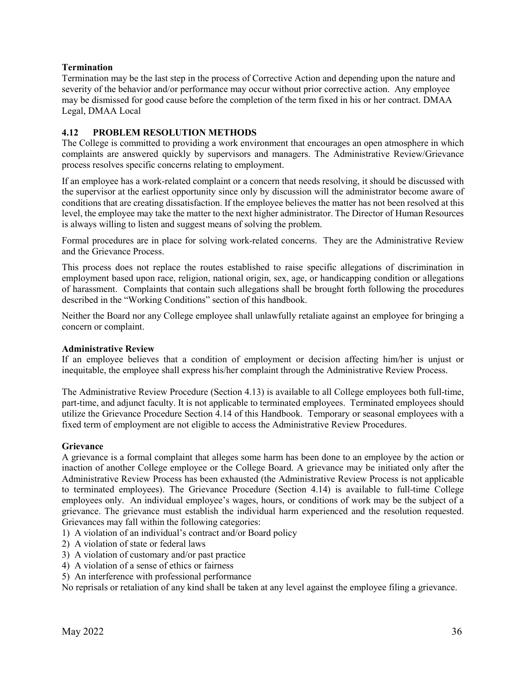# **Termination**

Termination may be the last step in the process of Corrective Action and depending upon the nature and severity of the behavior and/or performance may occur without prior corrective action. Any employee may be dismissed for good cause before the completion of the term fixed in his or her contract. DMAA Legal, DMAA Local

# **4.12 PROBLEM RESOLUTION METHODS**

The College is committed to providing a work environment that encourages an open atmosphere in which complaints are answered quickly by supervisors and managers. The Administrative Review/Grievance process resolves specific concerns relating to employment.

If an employee has a work-related complaint or a concern that needs resolving, it should be discussed with the supervisor at the earliest opportunity since only by discussion will the administrator become aware of conditions that are creating dissatisfaction. If the employee believes the matter has not been resolved at this level, the employee may take the matter to the next higher administrator. The Director of Human Resources is always willing to listen and suggest means of solving the problem.

Formal procedures are in place for solving work-related concerns. They are the Administrative Review and the Grievance Process.

This process does not replace the routes established to raise specific allegations of discrimination in employment based upon race, religion, national origin, sex, age, or handicapping condition or allegations of harassment. Complaints that contain such allegations shall be brought forth following the procedures described in the "Working Conditions" section of this handbook.

Neither the Board nor any College employee shall unlawfully retaliate against an employee for bringing a concern or complaint.

## **Administrative Review**

If an employee believes that a condition of employment or decision affecting him/her is unjust or inequitable, the employee shall express his/her complaint through the Administrative Review Process.

The Administrative Review Procedure (Section 4.13) is available to all College employees both full-time, part-time, and adjunct faculty. It is not applicable to terminated employees. Terminated employees should utilize the Grievance Procedure Section 4.14 of this Handbook. Temporary or seasonal employees with a fixed term of employment are not eligible to access the Administrative Review Procedures.

## **Grievance**

A grievance is a formal complaint that alleges some harm has been done to an employee by the action or inaction of another College employee or the College Board. A grievance may be initiated only after the Administrative Review Process has been exhausted (the Administrative Review Process is not applicable to terminated employees). The Grievance Procedure (Section 4.14) is available to full-time College employees only. An individual employee's wages, hours, or conditions of work may be the subject of a grievance. The grievance must establish the individual harm experienced and the resolution requested. Grievances may fall within the following categories:

- 1) A violation of an individual's contract and/or Board policy
- 2) A violation of state or federal laws
- 3) A violation of customary and/or past practice
- 4) A violation of a sense of ethics or fairness
- 5) An interference with professional performance

No reprisals or retaliation of any kind shall be taken at any level against the employee filing a grievance.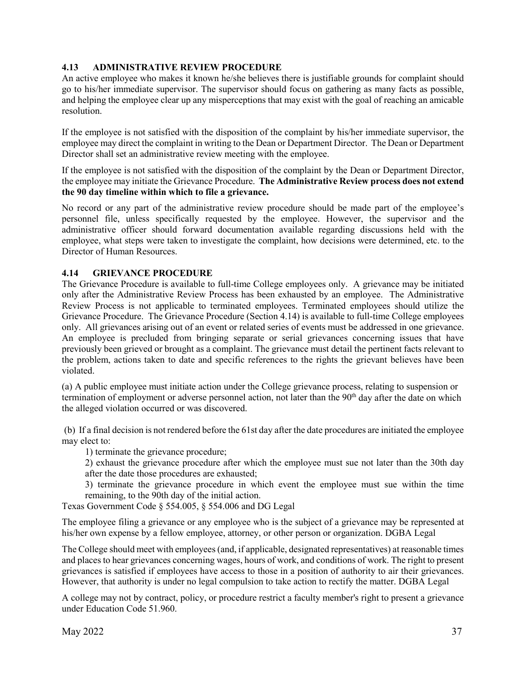# **4.13 ADMINISTRATIVE REVIEW PROCEDURE**

An active employee who makes it known he/she believes there is justifiable grounds for complaint should go to his/her immediate supervisor. The supervisor should focus on gathering as many facts as possible, and helping the employee clear up any misperceptions that may exist with the goal of reaching an amicable resolution.

If the employee is not satisfied with the disposition of the complaint by his/her immediate supervisor, the employee may direct the complaint in writing to the Dean or Department Director. The Dean or Department Director shall set an administrative review meeting with the employee.

If the employee is not satisfied with the disposition of the complaint by the Dean or Department Director, the employee may initiate the Grievance Procedure. **The Administrative Review process does not extend the 90 day timeline within which to file a grievance.**

No record or any part of the administrative review procedure should be made part of the employee's personnel file, unless specifically requested by the employee. However, the supervisor and the administrative officer should forward documentation available regarding discussions held with the employee, what steps were taken to investigate the complaint, how decisions were determined, etc. to the Director of Human Resources.

## **4.14 GRIEVANCE PROCEDURE**

The Grievance Procedure is available to full-time College employees only. A grievance may be initiated only after the Administrative Review Process has been exhausted by an employee. The Administrative Review Process is not applicable to terminated employees. Terminated employees should utilize the Grievance Procedure. The Grievance Procedure (Section 4.14) is available to full-time College employees only. All grievances arising out of an event or related series of events must be addressed in one grievance. An employee is precluded from bringing separate or serial grievances concerning issues that have previously been grieved or brought as a complaint. The grievance must detail the pertinent facts relevant to the problem, actions taken to date and specific references to the rights the grievant believes have been violated.

(a) A public employee must initiate action under the College grievance process, relating to suspension or termination of employment or adverse personnel action, not later than the  $90<sup>th</sup>$  day after the date on which the alleged violation occurred or was discovered.

(b) If a final decision is not rendered before the 61st day after the date procedures are initiated the employee may elect to:

1) terminate the grievance procedure;

2) exhaust the grievance procedure after which the employee must sue not later than the 30th day after the date those procedures are exhausted;

3) terminate the grievance procedure in which event the employee must sue within the time remaining, to the 90th day of the initial action.

Texas Government Code § 554.005, § 554.006 and DG Legal

The employee filing a grievance or any employee who is the subject of a grievance may be represented at his/her own expense by a fellow employee, attorney, or other person or organization. DGBA Legal

The College should meet with employees (and, if applicable, designated representatives) at reasonable times and places to hear grievances concerning wages, hours of work, and conditions of work. The right to present grievances is satisfied if employees have access to those in a position of authority to air their grievances. However, that authority is under no legal compulsion to take action to rectify the matter. DGBA Legal

A college may not by contract, policy, or procedure restrict a faculty member's right to present a grievance under Education Code 51.960.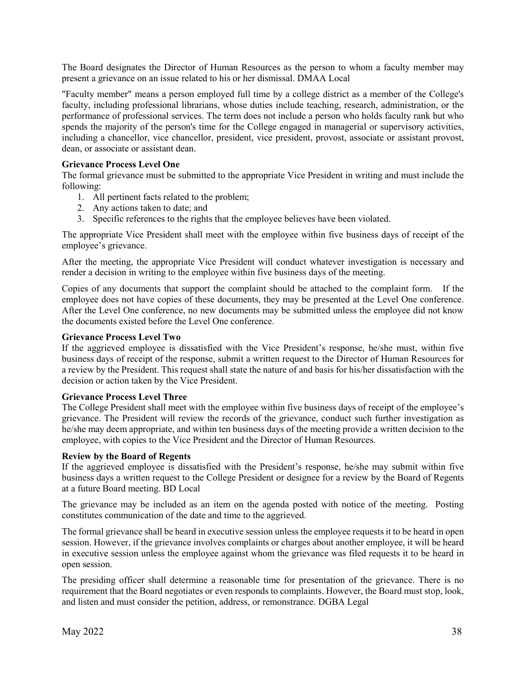The Board designates the Director of Human Resources as the person to whom a faculty member may present a grievance on an issue related to his or her dismissal. DMAA Local

"Faculty member" means a person employed full time by a college district as a member of the College's faculty, including professional librarians, whose duties include teaching, research, administration, or the performance of professional services. The term does not include a person who holds faculty rank but who spends the majority of the person's time for the College engaged in managerial or supervisory activities, including a chancellor, vice chancellor, president, vice president, provost, associate or assistant provost, dean, or associate or assistant dean.

## **Grievance Process Level One**

The formal grievance must be submitted to the appropriate Vice President in writing and must include the following:

- 1. All pertinent facts related to the problem;
- 2. Any actions taken to date; and
- 3. Specific references to the rights that the employee believes have been violated.

The appropriate Vice President shall meet with the employee within five business days of receipt of the employee's grievance.

After the meeting, the appropriate Vice President will conduct whatever investigation is necessary and render a decision in writing to the employee within five business days of the meeting.

Copies of any documents that support the complaint should be attached to the complaint form. If the employee does not have copies of these documents, they may be presented at the Level One conference. After the Level One conference, no new documents may be submitted unless the employee did not know the documents existed before the Level One conference.

## **Grievance Process Level Two**

If the aggrieved employee is dissatisfied with the Vice President's response, he/she must, within five business days of receipt of the response, submit a written request to the Director of Human Resources for a review by the President. This request shall state the nature of and basis for his/her dissatisfaction with the decision or action taken by the Vice President.

## **Grievance Process Level Three**

The College President shall meet with the employee within five business days of receipt of the employee's grievance. The President will review the records of the grievance, conduct such further investigation as he/she may deem appropriate, and within ten business days of the meeting provide a written decision to the employee, with copies to the Vice President and the Director of Human Resources.

## **Review by the Board of Regents**

If the aggrieved employee is dissatisfied with the President's response, he/she may submit within five business days a written request to the College President or designee for a review by the Board of Regents at a future Board meeting. BD Local

The grievance may be included as an item on the agenda posted with notice of the meeting. Posting constitutes communication of the date and time to the aggrieved.

The formal grievance shall be heard in executive session unless the employee requests it to be heard in open session. However, if the grievance involves complaints or charges about another employee, it will be heard in executive session unless the employee against whom the grievance was filed requests it to be heard in open session.

The presiding officer shall determine a reasonable time for presentation of the grievance. There is no requirement that the Board negotiates or even responds to complaints. However, the Board must stop, look, and listen and must consider the petition, address, or remonstrance. DGBA Legal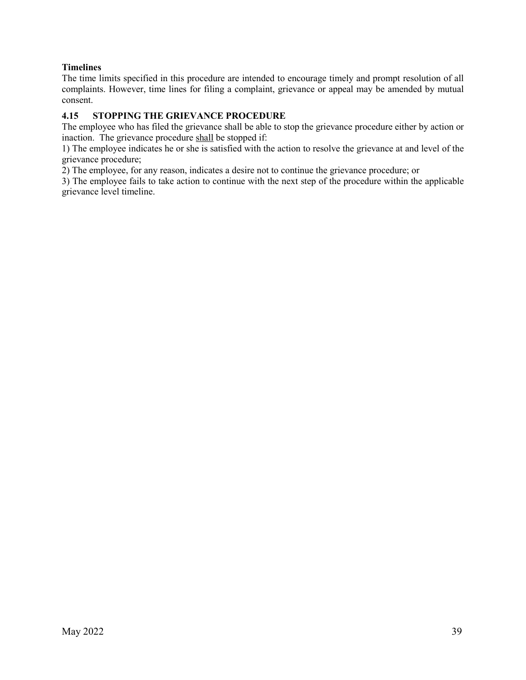# **Timelines**

The time limits specified in this procedure are intended to encourage timely and prompt resolution of all complaints. However, time lines for filing a complaint, grievance or appeal may be amended by mutual consent.

# **4.15 STOPPING THE GRIEVANCE PROCEDURE**

The employee who has filed the grievance shall be able to stop the grievance procedure either by action or inaction. The grievance procedure shall be stopped if:

1) The employee indicates he or she is satisfied with the action to resolve the grievance at and level of the grievance procedure;

2) The employee, for any reason, indicates a desire not to continue the grievance procedure; or

3) The employee fails to take action to continue with the next step of the procedure within the applicable grievance level timeline.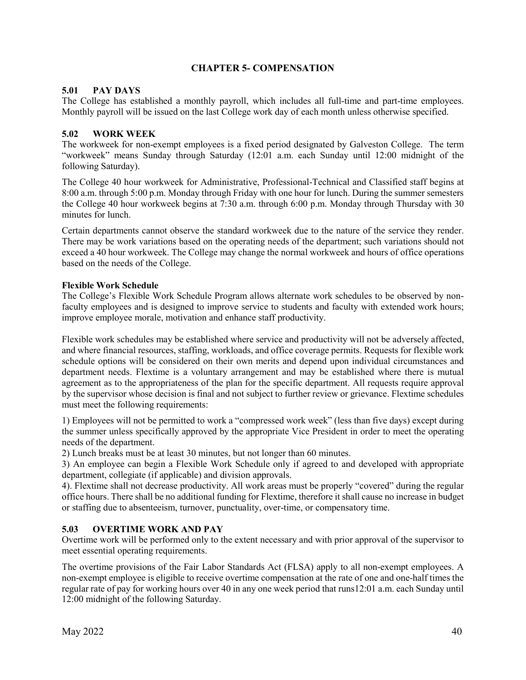# **CHAPTER 5- COMPENSATION**

# **5.01 PAY DAYS**

The College has established a monthly payroll, which includes all full-time and part-time employees. Monthly payroll will be issued on the last College work day of each month unless otherwise specified.

# **5.02 WORK WEEK**

The workweek for non-exempt employees is a fixed period designated by Galveston College. The term "workweek" means Sunday through Saturday (12:01 a.m. each Sunday until 12:00 midnight of the following Saturday).

The College 40 hour workweek for Administrative, Professional-Technical and Classified staff begins at 8:00 a.m. through 5:00 p.m. Monday through Friday with one hour for lunch. During the summer semesters the College 40 hour workweek begins at 7:30 a.m. through 6:00 p.m. Monday through Thursday with 30 minutes for lunch.

Certain departments cannot observe the standard workweek due to the nature of the service they render. There may be work variations based on the operating needs of the department; such variations should not exceed a 40 hour workweek. The College may change the normal workweek and hours of office operations based on the needs of the College.

## **Flexible Work Schedule**

The College's Flexible Work Schedule Program allows alternate work schedules to be observed by nonfaculty employees and is designed to improve service to students and faculty with extended work hours; improve employee morale, motivation and enhance staff productivity.

Flexible work schedules may be established where service and productivity will not be adversely affected, and where financial resources, staffing, workloads, and office coverage permits. Requests for flexible work schedule options will be considered on their own merits and depend upon individual circumstances and department needs. Flextime is a voluntary arrangement and may be established where there is mutual agreement as to the appropriateness of the plan for the specific department. All requests require approval by the supervisor whose decision is final and not subject to further review or grievance. Flextime schedules must meet the following requirements:

1) Employees will not be permitted to work a "compressed work week" (less than five days) except during the summer unless specifically approved by the appropriate Vice President in order to meet the operating needs of the department.

2) Lunch breaks must be at least 30 minutes, but not longer than 60 minutes.

3) An employee can begin a Flexible Work Schedule only if agreed to and developed with appropriate department, collegiate (if applicable) and division approvals.

4). Flextime shall not decrease productivity. All work areas must be properly "covered" during the regular office hours. There shall be no additional funding for Flextime, therefore it shall cause no increase in budget or staffing due to absenteeism, turnover, punctuality, over-time, or compensatory time.

# **5.03 OVERTIME WORK AND PAY**

Overtime work will be performed only to the extent necessary and with prior approval of the supervisor to meet essential operating requirements.

The overtime provisions of the Fair Labor Standards Act (FLSA) apply to all non-exempt employees. A non-exempt employee is eligible to receive overtime compensation at the rate of one and one-half times the regular rate of pay for working hours over 40 in any one week period that runs12:01 a.m. each Sunday until 12:00 midnight of the following Saturday.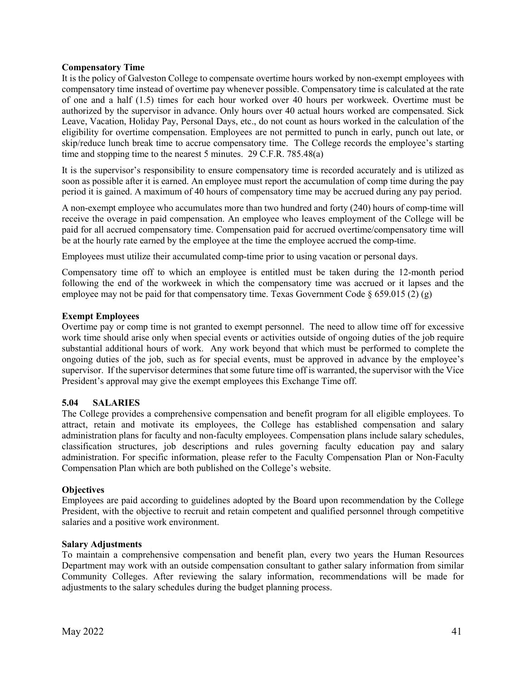## **Compensatory Time**

It is the policy of Galveston College to compensate overtime hours worked by non-exempt employees with compensatory time instead of overtime pay whenever possible. Compensatory time is calculated at the rate of one and a half (1.5) times for each hour worked over 40 hours per workweek. Overtime must be authorized by the supervisor in advance. Only hours over 40 actual hours worked are compensated. Sick Leave, Vacation, Holiday Pay, Personal Days, etc., do not count as hours worked in the calculation of the eligibility for overtime compensation. Employees are not permitted to punch in early, punch out late, or skip/reduce lunch break time to accrue compensatory time. The College records the employee's starting time and stopping time to the nearest 5 minutes. 29 C.F.R. 785.48(a)

It is the supervisor's responsibility to ensure compensatory time is recorded accurately and is utilized as soon as possible after it is earned. An employee must report the accumulation of comp time during the pay period it is gained. A maximum of 40 hours of compensatory time may be accrued during any pay period.

A non-exempt employee who accumulates more than two hundred and forty (240) hours of comp-time will receive the overage in paid compensation. An employee who leaves employment of the College will be paid for all accrued compensatory time. Compensation paid for accrued overtime/compensatory time will be at the hourly rate earned by the employee at the time the employee accrued the comp-time.

Employees must utilize their accumulated comp-time prior to using vacation or personal days.

Compensatory time off to which an employee is entitled must be taken during the 12-month period following the end of the workweek in which the compensatory time was accrued or it lapses and the employee may not be paid for that compensatory time. Texas Government Code  $\S 659.015 (2) (g)$ 

# **Exempt Employees**

Overtime pay or comp time is not granted to exempt personnel. The need to allow time off for excessive work time should arise only when special events or activities outside of ongoing duties of the job require substantial additional hours of work. Any work beyond that which must be performed to complete the ongoing duties of the job, such as for special events, must be approved in advance by the employee's supervisor. If the supervisor determines that some future time off is warranted, the supervisor with the Vice President's approval may give the exempt employees this Exchange Time off.

## **5.04 SALARIES**

The College provides a comprehensive compensation and benefit program for all eligible employees. To attract, retain and motivate its employees, the College has established compensation and salary administration plans for faculty and non-faculty employees. Compensation plans include salary schedules, classification structures, job descriptions and rules governing faculty education pay and salary administration. For specific information, please refer to the Faculty Compensation Plan or Non-Faculty Compensation Plan which are both published on the College's website.

## **Objectives**

Employees are paid according to guidelines adopted by the Board upon recommendation by the College President, with the objective to recruit and retain competent and qualified personnel through competitive salaries and a positive work environment.

## **Salary Adjustments**

To maintain a comprehensive compensation and benefit plan, every two years the Human Resources Department may work with an outside compensation consultant to gather salary information from similar Community Colleges. After reviewing the salary information, recommendations will be made for adjustments to the salary schedules during the budget planning process.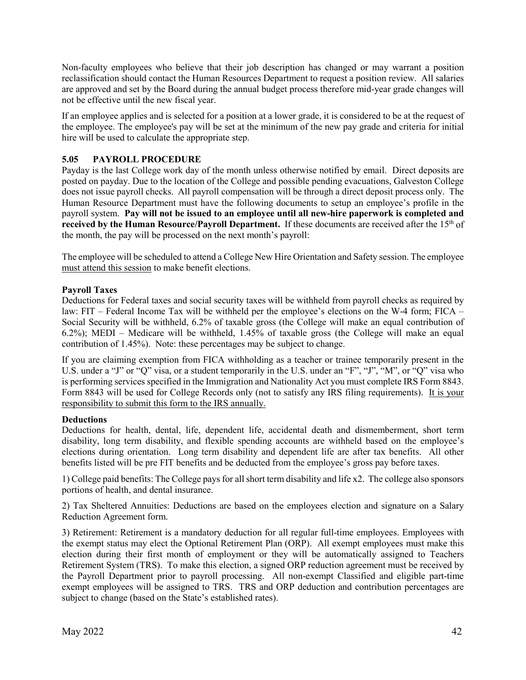Non-faculty employees who believe that their job description has changed or may warrant a position reclassification should contact the Human Resources Department to request a position review. All salaries are approved and set by the Board during the annual budget process therefore mid-year grade changes will not be effective until the new fiscal year.

If an employee applies and is selected for a position at a lower grade, it is considered to be at the request of the employee. The employee's pay will be set at the minimum of the new pay grade and criteria for initial hire will be used to calculate the appropriate step.

# **5.05 PAYROLL PROCEDURE**

Payday is the last College work day of the month unless otherwise notified by email. Direct deposits are posted on payday. Due to the location of the College and possible pending evacuations, Galveston College does not issue payroll checks. All payroll compensation will be through a direct deposit process only. The Human Resource Department must have the following documents to setup an employee's profile in the payroll system. **Pay will not be issued to an employee until all new-hire paperwork is completed and received by the Human Resource/Payroll Department.** If these documents are received after the 15<sup>th</sup> of the month, the pay will be processed on the next month's payroll:

The employee will be scheduled to attend a College New Hire Orientation and Safety session. The employee must attend this session to make benefit elections.

# **Payroll Taxes**

Deductions for Federal taxes and social security taxes will be withheld from payroll checks as required by law: FIT – Federal Income Tax will be withheld per the employee's elections on the W-4 form; FICA – Social Security will be withheld, 6.2% of taxable gross (the College will make an equal contribution of 6.2%); MEDI – Medicare will be withheld, 1.45% of taxable gross (the College will make an equal contribution of 1.45%). Note: these percentages may be subject to change.

If you are claiming exemption from FICA withholding as a teacher or trainee temporarily present in the U.S. under a "J" or "Q" visa, or a student temporarily in the U.S. under an "F", "J", "M", or "Q" visa who is performing services specified in the Immigration and Nationality Act you must complete IRS Form 8843. Form 8843 will be used for College Records only (not to satisfy any IRS filing requirements). It is your responsibility to submit this form to the IRS annually.

## **Deductions**

Deductions for health, dental, life, dependent life, accidental death and dismemberment, short term disability, long term disability, and flexible spending accounts are withheld based on the employee's elections during orientation. Long term disability and dependent life are after tax benefits. All other benefits listed will be pre FIT benefits and be deducted from the employee's gross pay before taxes.

1) College paid benefits: The College pays for all short term disability and life x2. The college also sponsors portions of health, and dental insurance.

2) Tax Sheltered Annuities: Deductions are based on the employees election and signature on a Salary Reduction Agreement form.

3) Retirement: Retirement is a mandatory deduction for all regular full-time employees. Employees with the exempt status may elect the Optional Retirement Plan (ORP). All exempt employees must make this election during their first month of employment or they will be automatically assigned to Teachers Retirement System (TRS). To make this election, a signed ORP reduction agreement must be received by the Payroll Department prior to payroll processing. All non-exempt Classified and eligible part-time exempt employees will be assigned to TRS. TRS and ORP deduction and contribution percentages are subject to change (based on the State's established rates).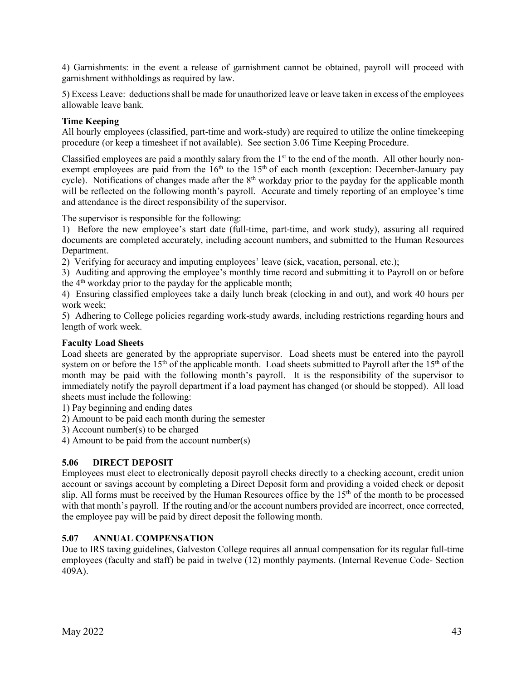4) Garnishments: in the event a release of garnishment cannot be obtained, payroll will proceed with garnishment withholdings as required by law.

5) Excess Leave: deductions shall be made for unauthorized leave or leave taken in excess of the employees allowable leave bank.

# **Time Keeping**

All hourly employees (classified, part-time and work-study) are required to utilize the online timekeeping procedure (or keep a timesheet if not available). See section 3.06 Time Keeping Procedure.

Classified employees are paid a monthly salary from the  $1<sup>st</sup>$  to the end of the month. All other hourly nonexempt employees are paid from the 16<sup>th</sup> to the 15<sup>th</sup> of each month (exception: December-January pay cycle). Notifications of changes made after the  $8<sup>th</sup>$  workday prior to the payday for the applicable month will be reflected on the following month's payroll. Accurate and timely reporting of an employee's time and attendance is the direct responsibility of the supervisor.

The supervisor is responsible for the following:

1) Before the new employee's start date (full-time, part-time, and work study), assuring all required documents are completed accurately, including account numbers, and submitted to the Human Resources Department.

2) Verifying for accuracy and imputing employees' leave (sick, vacation, personal, etc.);

3) Auditing and approving the employee's monthly time record and submitting it to Payroll on or before the 4th workday prior to the payday for the applicable month;

4) Ensuring classified employees take a daily lunch break (clocking in and out), and work 40 hours per work week;

5) Adhering to College policies regarding work-study awards, including restrictions regarding hours and length of work week.

# **Faculty Load Sheets**

Load sheets are generated by the appropriate supervisor. Load sheets must be entered into the payroll system on or before the  $15<sup>th</sup>$  of the applicable month. Load sheets submitted to Payroll after the  $15<sup>th</sup>$  of the month may be paid with the following month's payroll. It is the responsibility of the supervisor to immediately notify the payroll department if a load payment has changed (or should be stopped). All load sheets must include the following:

1) Pay beginning and ending dates

2) Amount to be paid each month during the semester

3) Account number(s) to be charged

4) Amount to be paid from the account number(s)

## **5.06 DIRECT DEPOSIT**

Employees must elect to electronically deposit payroll checks directly to a checking account, credit union account or savings account by completing a Direct Deposit form and providing a voided check or deposit slip. All forms must be received by the Human Resources office by the  $15<sup>th</sup>$  of the month to be processed with that month's payroll. If the routing and/or the account numbers provided are incorrect, once corrected, the employee pay will be paid by direct deposit the following month.

## **5.07 ANNUAL COMPENSATION**

Due to IRS taxing guidelines, Galveston College requires all annual compensation for its regular full-time employees (faculty and staff) be paid in twelve (12) monthly payments. (Internal Revenue Code- Section 409A).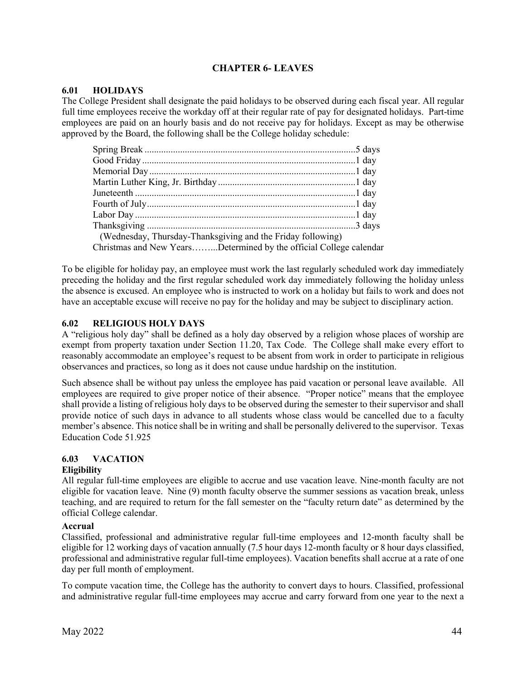# **CHAPTER 6- LEAVES**

# **6.01 HOLIDAYS**

The College President shall designate the paid holidays to be observed during each fiscal year. All regular full time employees receive the workday off at their regular rate of pay for designated holidays. Part-time employees are paid on an hourly basis and do not receive pay for holidays. Except as may be otherwise approved by the Board, the following shall be the College holiday schedule:

| (Wednesday, Thursday-Thanksgiving and the Friday following)        |  |
|--------------------------------------------------------------------|--|
| Christmas and New YearsDetermined by the official College calendar |  |

To be eligible for holiday pay, an employee must work the last regularly scheduled work day immediately preceding the holiday and the first regular scheduled work day immediately following the holiday unless the absence is excused. An employee who is instructed to work on a holiday but fails to work and does not have an acceptable excuse will receive no pay for the holiday and may be subject to disciplinary action.

# **6.02 RELIGIOUS HOLY DAYS**

A "religious holy day" shall be defined as a holy day observed by a religion whose places of worship are exempt from property taxation under Section 11.20, Tax Code. The College shall make every effort to reasonably accommodate an employee's request to be absent from work in order to participate in religious observances and practices, so long as it does not cause undue hardship on the institution.

Such absence shall be without pay unless the employee has paid vacation or personal leave available. All employees are required to give proper notice of their absence. "Proper notice" means that the employee shall provide a listing of religious holy days to be observed during the semester to their supervisor and shall provide notice of such days in advance to all students whose class would be cancelled due to a faculty member's absence. This notice shall be in writing and shall be personally delivered to the supervisor. Texas Education Code 51.925

# **6.03 VACATION**

## **Eligibility**

All regular full-time employees are eligible to accrue and use vacation leave. Nine-month faculty are not eligible for vacation leave. Nine (9) month faculty observe the summer sessions as vacation break, unless teaching, and are required to return for the fall semester on the "faculty return date" as determined by the official College calendar.

## **Accrual**

Classified, professional and administrative regular full-time employees and 12-month faculty shall be eligible for 12 working days of vacation annually (7.5 hour days 12-month faculty or 8 hour days classified, professional and administrative regular full-time employees). Vacation benefits shall accrue at a rate of one day per full month of employment.

To compute vacation time, the College has the authority to convert days to hours. Classified, professional and administrative regular full-time employees may accrue and carry forward from one year to the next a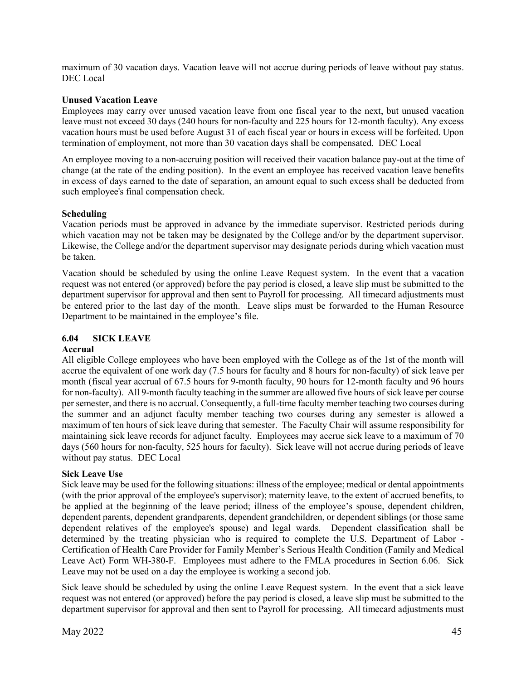maximum of 30 vacation days. Vacation leave will not accrue during periods of leave without pay status. DEC Local

## **Unused Vacation Leave**

Employees may carry over unused vacation leave from one fiscal year to the next, but unused vacation leave must not exceed 30 days (240 hours for non-faculty and 225 hours for 12-month faculty). Any excess vacation hours must be used before August 31 of each fiscal year or hours in excess will be forfeited. Upon termination of employment, not more than 30 vacation days shall be compensated. DEC Local

An employee moving to a non-accruing position will received their vacation balance pay-out at the time of change (at the rate of the ending position). In the event an employee has received vacation leave benefits in excess of days earned to the date of separation, an amount equal to such excess shall be deducted from such employee's final compensation check.

## **Scheduling**

Vacation periods must be approved in advance by the immediate supervisor. Restricted periods during which vacation may not be taken may be designated by the College and/or by the department supervisor. Likewise, the College and/or the department supervisor may designate periods during which vacation must be taken.

Vacation should be scheduled by using the online Leave Request system. In the event that a vacation request was not entered (or approved) before the pay period is closed, a leave slip must be submitted to the department supervisor for approval and then sent to Payroll for processing. All timecard adjustments must be entered prior to the last day of the month. Leave slips must be forwarded to the Human Resource Department to be maintained in the employee's file.

# **6.04 SICK LEAVE**

## **Accrual**

All eligible College employees who have been employed with the College as of the 1st of the month will accrue the equivalent of one work day (7.5 hours for faculty and 8 hours for non-faculty) of sick leave per month (fiscal year accrual of 67.5 hours for 9-month faculty, 90 hours for 12-month faculty and 96 hours for non-faculty). All 9-month faculty teaching in the summer are allowed five hours of sick leave per course per semester, and there is no accrual. Consequently, a full-time faculty member teaching two courses during the summer and an adjunct faculty member teaching two courses during any semester is allowed a maximum of ten hours of sick leave during that semester. The Faculty Chair will assume responsibility for maintaining sick leave records for adjunct faculty. Employees may accrue sick leave to a maximum of 70 days (560 hours for non-faculty, 525 hours for faculty). Sick leave will not accrue during periods of leave without pay status. DEC Local

## **Sick Leave Use**

Sick leave may be used for the following situations: illness of the employee; medical or dental appointments (with the prior approval of the employee's supervisor); maternity leave, to the extent of accrued benefits, to be applied at the beginning of the leave period; illness of the employee's spouse, dependent children, dependent parents, dependent grandparents, dependent grandchildren, or dependent siblings (or those same dependent relatives of the employee's spouse) and legal wards. Dependent classification shall be determined by the treating physician who is required to complete the U.S. Department of Labor - Certification of Health Care Provider for Family Member's Serious Health Condition (Family and Medical Leave Act) Form WH-380-F. Employees must adhere to the FMLA procedures in Section 6.06. Sick Leave may not be used on a day the employee is working a second job.

Sick leave should be scheduled by using the online Leave Request system. In the event that a sick leave request was not entered (or approved) before the pay period is closed, a leave slip must be submitted to the department supervisor for approval and then sent to Payroll for processing. All timecard adjustments must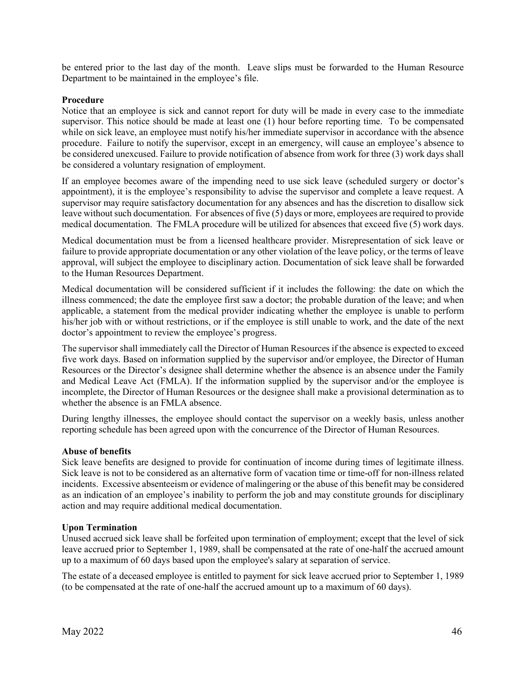be entered prior to the last day of the month. Leave slips must be forwarded to the Human Resource Department to be maintained in the employee's file.

## **Procedure**

Notice that an employee is sick and cannot report for duty will be made in every case to the immediate supervisor. This notice should be made at least one (1) hour before reporting time. To be compensated while on sick leave, an employee must notify his/her immediate supervisor in accordance with the absence procedure. Failure to notify the supervisor, except in an emergency, will cause an employee's absence to be considered unexcused. Failure to provide notification of absence from work for three (3) work days shall be considered a voluntary resignation of employment.

If an employee becomes aware of the impending need to use sick leave (scheduled surgery or doctor's appointment), it is the employee's responsibility to advise the supervisor and complete a leave request. A supervisor may require satisfactory documentation for any absences and has the discretion to disallow sick leave without such documentation. For absences of five (5) days or more, employees are required to provide medical documentation. The FMLA procedure will be utilized for absences that exceed five (5) work days.

Medical documentation must be from a licensed healthcare provider. Misrepresentation of sick leave or failure to provide appropriate documentation or any other violation of the leave policy, or the terms of leave approval, will subject the employee to disciplinary action. Documentation of sick leave shall be forwarded to the Human Resources Department.

Medical documentation will be considered sufficient if it includes the following: the date on which the illness commenced; the date the employee first saw a doctor; the probable duration of the leave; and when applicable, a statement from the medical provider indicating whether the employee is unable to perform his/her job with or without restrictions, or if the employee is still unable to work, and the date of the next doctor's appointment to review the employee's progress.

The supervisor shall immediately call the Director of Human Resources if the absence is expected to exceed five work days. Based on information supplied by the supervisor and/or employee, the Director of Human Resources or the Director's designee shall determine whether the absence is an absence under the Family and Medical Leave Act (FMLA). If the information supplied by the supervisor and/or the employee is incomplete, the Director of Human Resources or the designee shall make a provisional determination as to whether the absence is an FMLA absence.

During lengthy illnesses, the employee should contact the supervisor on a weekly basis, unless another reporting schedule has been agreed upon with the concurrence of the Director of Human Resources.

#### **Abuse of benefits**

Sick leave benefits are designed to provide for continuation of income during times of legitimate illness. Sick leave is not to be considered as an alternative form of vacation time or time-off for non-illness related incidents. Excessive absenteeism or evidence of malingering or the abuse of this benefit may be considered as an indication of an employee's inability to perform the job and may constitute grounds for disciplinary action and may require additional medical documentation.

#### **Upon Termination**

Unused accrued sick leave shall be forfeited upon termination of employment; except that the level of sick leave accrued prior to September 1, 1989, shall be compensated at the rate of one-half the accrued amount up to a maximum of 60 days based upon the employee's salary at separation of service.

The estate of a deceased employee is entitled to payment for sick leave accrued prior to September 1, 1989 (to be compensated at the rate of one-half the accrued amount up to a maximum of 60 days).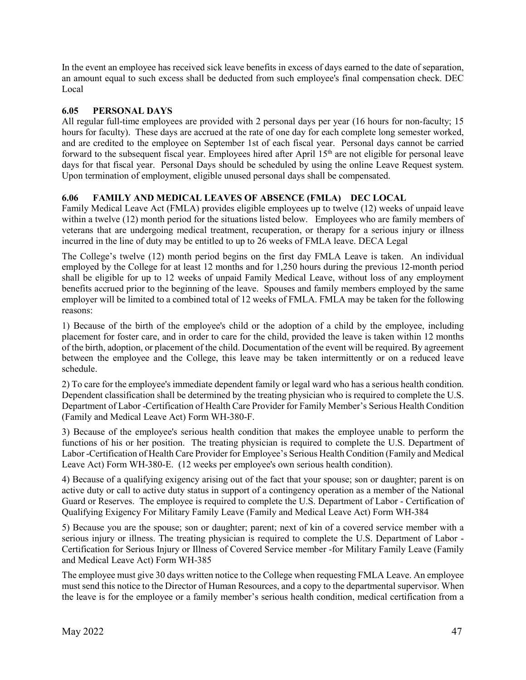In the event an employee has received sick leave benefits in excess of days earned to the date of separation, an amount equal to such excess shall be deducted from such employee's final compensation check. DEC Local

# **6.05 PERSONAL DAYS**

All regular full-time employees are provided with 2 personal days per year (16 hours for non-faculty; 15 hours for faculty). These days are accrued at the rate of one day for each complete long semester worked, and are credited to the employee on September 1st of each fiscal year. Personal days cannot be carried forward to the subsequent fiscal year. Employees hired after April 15<sup>th</sup> are not eligible for personal leave days for that fiscal year. Personal Days should be scheduled by using the online Leave Request system. Upon termination of employment, eligible unused personal days shall be compensated.

# **6.06 FAMILY AND MEDICAL LEAVES OF ABSENCE (FMLA) DEC LOCAL**

Family Medical Leave Act (FMLA) provides eligible employees up to twelve (12) weeks of unpaid leave within a twelve (12) month period for the situations listed below. Employees who are family members of veterans that are undergoing medical treatment, recuperation, or therapy for a serious injury or illness incurred in the line of duty may be entitled to up to 26 weeks of FMLA leave. DECA Legal

The College's twelve (12) month period begins on the first day FMLA Leave is taken. An individual employed by the College for at least 12 months and for 1,250 hours during the previous 12-month period shall be eligible for up to 12 weeks of unpaid Family Medical Leave, without loss of any employment benefits accrued prior to the beginning of the leave. Spouses and family members employed by the same employer will be limited to a combined total of 12 weeks of FMLA. FMLA may be taken for the following reasons:

1) Because of the birth of the employee's child or the adoption of a child by the employee, including placement for foster care, and in order to care for the child, provided the leave is taken within 12 months of the birth, adoption, or placement of the child. Documentation of the event will be required. By agreement between the employee and the College, this leave may be taken intermittently or on a reduced leave schedule.

2) To care for the employee's immediate dependent family or legal ward who has a serious health condition. Dependent classification shall be determined by the treating physician who is required to complete the U.S. Department of Labor -Certification of Health Care Provider for Family Member's Serious Health Condition (Family and Medical Leave Act) Form WH-380-F.

3) Because of the employee's serious health condition that makes the employee unable to perform the functions of his or her position. The treating physician is required to complete the U.S. Department of Labor -Certification of Health Care Provider for Employee's Serious Health Condition (Family and Medical Leave Act) Form WH-380-E. (12 weeks per employee's own serious health condition).

4) Because of a qualifying exigency arising out of the fact that your spouse; son or daughter; parent is on active duty or call to active duty status in support of a contingency operation as a member of the National Guard or Reserves. The employee is required to complete the U.S. Department of Labor - Certification of Qualifying Exigency For Military Family Leave (Family and Medical Leave Act) Form WH-384

5) Because you are the spouse; son or daughter; parent; next of kin of a covered service member with a serious injury or illness. The treating physician is required to complete the U.S. Department of Labor - Certification for Serious Injury or Illness of Covered Service member -for Military Family Leave (Family and Medical Leave Act) Form WH-385

The employee must give 30 days written notice to the College when requesting FMLA Leave. An employee must send this notice to the Director of Human Resources, and a copy to the departmental supervisor. When the leave is for the employee or a family member's serious health condition, medical certification from a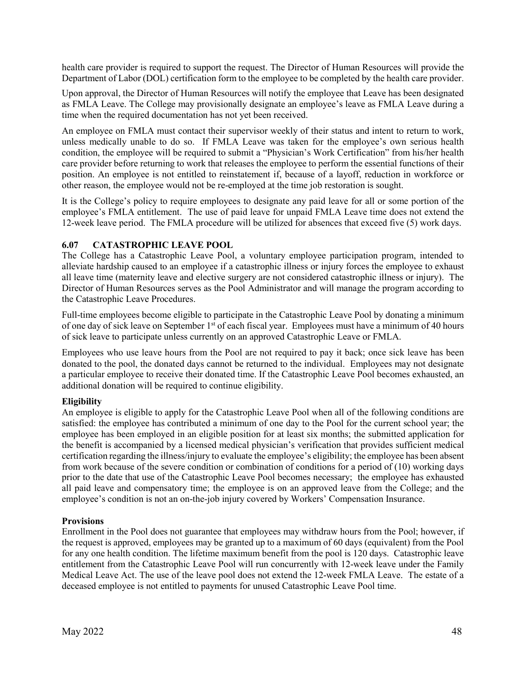health care provider is required to support the request. The Director of Human Resources will provide the Department of Labor (DOL) certification form to the employee to be completed by the health care provider.

Upon approval, the Director of Human Resources will notify the employee that Leave has been designated as FMLA Leave. The College may provisionally designate an employee's leave as FMLA Leave during a time when the required documentation has not yet been received.

An employee on FMLA must contact their supervisor weekly of their status and intent to return to work, unless medically unable to do so. If FMLA Leave was taken for the employee's own serious health condition, the employee will be required to submit a "Physician's Work Certification" from his/her health care provider before returning to work that releases the employee to perform the essential functions of their position. An employee is not entitled to reinstatement if, because of a layoff, reduction in workforce or other reason, the employee would not be re-employed at the time job restoration is sought.

It is the College's policy to require employees to designate any paid leave for all or some portion of the employee's FMLA entitlement. The use of paid leave for unpaid FMLA Leave time does not extend the 12-week leave period. The FMLA procedure will be utilized for absences that exceed five (5) work days.

# **6.07 CATASTROPHIC LEAVE POOL**

The College has a Catastrophic Leave Pool, a voluntary employee participation program, intended to alleviate hardship caused to an employee if a catastrophic illness or injury forces the employee to exhaust all leave time (maternity leave and elective surgery are not considered catastrophic illness or injury). The Director of Human Resources serves as the Pool Administrator and will manage the program according to the Catastrophic Leave Procedures.

Full-time employees become eligible to participate in the Catastrophic Leave Pool by donating a minimum of one day of sick leave on September 1<sup>st</sup> of each fiscal year. Employees must have a minimum of 40 hours of sick leave to participate unless currently on an approved Catastrophic Leave or FMLA.

Employees who use leave hours from the Pool are not required to pay it back; once sick leave has been donated to the pool, the donated days cannot be returned to the individual. Employees may not designate a particular employee to receive their donated time. If the Catastrophic Leave Pool becomes exhausted, an additional donation will be required to continue eligibility.

# **Eligibility**

An employee is eligible to apply for the Catastrophic Leave Pool when all of the following conditions are satisfied: the employee has contributed a minimum of one day to the Pool for the current school year; the employee has been employed in an eligible position for at least six months; the submitted application for the benefit is accompanied by a licensed medical physician's verification that provides sufficient medical certification regarding the illness/injury to evaluate the employee's eligibility; the employee has been absent from work because of the severe condition or combination of conditions for a period of (10) working days prior to the date that use of the Catastrophic Leave Pool becomes necessary; the employee has exhausted all paid leave and compensatory time; the employee is on an approved leave from the College; and the employee's condition is not an on-the-job injury covered by Workers' Compensation Insurance.

## **Provisions**

Enrollment in the Pool does not guarantee that employees may withdraw hours from the Pool; however, if the request is approved, employees may be granted up to a maximum of 60 days (equivalent) from the Pool for any one health condition. The lifetime maximum benefit from the pool is 120 days. Catastrophic leave entitlement from the Catastrophic Leave Pool will run concurrently with 12-week leave under the Family Medical Leave Act. The use of the leave pool does not extend the 12-week FMLA Leave. The estate of a deceased employee is not entitled to payments for unused Catastrophic Leave Pool time.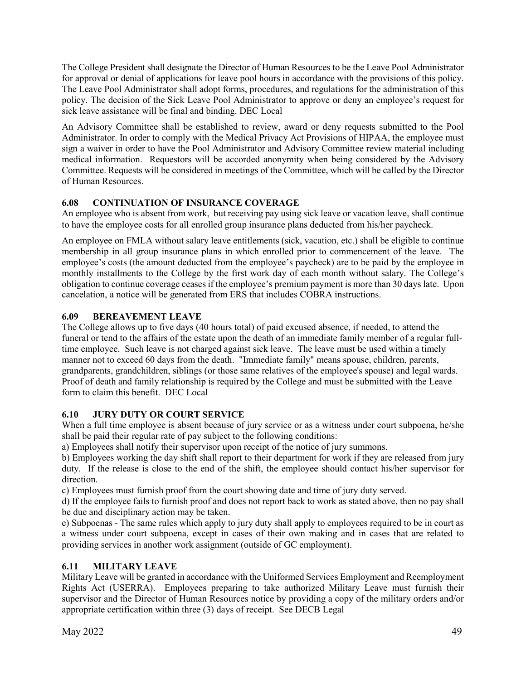The College President shall designate the Director of Human Resources to be the Leave Pool Administrator for approval or denial of applications for leave pool hours in accordance with the provisions of this policy. The Leave Pool Administrator shall adopt forms, procedures, and regulations for the administration of this policy. The decision of the Sick Leave Pool Administrator to approve or deny an employee's request for sick leave assistance will be final and binding. DEC Local

An Advisory Committee shall be established to review, award or deny requests submitted to the Pool Administrator. In order to comply with the Medical Privacy Act Provisions of HIPAA, the employee must sign a waiver in order to have the Pool Administrator and Advisory Committee review material including medical information. Requestors will be accorded anonymity when being considered by the Advisory Committee. Requests will be considered in meetings of the Committee, which will be called by the Director of Human Resources.

# **6.08 CONTINUATION OF INSURANCE COVERAGE**

An employee who is absent from work, but receiving pay using sick leave or vacation leave, shall continue to have the employee costs for all enrolled group insurance plans deducted from his/her paycheck.

An employee on FMLA without salary leave entitlements (sick, vacation, etc.) shall be eligible to continue membership in all group insurance plans in which enrolled prior to commencement of the leave. The employee's costs (the amount deducted from the employee's paycheck) are to be paid by the employee in monthly installments to the College by the first work day of each month without salary. The College's obligation to continue coverage ceases if the employee's premium payment is more than 30 days late. Upon cancelation, a notice will be generated from ERS that includes COBRA instructions.

# **6.09 BEREAVEMENT LEAVE**

The College allows up to five days (40 hours total) of paid excused absence, if needed, to attend the funeral or tend to the affairs of the estate upon the death of an immediate family member of a regular fulltime employee. Such leave is not charged against sick leave. The leave must be used within a timely manner not to exceed 60 days from the death. "Immediate family" means spouse, children, parents, grandparents, grandchildren, siblings (or those same relatives of the employee's spouse) and legal wards. Proof of death and family relationship is required by the College and must be submitted with the Leave form to claim this benefit. DEC Local

# **6.10 JURY DUTY OR COURT SERVICE**

When a full time employee is absent because of jury service or as a witness under court subpoena, he/she shall be paid their regular rate of pay subject to the following conditions:

a) Employees shall notify their supervisor upon receipt of the notice of jury summons.

b) Employees working the day shift shall report to their department for work if they are released from jury duty. If the release is close to the end of the shift, the employee should contact his/her supervisor for direction.

c) Employees must furnish proof from the court showing date and time of jury duty served.

d) If the employee fails to furnish proof and does not report back to work as stated above, then no pay shall be due and disciplinary action may be taken.

e) Subpoenas - The same rules which apply to jury duty shall apply to employees required to be in court as a witness under court subpoena, except in cases of their own making and in cases that are related to providing services in another work assignment (outside of GC employment).

# **6.11 MILITARY LEAVE**

Military Leave will be granted in accordance with the Uniformed Services Employment and Reemployment Rights Act (USERRA). Employees preparing to take authorized Military Leave must furnish their supervisor and the Director of Human Resources notice by providing a copy of the military orders and/or appropriate certification within three (3) days of receipt. See DECB Legal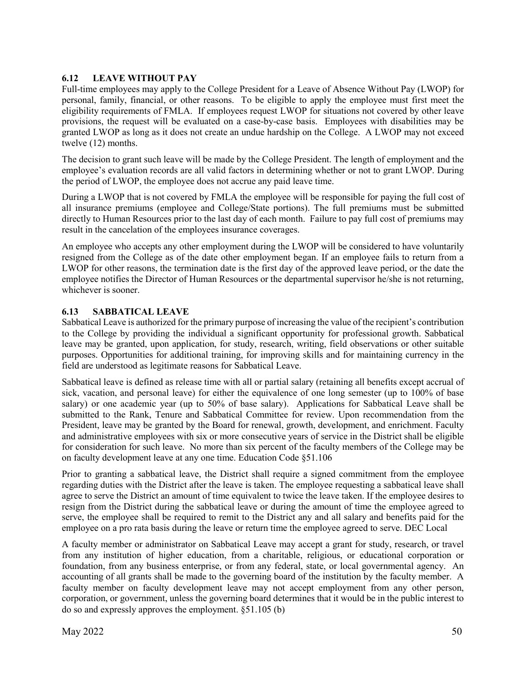# **6.12 LEAVE WITHOUT PAY**

Full-time employees may apply to the College President for a Leave of Absence Without Pay (LWOP) for personal, family, financial, or other reasons. To be eligible to apply the employee must first meet the eligibility requirements of FMLA. If employees request LWOP for situations not covered by other leave provisions, the request will be evaluated on a case-by-case basis. Employees with disabilities may be granted LWOP as long as it does not create an undue hardship on the College. A LWOP may not exceed twelve (12) months.

The decision to grant such leave will be made by the College President. The length of employment and the employee's evaluation records are all valid factors in determining whether or not to grant LWOP. During the period of LWOP, the employee does not accrue any paid leave time.

During a LWOP that is not covered by FMLA the employee will be responsible for paying the full cost of all insurance premiums (employee and College/State portions). The full premiums must be submitted directly to Human Resources prior to the last day of each month. Failure to pay full cost of premiums may result in the cancelation of the employees insurance coverages.

An employee who accepts any other employment during the LWOP will be considered to have voluntarily resigned from the College as of the date other employment began. If an employee fails to return from a LWOP for other reasons, the termination date is the first day of the approved leave period, or the date the employee notifies the Director of Human Resources or the departmental supervisor he/she is not returning, whichever is sooner.

# **6.13 SABBATICAL LEAVE**

Sabbatical Leave is authorized for the primary purpose of increasing the value of the recipient's contribution to the College by providing the individual a significant opportunity for professional growth. Sabbatical leave may be granted, upon application, for study, research, writing, field observations or other suitable purposes. Opportunities for additional training, for improving skills and for maintaining currency in the field are understood as legitimate reasons for Sabbatical Leave.

Sabbatical leave is defined as release time with all or partial salary (retaining all benefits except accrual of sick, vacation, and personal leave) for either the equivalence of one long semester (up to 100% of base salary) or one academic year (up to 50% of base salary). Applications for Sabbatical Leave shall be submitted to the Rank, Tenure and Sabbatical Committee for review. Upon recommendation from the President, leave may be granted by the Board for renewal, growth, development, and enrichment. Faculty and administrative employees with six or more consecutive years of service in the District shall be eligible for consideration for such leave. No more than six percent of the faculty members of the College may be on faculty development leave at any one time. Education Code §51.106

Prior to granting a sabbatical leave, the District shall require a signed commitment from the employee regarding duties with the District after the leave is taken. The employee requesting a sabbatical leave shall agree to serve the District an amount of time equivalent to twice the leave taken. If the employee desires to resign from the District during the sabbatical leave or during the amount of time the employee agreed to serve, the employee shall be required to remit to the District any and all salary and benefits paid for the employee on a pro rata basis during the leave or return time the employee agreed to serve. DEC Local

A faculty member or administrator on Sabbatical Leave may accept a grant for study, research, or travel from any institution of higher education, from a charitable, religious, or educational corporation or foundation, from any business enterprise, or from any federal, state, or local governmental agency. An accounting of all grants shall be made to the governing board of the institution by the faculty member. A faculty member on faculty development leave may not accept employment from any other person, corporation, or government, unless the governing board determines that it would be in the public interest to do so and expressly approves the employment. §51.105 (b)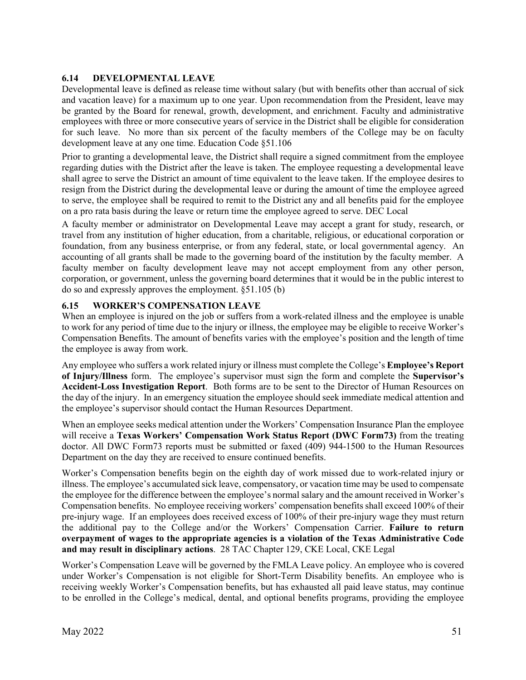# **6.14 DEVELOPMENTAL LEAVE**

Developmental leave is defined as release time without salary (but with benefits other than accrual of sick and vacation leave) for a maximum up to one year. Upon recommendation from the President, leave may be granted by the Board for renewal, growth, development, and enrichment. Faculty and administrative employees with three or more consecutive years of service in the District shall be eligible for consideration for such leave. No more than six percent of the faculty members of the College may be on faculty development leave at any one time. Education Code §51.106

Prior to granting a developmental leave, the District shall require a signed commitment from the employee regarding duties with the District after the leave is taken. The employee requesting a developmental leave shall agree to serve the District an amount of time equivalent to the leave taken. If the employee desires to resign from the District during the developmental leave or during the amount of time the employee agreed to serve, the employee shall be required to remit to the District any and all benefits paid for the employee on a pro rata basis during the leave or return time the employee agreed to serve. DEC Local

A faculty member or administrator on Developmental Leave may accept a grant for study, research, or travel from any institution of higher education, from a charitable, religious, or educational corporation or foundation, from any business enterprise, or from any federal, state, or local governmental agency. An accounting of all grants shall be made to the governing board of the institution by the faculty member. A faculty member on faculty development leave may not accept employment from any other person, corporation, or government, unless the governing board determines that it would be in the public interest to do so and expressly approves the employment. §51.105 (b)

# **6.15 WORKER'S COMPENSATION LEAVE**

When an employee is injured on the job or suffers from a work-related illness and the employee is unable to work for any period of time due to the injury or illness, the employee may be eligible to receive Worker's Compensation Benefits. The amount of benefits varies with the employee's position and the length of time the employee is away from work.

Any employee who suffers a work related injury or illness must complete the College's **Employee's Report of Injury/Illness** form. The employee's supervisor must sign the form and complete the **Supervisor's Accident-Loss Investigation Report**. Both forms are to be sent to the Director of Human Resources on the day of the injury. In an emergency situation the employee should seek immediate medical attention and the employee's supervisor should contact the Human Resources Department.

When an employee seeks medical attention under the Workers' Compensation Insurance Plan the employee will receive a **Texas Workers' Compensation Work Status Report (DWC Form73)** from the treating doctor. All DWC Form73 reports must be submitted or faxed (409) 944-1500 to the Human Resources Department on the day they are received to ensure continued benefits.

Worker's Compensation benefits begin on the eighth day of work missed due to work-related injury or illness. The employee's accumulated sick leave, compensatory, or vacation time may be used to compensate the employee for the difference between the employee's normal salary and the amount received in Worker's Compensation benefits. No employee receiving workers' compensation benefits shall exceed 100% of their pre-injury wage. If an employees does received excess of 100% of their pre-injury wage they must return the additional pay to the College and/or the Workers' Compensation Carrier. **Failure to return overpayment of wages to the appropriate agencies is a violation of the Texas Administrative Code and may result in disciplinary actions**. 28 TAC Chapter 129, CKE Local, CKE Legal

Worker's Compensation Leave will be governed by the FMLA Leave policy. An employee who is covered under Worker's Compensation is not eligible for Short-Term Disability benefits. An employee who is receiving weekly Worker's Compensation benefits, but has exhausted all paid leave status, may continue to be enrolled in the College's medical, dental, and optional benefits programs, providing the employee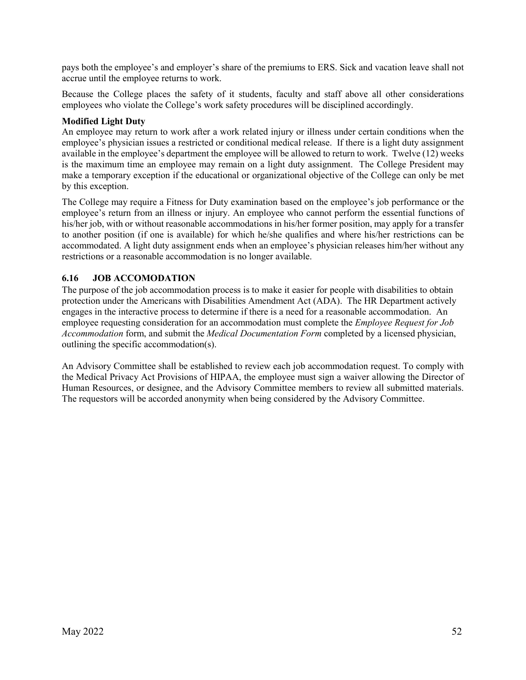pays both the employee's and employer's share of the premiums to ERS. Sick and vacation leave shall not accrue until the employee returns to work.

Because the College places the safety of it students, faculty and staff above all other considerations employees who violate the College's work safety procedures will be disciplined accordingly.

# **Modified Light Duty**

An employee may return to work after a work related injury or illness under certain conditions when the employee's physician issues a restricted or conditional medical release. If there is a light duty assignment available in the employee's department the employee will be allowed to return to work. Twelve (12) weeks is the maximum time an employee may remain on a light duty assignment. The College President may make a temporary exception if the educational or organizational objective of the College can only be met by this exception.

The College may require a Fitness for Duty examination based on the employee's job performance or the employee's return from an illness or injury. An employee who cannot perform the essential functions of his/her job, with or without reasonable accommodations in his/her former position, may apply for a transfer to another position (if one is available) for which he/she qualifies and where his/her restrictions can be accommodated. A light duty assignment ends when an employee's physician releases him/her without any restrictions or a reasonable accommodation is no longer available.

# **6.16 JOB ACCOMODATION**

The purpose of the job accommodation process is to make it easier for people with disabilities to obtain protection under the Americans with Disabilities Amendment Act (ADA). The HR Department actively engages in the interactive process to determine if there is a need for a reasonable accommodation. An employee requesting consideration for an accommodation must complete the *Employee Request for Job Accommodation* form, and submit the *Medical Documentation Form* completed by a licensed physician, outlining the specific accommodation(s).

An Advisory Committee shall be established to review each job accommodation request. To comply with the Medical Privacy Act Provisions of HIPAA, the employee must sign a waiver allowing the Director of Human Resources, or designee, and the Advisory Committee members to review all submitted materials. The requestors will be accorded anonymity when being considered by the Advisory Committee.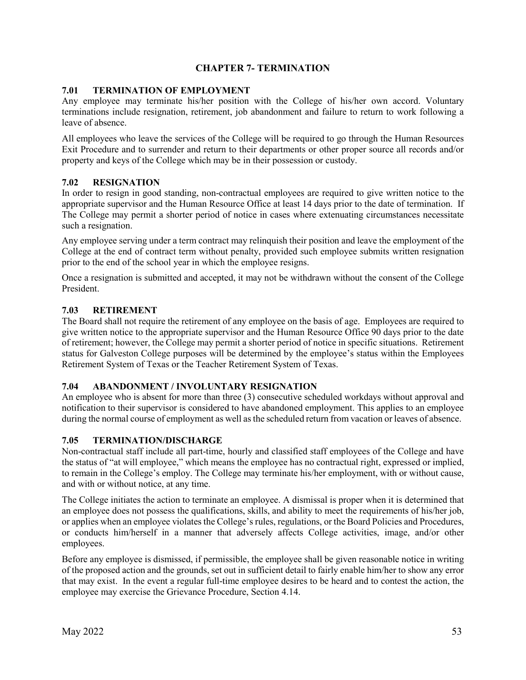# **CHAPTER 7- TERMINATION**

# **7.01 TERMINATION OF EMPLOYMENT**

Any employee may terminate his/her position with the College of his/her own accord. Voluntary terminations include resignation, retirement, job abandonment and failure to return to work following a leave of absence.

All employees who leave the services of the College will be required to go through the Human Resources Exit Procedure and to surrender and return to their departments or other proper source all records and/or property and keys of the College which may be in their possession or custody.

# **7.02 RESIGNATION**

In order to resign in good standing, non-contractual employees are required to give written notice to the appropriate supervisor and the Human Resource Office at least 14 days prior to the date of termination. If The College may permit a shorter period of notice in cases where extenuating circumstances necessitate such a resignation.

Any employee serving under a term contract may relinquish their position and leave the employment of the College at the end of contract term without penalty, provided such employee submits written resignation prior to the end of the school year in which the employee resigns.

Once a resignation is submitted and accepted, it may not be withdrawn without the consent of the College President.

## **7.03 RETIREMENT**

The Board shall not require the retirement of any employee on the basis of age. Employees are required to give written notice to the appropriate supervisor and the Human Resource Office 90 days prior to the date of retirement; however, the College may permit a shorter period of notice in specific situations. Retirement status for Galveston College purposes will be determined by the employee's status within the Employees Retirement System of Texas or the Teacher Retirement System of Texas.

## **7.04 ABANDONMENT / INVOLUNTARY RESIGNATION**

An employee who is absent for more than three (3) consecutive scheduled workdays without approval and notification to their supervisor is considered to have abandoned employment. This applies to an employee during the normal course of employment as well as the scheduled return from vacation or leaves of absence.

## **7.05 TERMINATION/DISCHARGE**

Non-contractual staff include all part-time, hourly and classified staff employees of the College and have the status of "at will employee," which means the employee has no contractual right, expressed or implied, to remain in the College's employ. The College may terminate his/her employment, with or without cause, and with or without notice, at any time.

The College initiates the action to terminate an employee. A dismissal is proper when it is determined that an employee does not possess the qualifications, skills, and ability to meet the requirements of his/her job, or applies when an employee violates the College's rules, regulations, or the Board Policies and Procedures, or conducts him/herself in a manner that adversely affects College activities, image, and/or other employees.

Before any employee is dismissed, if permissible, the employee shall be given reasonable notice in writing of the proposed action and the grounds, set out in sufficient detail to fairly enable him/her to show any error that may exist. In the event a regular full-time employee desires to be heard and to contest the action, the employee may exercise the Grievance Procedure, Section 4.14.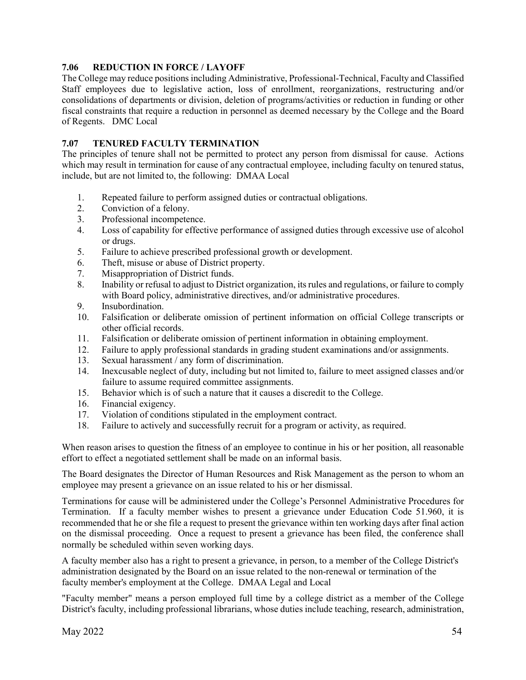# **7.06 REDUCTION IN FORCE / LAYOFF**

The College may reduce positions including Administrative, Professional-Technical, Faculty and Classified Staff employees due to legislative action, loss of enrollment, reorganizations, restructuring and/or consolidations of departments or division, deletion of programs/activities or reduction in funding or other fiscal constraints that require a reduction in personnel as deemed necessary by the College and the Board of Regents. DMC Local

# **7.07 TENURED FACULTY TERMINATION**

The principles of tenure shall not be permitted to protect any person from dismissal for cause. Actions which may result in termination for cause of any contractual employee, including faculty on tenured status, include, but are not limited to, the following: DMAA Local

- 1. Repeated failure to perform assigned duties or contractual obligations.<br>2. Conviction of a felony.
- Conviction of a felony.
- 3. Professional incompetence.
- 4. Loss of capability for effective performance of assigned duties through excessive use of alcohol or drugs.
- 5. Failure to achieve prescribed professional growth or development.
- 6. Theft, misuse or abuse of District property.
- 7. Misappropriation of District funds.
- 8. Inability or refusal to adjust to District organization, its rules and regulations, or failure to comply with Board policy, administrative directives, and/or administrative procedures.
- 9. Insubordination.
- 10. Falsification or deliberate omission of pertinent information on official College transcripts or other official records.
- 11. Falsification or deliberate omission of pertinent information in obtaining employment.
- 12. Failure to apply professional standards in grading student examinations and/or assignments.
- 13. Sexual harassment / any form of discrimination.
- 14. Inexcusable neglect of duty, including but not limited to, failure to meet assigned classes and/or failure to assume required committee assignments.
- 15. Behavior which is of such a nature that it causes a discredit to the College.
- 16. Financial exigency.
- 17. Violation of conditions stipulated in the employment contract.
- 18. Failure to actively and successfully recruit for a program or activity, as required.

When reason arises to question the fitness of an employee to continue in his or her position, all reasonable effort to effect a negotiated settlement shall be made on an informal basis.

The Board designates the Director of Human Resources and Risk Management as the person to whom an employee may present a grievance on an issue related to his or her dismissal.

Terminations for cause will be administered under the College's Personnel Administrative Procedures for Termination. If a faculty member wishes to present a grievance under Education Code 51.960, it is recommended that he or she file a request to present the grievance within ten working days after final action on the dismissal proceeding. Once a request to present a grievance has been filed, the conference shall normally be scheduled within seven working days.

A faculty member also has a right to present a grievance, in person, to a member of the College District's administration designated by the Board on an issue related to the non-renewal or termination of the faculty member's employment at the College. DMAA Legal and Local

"Faculty member" means a person employed full time by a college district as a member of the College District's faculty, including professional librarians, whose duties include teaching, research, administration,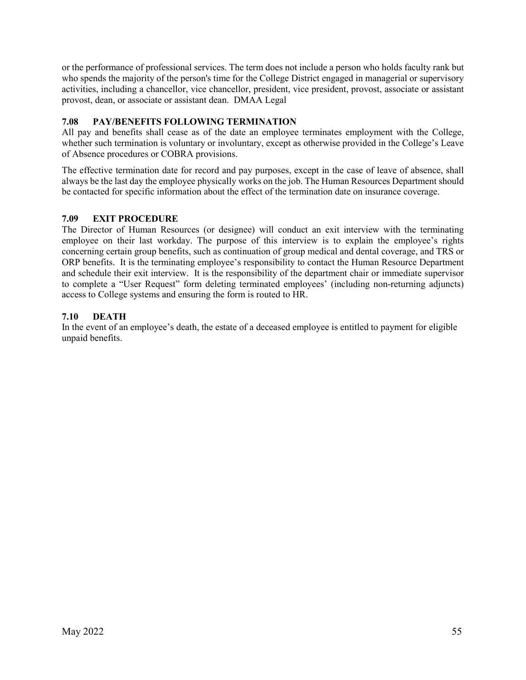or the performance of professional services. The term does not include a person who holds faculty rank but who spends the majority of the person's time for the College District engaged in managerial or supervisory activities, including a chancellor, vice chancellor, president, vice president, provost, associate or assistant provost, dean, or associate or assistant dean. DMAA Legal

# **7.08 PAY/BENEFITS FOLLOWING TERMINATION**

All pay and benefits shall cease as of the date an employee terminates employment with the College, whether such termination is voluntary or involuntary, except as otherwise provided in the College's Leave of Absence procedures or COBRA provisions.

The effective termination date for record and pay purposes, except in the case of leave of absence, shall always be the last day the employee physically works on the job. The Human Resources Department should be contacted for specific information about the effect of the termination date on insurance coverage.

# **7.09 EXIT PROCEDURE**

The Director of Human Resources (or designee) will conduct an exit interview with the terminating employee on their last workday. The purpose of this interview is to explain the employee's rights concerning certain group benefits, such as continuation of group medical and dental coverage, and TRS or ORP benefits. It is the terminating employee's responsibility to contact the Human Resource Department and schedule their exit interview. It is the responsibility of the department chair or immediate supervisor to complete a "User Request" form deleting terminated employees' (including non-returning adjuncts) access to College systems and ensuring the form is routed to HR.

# **7.10 DEATH**

In the event of an employee's death, the estate of a deceased employee is entitled to payment for eligible unpaid benefits.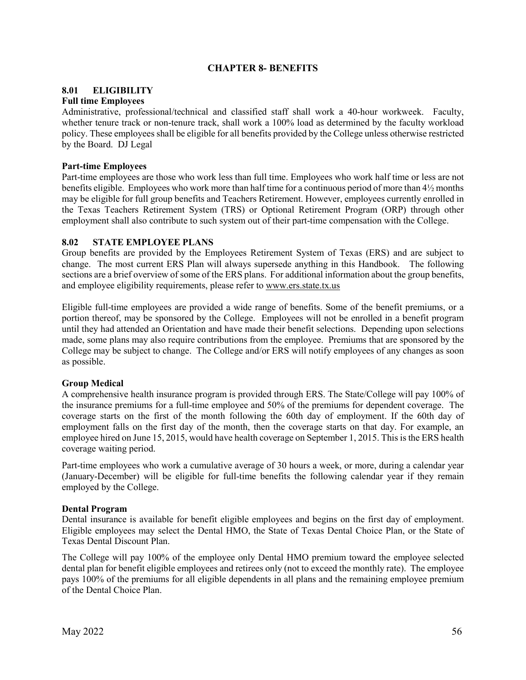# **CHAPTER 8- BENEFITS**

# **8.01 ELIGIBILITY**

## **Full time Employees**

Administrative, professional/technical and classified staff shall work a 40-hour workweek. Faculty, whether tenure track or non-tenure track, shall work a 100% load as determined by the faculty workload policy. These employees shall be eligible for all benefits provided by the College unless otherwise restricted by the Board. DJ Legal

# **Part-time Employees**

Part-time employees are those who work less than full time. Employees who work half time or less are not benefits eligible. Employees who work more than half time for a continuous period of more than 4½ months may be eligible for full group benefits and Teachers Retirement. However, employees currently enrolled in the Texas Teachers Retirement System (TRS) or Optional Retirement Program (ORP) through other employment shall also contribute to such system out of their part-time compensation with the College.

# **8.02 STATE EMPLOYEE PLANS**

Group benefits are provided by the Employees Retirement System of Texas (ERS) and are subject to change. The most current ERS Plan will always supersede anything in this Handbook. The following sections are a brief overview of some of the ERS plans. For additional information about the group benefits, and employee eligibility requirements, please refer to [www.ers.state.tx.us](http://www.ers.state.tx.us/)

Eligible full-time employees are provided a wide range of benefits. Some of the benefit premiums, or a portion thereof, may be sponsored by the College. Employees will not be enrolled in a benefit program until they had attended an Orientation and have made their benefit selections. Depending upon selections made, some plans may also require contributions from the employee. Premiums that are sponsored by the College may be subject to change. The College and/or ERS will notify employees of any changes as soon as possible.

# **Group Medical**

A comprehensive health insurance program is provided through ERS. The State/College will pay 100% of the insurance premiums for a full-time employee and 50% of the premiums for dependent coverage. The coverage starts on the first of the month following the 60th day of employment. If the 60th day of employment falls on the first day of the month, then the coverage starts on that day. For example, an employee hired on June 15, 2015, would have health coverage on September 1, 2015. This is the ERS health coverage waiting period.

Part-time employees who work a cumulative average of 30 hours a week, or more, during a calendar year (January-December) will be eligible for full-time benefits the following calendar year if they remain employed by the College.

## **Dental Program**

Dental insurance is available for benefit eligible employees and begins on the first day of employment. Eligible employees may select the Dental HMO, the State of Texas Dental Choice Plan, or the State of Texas Dental Discount Plan.

The College will pay 100% of the employee only Dental HMO premium toward the employee selected dental plan for benefit eligible employees and retirees only (not to exceed the monthly rate). The employee pays 100% of the premiums for all eligible dependents in all plans and the remaining employee premium of the Dental Choice Plan.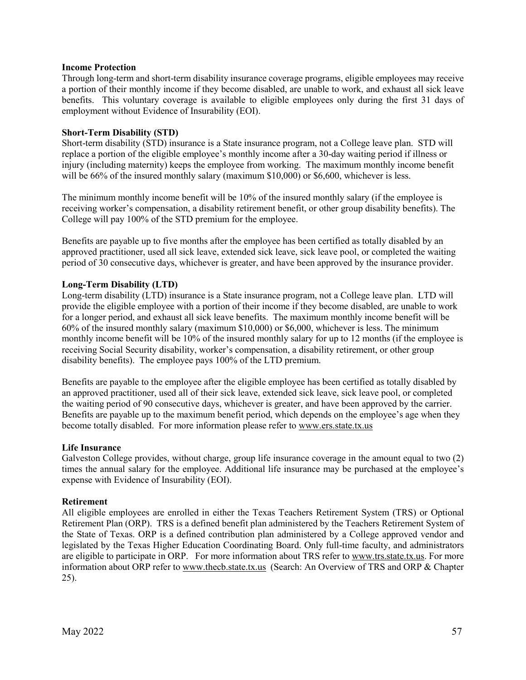#### **Income Protection**

Through long-term and short-term disability insurance coverage programs, eligible employees may receive a portion of their monthly income if they become disabled, are unable to work, and exhaust all sick leave benefits. This voluntary coverage is available to eligible employees only during the first 31 days of employment without Evidence of Insurability (EOI).

#### **Short-Term Disability (STD)**

Short-term disability (STD) insurance is a State insurance program, not a College leave plan. STD will replace a portion of the eligible employee's monthly income after a 30-day waiting period if illness or injury (including maternity) keeps the employee from working. The maximum monthly income benefit will be 66% of the insured monthly salary (maximum \$10,000) or \$6,600, whichever is less.

The minimum monthly income benefit will be 10% of the insured monthly salary (if the employee is receiving worker's compensation, a disability retirement benefit, or other group disability benefits). The College will pay 100% of the STD premium for the employee.

Benefits are payable up to five months after the employee has been certified as totally disabled by an approved practitioner, used all sick leave, extended sick leave, sick leave pool, or completed the waiting period of 30 consecutive days, whichever is greater, and have been approved by the insurance provider.

## **Long-Term Disability (LTD)**

Long-term disability (LTD) insurance is a State insurance program, not a College leave plan. LTD will provide the eligible employee with a portion of their income if they become disabled, are unable to work for a longer period, and exhaust all sick leave benefits. The maximum monthly income benefit will be 60% of the insured monthly salary (maximum \$10,000) or \$6,000, whichever is less. The minimum monthly income benefit will be 10% of the insured monthly salary for up to 12 months (if the employee is receiving Social Security disability, worker's compensation, a disability retirement, or other group disability benefits). The employee pays 100% of the LTD premium.

Benefits are payable to the employee after the eligible employee has been certified as totally disabled by an approved practitioner, used all of their sick leave, extended sick leave, sick leave pool, or completed the waiting period of 90 consecutive days, whichever is greater, and have been approved by the carrier. Benefits are payable up to the maximum benefit period, which depends on the employee's age when they become totally disabled. For more information please refer to [www.ers.state.tx.us](http://www.ers.state.tx.us/)

#### **Life Insurance**

Galveston College provides, without charge, group life insurance coverage in the amount equal to two (2) times the annual salary for the employee. Additional life insurance may be purchased at the employee's expense with Evidence of Insurability (EOI).

#### **Retirement**

All eligible employees are enrolled in either the Texas Teachers Retirement System (TRS) or Optional Retirement Plan (ORP). TRS is a defined benefit plan administered by the Teachers Retirement System of the State of Texas. ORP is a defined contribution plan administered by a College approved vendor and legislated by the Texas Higher Education Coordinating Board. Only full-time faculty, and administrators are eligible to participate in ORP. For more information about TRS refer t[o www.trs.state.tx.us.](http://www.trs.state.tx.us/) For more information about ORP refer to www.thecb.state.tx.us (Search: An Overview of TRS and ORP & Chapter 25).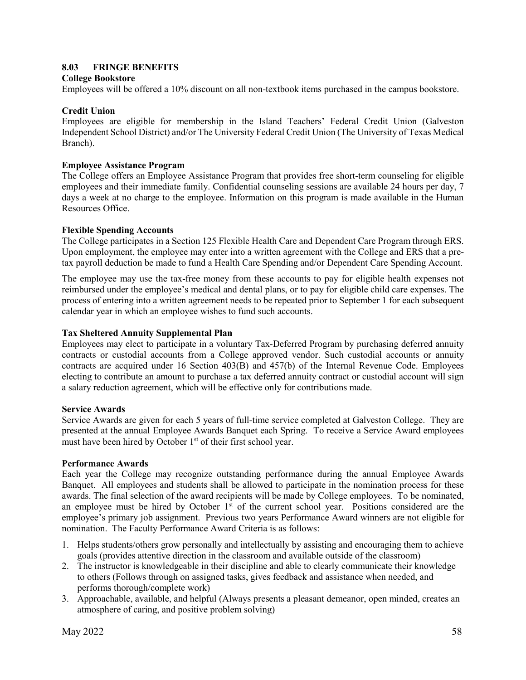# **8.03 FRINGE BENEFITS**

#### **College Bookstore**

Employees will be offered a 10% discount on all non-textbook items purchased in the campus bookstore.

#### **Credit Union**

Employees are eligible for membership in the Island Teachers' Federal Credit Union (Galveston Independent School District) and/or The University Federal Credit Union (The University of Texas Medical Branch).

#### **Employee Assistance Program**

The College offers an Employee Assistance Program that provides free short-term counseling for eligible employees and their immediate family. Confidential counseling sessions are available 24 hours per day, 7 days a week at no charge to the employee. Information on this program is made available in the Human Resources Office.

#### **Flexible Spending Accounts**

The College participates in a Section 125 Flexible Health Care and Dependent Care Program through ERS. Upon employment, the employee may enter into a written agreement with the College and ERS that a pretax payroll deduction be made to fund a Health Care Spending and/or Dependent Care Spending Account.

The employee may use the tax-free money from these accounts to pay for eligible health expenses not reimbursed under the employee's medical and dental plans, or to pay for eligible child care expenses. The process of entering into a written agreement needs to be repeated prior to September 1 for each subsequent calendar year in which an employee wishes to fund such accounts.

## **Tax Sheltered Annuity Supplemental Plan**

Employees may elect to participate in a voluntary Tax-Deferred Program by purchasing deferred annuity contracts or custodial accounts from a College approved vendor. Such custodial accounts or annuity contracts are acquired under 16 Section 403(B) and 457(b) of the Internal Revenue Code. Employees electing to contribute an amount to purchase a tax deferred annuity contract or custodial account will sign a salary reduction agreement, which will be effective only for contributions made.

## **Service Awards**

Service Awards are given for each 5 years of full-time service completed at Galveston College. They are presented at the annual Employee Awards Banquet each Spring. To receive a Service Award employees must have been hired by October 1<sup>st</sup> of their first school year.

#### **Performance Awards**

Each year the College may recognize outstanding performance during the annual Employee Awards Banquet. All employees and students shall be allowed to participate in the nomination process for these awards. The final selection of the award recipients will be made by College employees. To be nominated, an employee must be hired by October  $1<sup>st</sup>$  of the current school year. Positions considered are the employee's primary job assignment. Previous two years Performance Award winners are not eligible for nomination. The Faculty Performance Award Criteria is as follows:

- 1. Helps students/others grow personally and intellectually by assisting and encouraging them to achieve goals (provides attentive direction in the classroom and available outside of the classroom)
- 2. The instructor is knowledgeable in their discipline and able to clearly communicate their knowledge to others (Follows through on assigned tasks, gives feedback and assistance when needed, and performs thorough/complete work)
- 3. Approachable, available, and helpful (Always presents a pleasant demeanor, open minded, creates an atmosphere of caring, and positive problem solving)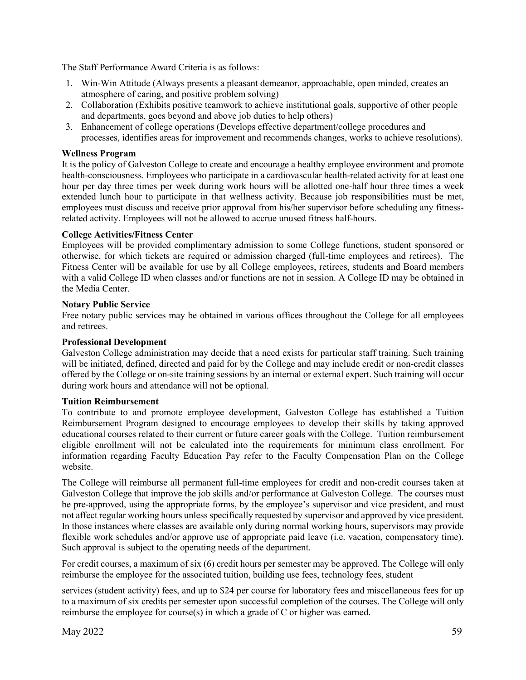The Staff Performance Award Criteria is as follows:

- 1. Win-Win Attitude (Always presents a pleasant demeanor, approachable, open minded, creates an atmosphere of caring, and positive problem solving)
- 2. Collaboration (Exhibits positive teamwork to achieve institutional goals, supportive of other people and departments, goes beyond and above job duties to help others)
- 3. Enhancement of college operations (Develops effective department/college procedures and processes, identifies areas for improvement and recommends changes, works to achieve resolutions).

## **Wellness Program**

It is the policy of Galveston College to create and encourage a healthy employee environment and promote health-consciousness. Employees who participate in a cardiovascular health-related activity for at least one hour per day three times per week during work hours will be allotted one-half hour three times a week extended lunch hour to participate in that wellness activity. Because job responsibilities must be met, employees must discuss and receive prior approval from his/her supervisor before scheduling any fitnessrelated activity. Employees will not be allowed to accrue unused fitness half-hours.

#### **College Activities/Fitness Center**

Employees will be provided complimentary admission to some College functions, student sponsored or otherwise, for which tickets are required or admission charged (full-time employees and retirees). The Fitness Center will be available for use by all College employees, retirees, students and Board members with a valid College ID when classes and/or functions are not in session. A College ID may be obtained in the Media Center.

#### **Notary Public Service**

Free notary public services may be obtained in various offices throughout the College for all employees and retirees.

#### **Professional Development**

Galveston College administration may decide that a need exists for particular staff training. Such training will be initiated, defined, directed and paid for by the College and may include credit or non-credit classes offered by the College or on-site training sessions by an internal or external expert. Such training will occur during work hours and attendance will not be optional.

## **Tuition Reimbursement**

To contribute to and promote employee development, Galveston College has established a Tuition Reimbursement Program designed to encourage employees to develop their skills by taking approved educational courses related to their current or future career goals with the College. Tuition reimbursement eligible enrollment will not be calculated into the requirements for minimum class enrollment. For information regarding Faculty Education Pay refer to the Faculty Compensation Plan on the College website.

The College will reimburse all permanent full-time employees for credit and non-credit courses taken at Galveston College that improve the job skills and/or performance at Galveston College. The courses must be pre-approved, using the appropriate forms, by the employee's supervisor and vice president, and must not affect regular working hours unless specifically requested by supervisor and approved by vice president. In those instances where classes are available only during normal working hours, supervisors may provide flexible work schedules and/or approve use of appropriate paid leave (i.e. vacation, compensatory time). Such approval is subject to the operating needs of the department.

For credit courses, a maximum of six (6) credit hours per semester may be approved. The College will only reimburse the employee for the associated tuition, building use fees, technology fees, student

services (student activity) fees, and up to \$24 per course for laboratory fees and miscellaneous fees for up to a maximum of six credits per semester upon successful completion of the courses. The College will only reimburse the employee for course(s) in which a grade of C or higher was earned.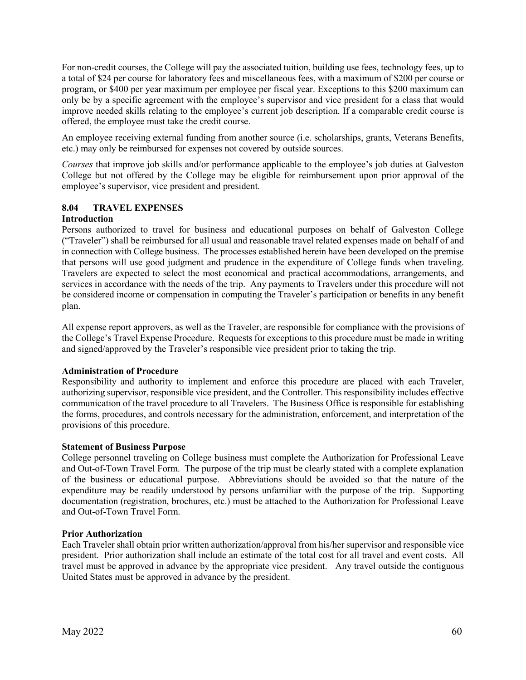For non-credit courses, the College will pay the associated tuition, building use fees, technology fees, up to a total of \$24 per course for laboratory fees and miscellaneous fees, with a maximum of \$200 per course or program, or \$400 per year maximum per employee per fiscal year. Exceptions to this \$200 maximum can only be by a specific agreement with the employee's supervisor and vice president for a class that would improve needed skills relating to the employee's current job description. If a comparable credit course is offered, the employee must take the credit course.

An employee receiving external funding from another source (i.e. scholarships, grants, Veterans Benefits, etc.) may only be reimbursed for expenses not covered by outside sources.

*Courses* that improve job skills and/or performance applicable to the employee's job duties at Galveston College but not offered by the College may be eligible for reimbursement upon prior approval of the employee's supervisor, vice president and president.

# **8.04 TRAVEL EXPENSES**

# **Introduction**

Persons authorized to travel for business and educational purposes on behalf of Galveston College ("Traveler") shall be reimbursed for all usual and reasonable travel related expenses made on behalf of and in connection with College business. The processes established herein have been developed on the premise that persons will use good judgment and prudence in the expenditure of College funds when traveling. Travelers are expected to select the most economical and practical accommodations, arrangements, and services in accordance with the needs of the trip. Any payments to Travelers under this procedure will not be considered income or compensation in computing the Traveler's participation or benefits in any benefit plan.

All expense report approvers, as well as the Traveler, are responsible for compliance with the provisions of the College's Travel Expense Procedure. Requests for exceptions to this procedure must be made in writing and signed/approved by the Traveler's responsible vice president prior to taking the trip.

## **Administration of Procedure**

Responsibility and authority to implement and enforce this procedure are placed with each Traveler, authorizing supervisor, responsible vice president, and the Controller. This responsibility includes effective communication of the travel procedure to all Travelers. The Business Office is responsible for establishing the forms, procedures, and controls necessary for the administration, enforcement, and interpretation of the provisions of this procedure.

## **Statement of Business Purpose**

College personnel traveling on College business must complete the Authorization for Professional Leave and Out-of-Town Travel Form. The purpose of the trip must be clearly stated with a complete explanation of the business or educational purpose. Abbreviations should be avoided so that the nature of the expenditure may be readily understood by persons unfamiliar with the purpose of the trip. Supporting documentation (registration, brochures, etc.) must be attached to the Authorization for Professional Leave and Out-of-Town Travel Form.

## **Prior Authorization**

Each Traveler shall obtain prior written authorization/approval from his/her supervisor and responsible vice president. Prior authorization shall include an estimate of the total cost for all travel and event costs. All travel must be approved in advance by the appropriate vice president. Any travel outside the contiguous United States must be approved in advance by the president.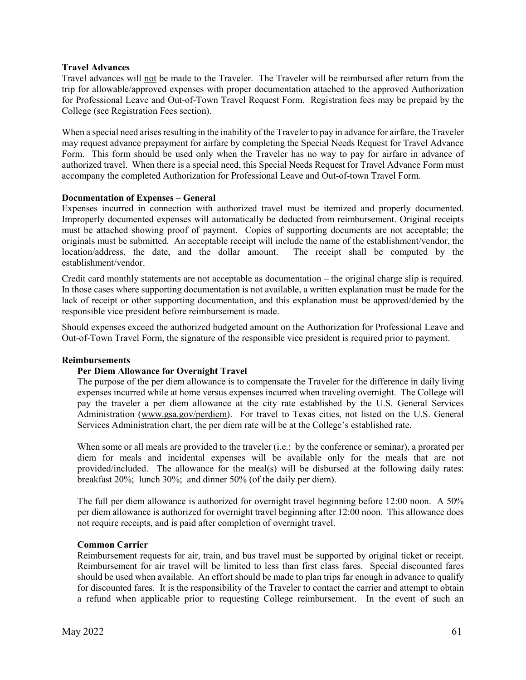#### **Travel Advances**

Travel advances will not be made to the Traveler. The Traveler will be reimbursed after return from the trip for allowable/approved expenses with proper documentation attached to the approved Authorization for Professional Leave and Out-of-Town Travel Request Form. Registration fees may be prepaid by the College (see Registration Fees section).

When a special need arises resulting in the inability of the Traveler to pay in advance for airfare, the Traveler may request advance prepayment for airfare by completing the Special Needs Request for Travel Advance Form. This form should be used only when the Traveler has no way to pay for airfare in advance of authorized travel. When there is a special need, this Special Needs Request for Travel Advance Form must accompany the completed Authorization for Professional Leave and Out-of-town Travel Form.

#### **Documentation of Expenses – General**

Expenses incurred in connection with authorized travel must be itemized and properly documented. Improperly documented expenses will automatically be deducted from reimbursement. Original receipts must be attached showing proof of payment. Copies of supporting documents are not acceptable; the originals must be submitted. An acceptable receipt will include the name of the establishment/vendor, the location/address, the date, and the dollar amount. The receipt shall be computed by the establishment/vendor.

Credit card monthly statements are not acceptable as documentation – the original charge slip is required. In those cases where supporting documentation is not available, a written explanation must be made for the lack of receipt or other supporting documentation, and this explanation must be approved/denied by the responsible vice president before reimbursement is made.

Should expenses exceed the authorized budgeted amount on the Authorization for Professional Leave and Out-of-Town Travel Form, the signature of the responsible vice president is required prior to payment.

#### **Reimbursements**

## **Per Diem Allowance for Overnight Travel**

The purpose of the per diem allowance is to compensate the Traveler for the difference in daily living expenses incurred while at home versus expenses incurred when traveling overnight. The College will pay the traveler a per diem allowance at the city rate established by the U.S. General Services Administration [\(www.gsa.gov/perdiem\)](http://www.gsa.gov/perdiem). For travel to Texas cities, not listed on the U.S. General Services Administration chart, the per diem rate will be at the College's established rate.

When some or all meals are provided to the traveler (i.e.: by the conference or seminar), a prorated per diem for meals and incidental expenses will be available only for the meals that are not provided/included. The allowance for the meal(s) will be disbursed at the following daily rates: breakfast 20%; lunch 30%; and dinner 50% (of the daily per diem).

The full per diem allowance is authorized for overnight travel beginning before 12:00 noon. A 50% per diem allowance is authorized for overnight travel beginning after 12:00 noon. This allowance does not require receipts, and is paid after completion of overnight travel.

#### **Common Carrier**

Reimbursement requests for air, train, and bus travel must be supported by original ticket or receipt. Reimbursement for air travel will be limited to less than first class fares. Special discounted fares should be used when available. An effort should be made to plan trips far enough in advance to qualify for discounted fares. It is the responsibility of the Traveler to contact the carrier and attempt to obtain a refund when applicable prior to requesting College reimbursement. In the event of such an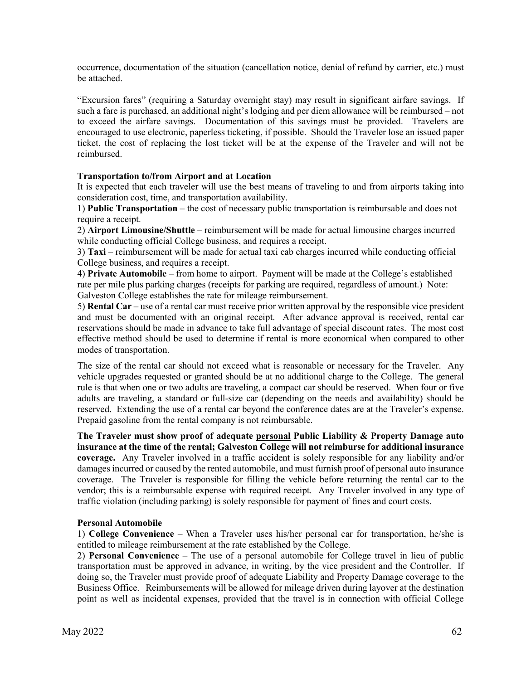occurrence, documentation of the situation (cancellation notice, denial of refund by carrier, etc.) must be attached.

"Excursion fares" (requiring a Saturday overnight stay) may result in significant airfare savings. If such a fare is purchased, an additional night's lodging and per diem allowance will be reimbursed – not to exceed the airfare savings. Documentation of this savings must be provided. Travelers are encouraged to use electronic, paperless ticketing, if possible. Should the Traveler lose an issued paper ticket, the cost of replacing the lost ticket will be at the expense of the Traveler and will not be reimbursed.

# **Transportation to/from Airport and at Location**

It is expected that each traveler will use the best means of traveling to and from airports taking into consideration cost, time, and transportation availability.

1) **Public Transportation** – the cost of necessary public transportation is reimbursable and does not require a receipt.

2) **Airport Limousine/Shuttle** – reimbursement will be made for actual limousine charges incurred while conducting official College business, and requires a receipt.

3) **Taxi** – reimbursement will be made for actual taxi cab charges incurred while conducting official College business, and requires a receipt.

4) **Private Automobile** – from home to airport. Payment will be made at the College's established rate per mile plus parking charges (receipts for parking are required, regardless of amount.) Note: Galveston College establishes the rate for mileage reimbursement.

5) **Rental Car** – use of a rental car must receive prior written approval by the responsible vice president and must be documented with an original receipt. After advance approval is received, rental car reservations should be made in advance to take full advantage of special discount rates. The most cost effective method should be used to determine if rental is more economical when compared to other modes of transportation.

The size of the rental car should not exceed what is reasonable or necessary for the Traveler. Any vehicle upgrades requested or granted should be at no additional charge to the College. The general rule is that when one or two adults are traveling, a compact car should be reserved. When four or five adults are traveling, a standard or full-size car (depending on the needs and availability) should be reserved. Extending the use of a rental car beyond the conference dates are at the Traveler's expense. Prepaid gasoline from the rental company is not reimbursable.

**The Traveler must show proof of adequate personal Public Liability & Property Damage auto insurance at the time of the rental; Galveston College will not reimburse for additional insurance coverage.** Any Traveler involved in a traffic accident is solely responsible for any liability and/or damages incurred or caused by the rented automobile, and must furnish proof of personal auto insurance coverage. The Traveler is responsible for filling the vehicle before returning the rental car to the vendor; this is a reimbursable expense with required receipt. Any Traveler involved in any type of traffic violation (including parking) is solely responsible for payment of fines and court costs.

## **Personal Automobile**

1) **College Convenience** – When a Traveler uses his/her personal car for transportation, he/she is entitled to mileage reimbursement at the rate established by the College.

2) **Personal Convenience** – The use of a personal automobile for College travel in lieu of public transportation must be approved in advance, in writing, by the vice president and the Controller. If doing so, the Traveler must provide proof of adequate Liability and Property Damage coverage to the Business Office. Reimbursements will be allowed for mileage driven during layover at the destination point as well as incidental expenses, provided that the travel is in connection with official College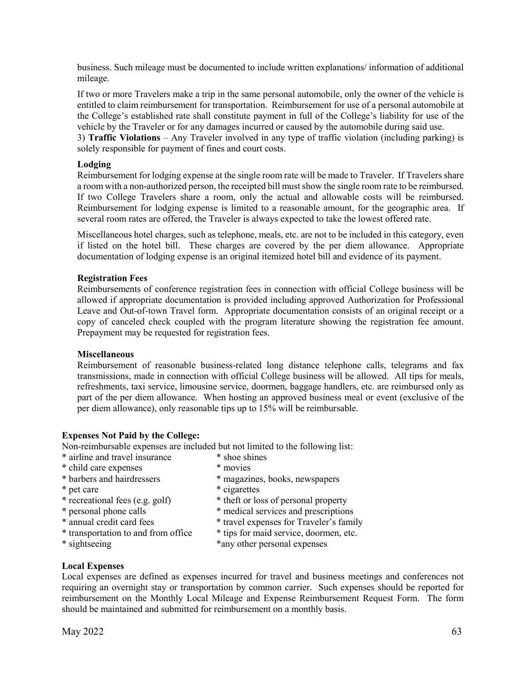business. Such mileage must be documented to include written explanations/ information of additional mileage.

If two or more Travelers make a trip in the same personal automobile, only the owner of the vehicle is entitled to claim reimbursement for transportation. Reimbursement for use of a personal automobile at the College's established rate shall constitute payment in full of the College's liability for use of the vehicle by the Traveler or for any damages incurred or caused by the automobile during said use. 3) **Traffic Violations** – Any Traveler involved in any type of traffic violation (including parking) is solely responsible for payment of fines and court costs.

# **Lodging**

Reimbursement for lodging expense at the single room rate will be made to Traveler. If Travelers share a room with a non-authorized person, the receipted bill must show the single room rate to be reimbursed. If two College Travelers share a room, only the actual and allowable costs will be reimbursed. Reimbursement for lodging expense is limited to a reasonable amount, for the geographic area. If several room rates are offered, the Traveler is always expected to take the lowest offered rate.

Miscellaneous hotel charges, such as telephone, meals, etc. are not to be included in this category, even if listed on the hotel bill. These charges are covered by the per diem allowance. Appropriate documentation of lodging expense is an original itemized hotel bill and evidence of its payment.

## **Registration Fees**

Reimbursements of conference registration fees in connection with official College business will be allowed if appropriate documentation is provided including approved Authorization for Professional Leave and Out-of-town Travel form. Appropriate documentation consists of an original receipt or a copy of canceled check coupled with the program literature showing the registration fee amount. Prepayment may be requested for registration fees.

## **Miscellaneous**

Reimbursement of reasonable business-related long distance telephone calls, telegrams and fax transmissions, made in connection with official College business will be allowed. All tips for meals, refreshments, taxi service, limousine service, doormen, baggage handlers, etc. are reimbursed only as part of the per diem allowance. When hosting an approved business meal or event (exclusive of the per diem allowance), only reasonable tips up to 15% will be reimbursable.

## **Expenses Not Paid by the College:**

Non-reimbursable expenses are included but not limited to the following list:

- \* airline and travel insurance \* shoe shines
- \* child care expenses \* movies
- \* barbers and hairdressers \* magazines, books, newspapers
- 
- 
- 
- 
- 
- 
- 
- \* pet care \* cigarettes
- \* recreational fees (e.g. golf) \* theft or loss of personal property<br>\* personal phone calls \* medical services and prescription
	- \* medical services and prescriptions
- \* annual credit card fees \* travel expenses for Traveler's family
- \* transportation to and from office  $*$  tips for maid service, doormen, etc.<br>\* sightseeing \* any other personal expenses
	- \*any other personal expenses

## **Local Expenses**

Local expenses are defined as expenses incurred for travel and business meetings and conferences not requiring an overnight stay or transportation by common carrier. Such expenses should be reported for reimbursement on the Monthly Local Mileage and Expense Reimbursement Request Form. The form should be maintained and submitted for reimbursement on a monthly basis.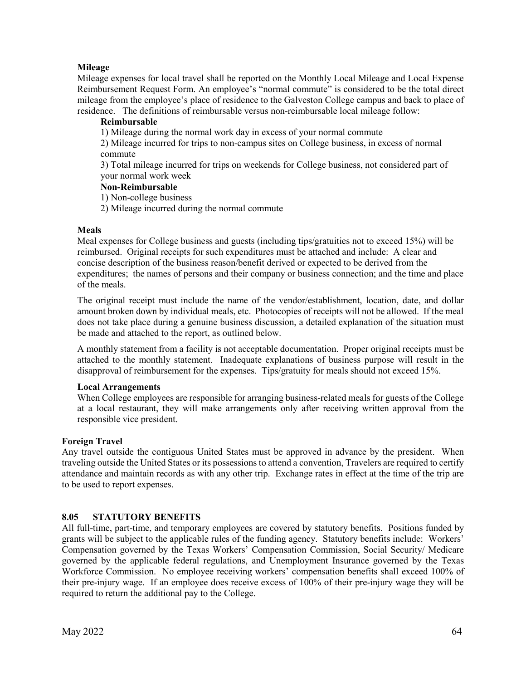# **Mileage**

Mileage expenses for local travel shall be reported on the Monthly Local Mileage and Local Expense Reimbursement Request Form. An employee's "normal commute" is considered to be the total direct mileage from the employee's place of residence to the Galveston College campus and back to place of residence. The definitions of reimbursable versus non-reimbursable local mileage follow:

# **Reimbursable**

1) Mileage during the normal work day in excess of your normal commute

2) Mileage incurred for trips to non-campus sites on College business, in excess of normal commute

3) Total mileage incurred for trips on weekends for College business, not considered part of your normal work week

#### **Non-Reimbursable**

1) Non-college business

2) Mileage incurred during the normal commute

## **Meals**

Meal expenses for College business and guests (including tips/gratuities not to exceed 15%) will be reimbursed. Original receipts for such expenditures must be attached and include: A clear and concise description of the business reason/benefit derived or expected to be derived from the expenditures; the names of persons and their company or business connection; and the time and place of the meals.

The original receipt must include the name of the vendor/establishment, location, date, and dollar amount broken down by individual meals, etc. Photocopies of receipts will not be allowed. If the meal does not take place during a genuine business discussion, a detailed explanation of the situation must be made and attached to the report, as outlined below.

A monthly statement from a facility is not acceptable documentation. Proper original receipts must be attached to the monthly statement. Inadequate explanations of business purpose will result in the disapproval of reimbursement for the expenses. Tips/gratuity for meals should not exceed 15%.

## **Local Arrangements**

When College employees are responsible for arranging business-related meals for guests of the College at a local restaurant, they will make arrangements only after receiving written approval from the responsible vice president.

## **Foreign Travel**

Any travel outside the contiguous United States must be approved in advance by the president. When traveling outside the United States or its possessions to attend a convention, Travelers are required to certify attendance and maintain records as with any other trip. Exchange rates in effect at the time of the trip are to be used to report expenses.

## **8.05 STATUTORY BENEFITS**

All full-time, part-time, and temporary employees are covered by statutory benefits. Positions funded by grants will be subject to the applicable rules of the funding agency. Statutory benefits include: Workers' Compensation governed by the Texas Workers' Compensation Commission, Social Security/ Medicare governed by the applicable federal regulations, and Unemployment Insurance governed by the Texas Workforce Commission. No employee receiving workers' compensation benefits shall exceed 100% of their pre-injury wage. If an employee does receive excess of 100% of their pre-injury wage they will be required to return the additional pay to the College.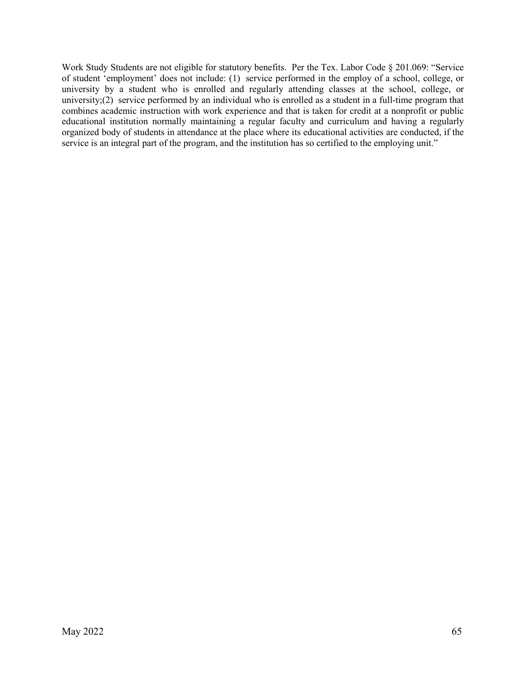Work Study Students are not eligible for statutory benefits. Per the Tex. Labor Code § 201.069: "Service of student 'employment' does not include: (1) service performed in the employ of a school, college, or university by a student who is enrolled and regularly attending classes at the school, college, or university;(2) service performed by an individual who is enrolled as a student in a full-time program that combines academic instruction with work experience and that is taken for credit at a nonprofit or public educational institution normally maintaining a regular faculty and curriculum and having a regularly organized body of students in attendance at the place where its educational activities are conducted, if the service is an integral part of the program, and the institution has so certified to the employing unit."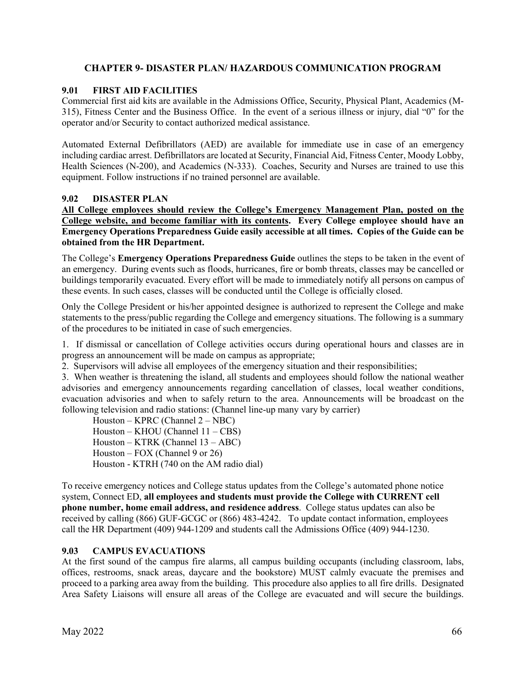# **CHAPTER 9- DISASTER PLAN/ HAZARDOUS COMMUNICATION PROGRAM**

# **9.01 FIRST AID FACILITIES**

Commercial first aid kits are available in the Admissions Office, Security, Physical Plant, Academics (M-315), Fitness Center and the Business Office. In the event of a serious illness or injury, dial "0" for the operator and/or Security to contact authorized medical assistance.

Automated External Defibrillators (AED) are available for immediate use in case of an emergency including cardiac arrest. Defibrillators are located at Security, Financial Aid, Fitness Center, Moody Lobby, Health Sciences (N-200), and Academics (N-333). Coaches, Security and Nurses are trained to use this equipment. Follow instructions if no trained personnel are available.

# **9.02 DISASTER PLAN**

**All College employees should review the College's Emergency Management Plan, posted on the College website, and become familiar with its contents. Every College employee should have an Emergency Operations Preparedness Guide easily accessible at all times. Copies of the Guide can be obtained from the HR Department.**

The College's **Emergency Operations Preparedness Guide** outlines the steps to be taken in the event of an emergency. During events such as floods, hurricanes, fire or bomb threats, classes may be cancelled or buildings temporarily evacuated. Every effort will be made to immediately notify all persons on campus of these events. In such cases, classes will be conducted until the College is officially closed.

Only the College President or his/her appointed designee is authorized to represent the College and make statements to the press/public regarding the College and emergency situations. The following is a summary of the procedures to be initiated in case of such emergencies.

1. If dismissal or cancellation of College activities occurs during operational hours and classes are in progress an announcement will be made on campus as appropriate;

2. Supervisors will advise all employees of the emergency situation and their responsibilities;

3. When weather is threatening the island, all students and employees should follow the national weather advisories and emergency announcements regarding cancellation of classes, local weather conditions, evacuation advisories and when to safely return to the area. Announcements will be broadcast on the following television and radio stations: (Channel line-up many vary by carrier)

 Houston – KPRC (Channel 2 – NBC) Houston – KHOU (Channel 11 – CBS) Houston – KTRK (Channel 13 – ABC) Houston – FOX (Channel 9 or 26) Houston - KTRH (740 on the AM radio dial)

To receive emergency notices and College status updates from the College's automated phone notice system, Connect ED, **all employees and students must provide the College with CURRENT cell phone number, home email address, and residence address**. College status updates can also be received by calling (866) GUF-GCGC or (866) 483-4242. To update contact information, employees call the HR Department (409) 944-1209 and students call the Admissions Office (409) 944-1230.

## **9.03 CAMPUS EVACUATIONS**

At the first sound of the campus fire alarms, all campus building occupants (including classroom, labs, offices, restrooms, snack areas, daycare and the bookstore) MUST calmly evacuate the premises and proceed to a parking area away from the building. This procedure also applies to all fire drills. Designated Area Safety Liaisons will ensure all areas of the College are evacuated and will secure the buildings.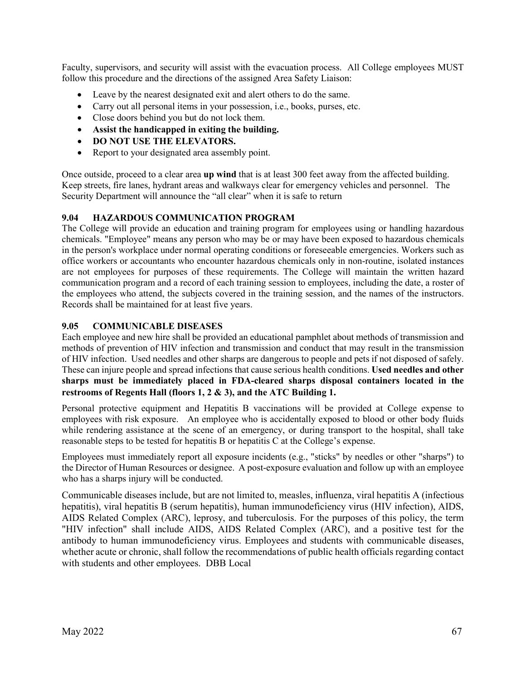Faculty, supervisors, and security will assist with the evacuation process. All College employees MUST follow this procedure and the directions of the assigned Area Safety Liaison:

- Leave by the nearest designated exit and alert others to do the same.
- Carry out all personal items in your possession, i.e., books, purses, etc.
- Close doors behind you but do not lock them.
- **Assist the handicapped in exiting the building.**
- **DO NOT USE THE ELEVATORS.**
- Report to your designated area assembly point.

Once outside, proceed to a clear area **up wind** that is at least 300 feet away from the affected building. Keep streets, fire lanes, hydrant areas and walkways clear for emergency vehicles and personnel. The Security Department will announce the "all clear" when it is safe to return

## **9.04 HAZARDOUS COMMUNICATION PROGRAM**

The College will provide an education and training program for employees using or handling hazardous chemicals. "Employee" means any person who may be or may have been exposed to hazardous chemicals in the person's workplace under normal operating conditions or foreseeable emergencies. Workers such as office workers or accountants who encounter hazardous chemicals only in non-routine, isolated instances are not employees for purposes of these requirements. The College will maintain the written hazard communication program and a record of each training session to employees, including the date, a roster of the employees who attend, the subjects covered in the training session, and the names of the instructors. Records shall be maintained for at least five years.

## **9.05 COMMUNICABLE DISEASES**

Each employee and new hire shall be provided an educational pamphlet about methods of transmission and methods of prevention of HIV infection and transmission and conduct that may result in the transmission of HIV infection. Used needles and other sharps are dangerous to people and pets if not disposed of safely. These can injure people and spread infections that cause serious health conditions. **Used needles and other sharps must be immediately placed in FDA-cleared sharps disposal containers located in the restrooms of Regents Hall (floors 1, 2 & 3), and the ATC Building 1.**

Personal protective equipment and Hepatitis B vaccinations will be provided at College expense to employees with risk exposure. An employee who is accidentally exposed to blood or other body fluids while rendering assistance at the scene of an emergency, or during transport to the hospital, shall take reasonable steps to be tested for hepatitis B or hepatitis C at the College's expense.

Employees must immediately report all exposure incidents (e.g., "sticks" by needles or other "sharps") to the Director of Human Resources or designee. A post-exposure evaluation and follow up with an employee who has a sharps injury will be conducted.

Communicable diseases include, but are not limited to, measles, influenza, viral hepatitis A (infectious hepatitis), viral hepatitis B (serum hepatitis), human immunodeficiency virus (HIV infection), AIDS, AIDS Related Complex (ARC), leprosy, and tuberculosis. For the purposes of this policy, the term "HIV infection" shall include AIDS, AIDS Related Complex (ARC), and a positive test for the antibody to human immunodeficiency virus. Employees and students with communicable diseases, whether acute or chronic, shall follow the recommendations of public health officials regarding contact with students and other employees. DBB Local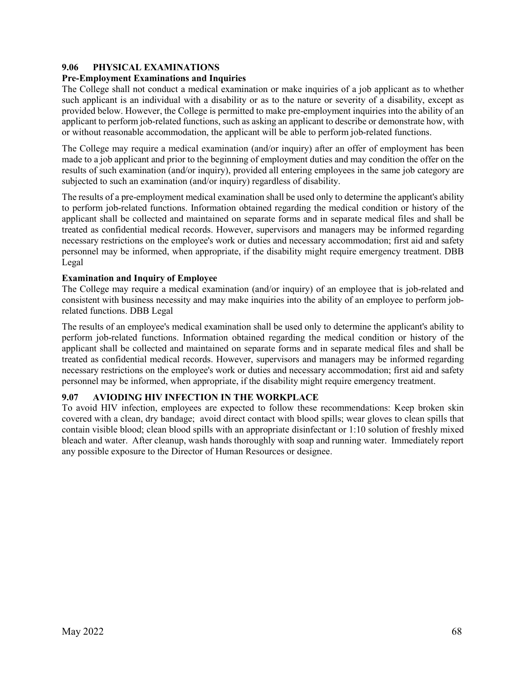# **9.06 PHYSICAL EXAMINATIONS**

## **Pre-Employment Examinations and Inquiries**

The College shall not conduct a medical examination or make inquiries of a job applicant as to whether such applicant is an individual with a disability or as to the nature or severity of a disability, except as provided below. However, the College is permitted to make pre-employment inquiries into the ability of an applicant to perform job-related functions, such as asking an applicant to describe or demonstrate how, with or without reasonable accommodation, the applicant will be able to perform job-related functions.

The College may require a medical examination (and/or inquiry) after an offer of employment has been made to a job applicant and prior to the beginning of employment duties and may condition the offer on the results of such examination (and/or inquiry), provided all entering employees in the same job category are subjected to such an examination (and/or inquiry) regardless of disability.

The results of a pre-employment medical examination shall be used only to determine the applicant's ability to perform job-related functions. Information obtained regarding the medical condition or history of the applicant shall be collected and maintained on separate forms and in separate medical files and shall be treated as confidential medical records. However, supervisors and managers may be informed regarding necessary restrictions on the employee's work or duties and necessary accommodation; first aid and safety personnel may be informed, when appropriate, if the disability might require emergency treatment. DBB Legal

# **Examination and Inquiry of Employee**

The College may require a medical examination (and/or inquiry) of an employee that is job-related and consistent with business necessity and may make inquiries into the ability of an employee to perform jobrelated functions. DBB Legal

The results of an employee's medical examination shall be used only to determine the applicant's ability to perform job-related functions. Information obtained regarding the medical condition or history of the applicant shall be collected and maintained on separate forms and in separate medical files and shall be treated as confidential medical records. However, supervisors and managers may be informed regarding necessary restrictions on the employee's work or duties and necessary accommodation; first aid and safety personnel may be informed, when appropriate, if the disability might require emergency treatment.

# **9.07 AVIODING HIV INFECTION IN THE WORKPLACE**

To avoid HIV infection, employees are expected to follow these recommendations: Keep broken skin covered with a clean, dry bandage; avoid direct contact with blood spills; wear gloves to clean spills that contain visible blood; clean blood spills with an appropriate disinfectant or 1:10 solution of freshly mixed bleach and water. After cleanup, wash hands thoroughly with soap and running water. Immediately report any possible exposure to the Director of Human Resources or designee.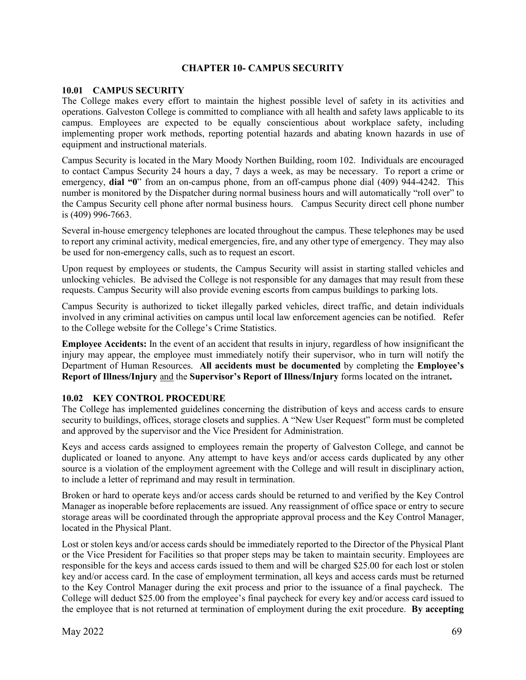#### **CHAPTER 10- CAMPUS SECURITY**

#### **10.01 CAMPUS SECURITY**

The College makes every effort to maintain the highest possible level of safety in its activities and operations. Galveston College is committed to compliance with all health and safety laws applicable to its campus. Employees are expected to be equally conscientious about workplace safety, including implementing proper work methods, reporting potential hazards and abating known hazards in use of equipment and instructional materials.

Campus Security is located in the Mary Moody Northen Building, room 102. Individuals are encouraged to contact Campus Security 24 hours a day, 7 days a week, as may be necessary. To report a crime or emergency, **dial "0**" from an on-campus phone, from an off-campus phone dial (409) 944-4242. This number is monitored by the Dispatcher during normal business hours and will automatically "roll over" to the Campus Security cell phone after normal business hours. Campus Security direct cell phone number is (409) 996-7663.

Several in-house emergency telephones are located throughout the campus. These telephones may be used to report any criminal activity, medical emergencies, fire, and any other type of emergency. They may also be used for non-emergency calls, such as to request an escort.

Upon request by employees or students, the Campus Security will assist in starting stalled vehicles and unlocking vehicles. Be advised the College is not responsible for any damages that may result from these requests. Campus Security will also provide evening escorts from campus buildings to parking lots.

Campus Security is authorized to ticket illegally parked vehicles, direct traffic, and detain individuals involved in any criminal activities on campus until local law enforcement agencies can be notified. Refer to the College website for the College's Crime Statistics.

**Employee Accidents:** In the event of an accident that results in injury, regardless of how insignificant the injury may appear, the employee must immediately notify their supervisor, who in turn will notify the Department of Human Resources. **All accidents must be documented** by completing the **Employee's Report of Illness/Injury** and the **Supervisor's Report of Illness/Injury** forms located on the intranet**.** 

#### **10.02 KEY CONTROL PROCEDURE**

The College has implemented guidelines concerning the distribution of keys and access cards to ensure security to buildings, offices, storage closets and supplies. A "New User Request" form must be completed and approved by the supervisor and the Vice President for Administration.

Keys and access cards assigned to employees remain the property of Galveston College, and cannot be duplicated or loaned to anyone. Any attempt to have keys and/or access cards duplicated by any other source is a violation of the employment agreement with the College and will result in disciplinary action, to include a letter of reprimand and may result in termination.

Broken or hard to operate keys and/or access cards should be returned to and verified by the Key Control Manager as inoperable before replacements are issued. Any reassignment of office space or entry to secure storage areas will be coordinated through the appropriate approval process and the Key Control Manager, located in the Physical Plant.

Lost or stolen keys and/or access cards should be immediately reported to the Director of the Physical Plant or the Vice President for Facilities so that proper steps may be taken to maintain security. Employees are responsible for the keys and access cards issued to them and will be charged \$25.00 for each lost or stolen key and/or access card. In the case of employment termination, all keys and access cards must be returned to the Key Control Manager during the exit process and prior to the issuance of a final paycheck. The College will deduct \$25.00 from the employee's final paycheck for every key and/or access card issued to the employee that is not returned at termination of employment during the exit procedure. **By accepting**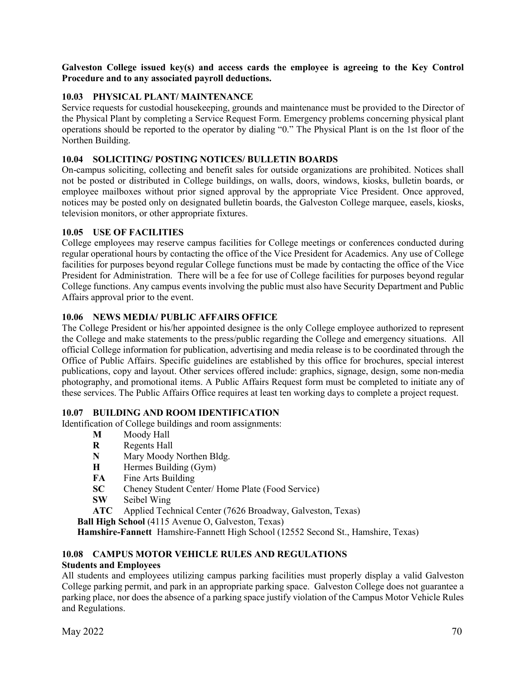**Galveston College issued key(s) and access cards the employee is agreeing to the Key Control Procedure and to any associated payroll deductions.**

#### **10.03 PHYSICAL PLANT/ MAINTENANCE**

Service requests for custodial housekeeping, grounds and maintenance must be provided to the Director of the Physical Plant by completing a Service Request Form. Emergency problems concerning physical plant operations should be reported to the operator by dialing "0." The Physical Plant is on the 1st floor of the Northen Building.

#### **10.04 SOLICITING/ POSTING NOTICES/ BULLETIN BOARDS**

On-campus soliciting, collecting and benefit sales for outside organizations are prohibited. Notices shall not be posted or distributed in College buildings, on walls, doors, windows, kiosks, bulletin boards, or employee mailboxes without prior signed approval by the appropriate Vice President. Once approved, notices may be posted only on designated bulletin boards, the Galveston College marquee, easels, kiosks, television monitors, or other appropriate fixtures.

#### **10.05 USE OF FACILITIES**

College employees may reserve campus facilities for College meetings or conferences conducted during regular operational hours by contacting the office of the Vice President for Academics. Any use of College facilities for purposes beyond regular College functions must be made by contacting the office of the Vice President for Administration. There will be a fee for use of College facilities for purposes beyond regular College functions. Any campus events involving the public must also have Security Department and Public Affairs approval prior to the event.

#### **10.06 NEWS MEDIA/ PUBLIC AFFAIRS OFFICE**

The College President or his/her appointed designee is the only College employee authorized to represent the College and make statements to the press/public regarding the College and emergency situations. All official College information for publication, advertising and media release is to be coordinated through the Office of Public Affairs. Specific guidelines are established by this office for brochures, special interest publications, copy and layout. Other services offered include: graphics, signage, design, some non-media photography, and promotional items. A Public Affairs Request form must be completed to initiate any of these services. The Public Affairs Office requires at least ten working days to complete a project request.

#### **10.07 BUILDING AND ROOM IDENTIFICATION**

Identification of College buildings and room assignments:

- **M** Moody Hall<br>**R** Regents Hall
- **R** Regents Hall
- **N** Mary Moody Northen Bldg.
- **H** Hermes Building (Gym)
- **FA** Fine Arts Building
- **SC** Cheney Student Center/ Home Plate (Food Service)
- **SW** Seibel Wing

**ATC** Applied Technical Center (7626 Broadway, Galveston, Texas)

**Ball High School** (4115 Avenue O, Galveston, Texas)

**Hamshire-Fannett** Hamshire-Fannett High School (12552 Second St., Hamshire, Texas)

#### **10.08 CAMPUS MOTOR VEHICLE RULES AND REGULATIONS**

#### **Students and Employees**

All students and employees utilizing campus parking facilities must properly display a valid Galveston College parking permit, and park in an appropriate parking space. Galveston College does not guarantee a parking place, nor does the absence of a parking space justify violation of the Campus Motor Vehicle Rules and Regulations.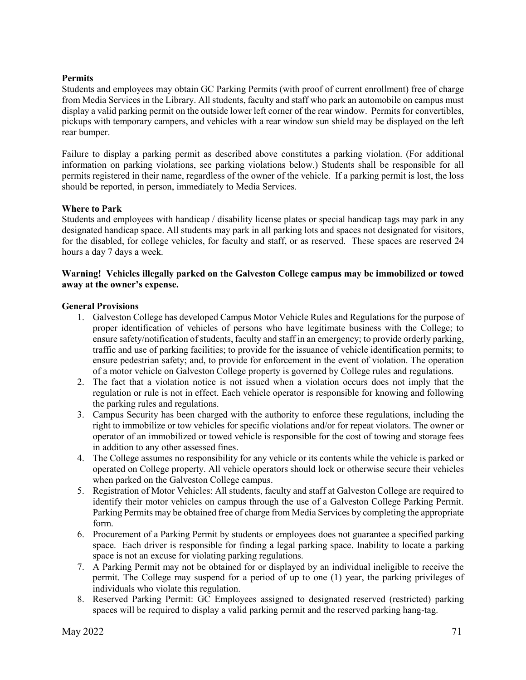#### **Permits**

Students and employees may obtain GC Parking Permits (with proof of current enrollment) free of charge from Media Services in the Library. All students, faculty and staff who park an automobile on campus must display a valid parking permit on the outside lower left corner of the rear window. Permits for convertibles, pickups with temporary campers, and vehicles with a rear window sun shield may be displayed on the left rear bumper.

Failure to display a parking permit as described above constitutes a parking violation. (For additional information on parking violations, see parking violations below.) Students shall be responsible for all permits registered in their name, regardless of the owner of the vehicle. If a parking permit is lost, the loss should be reported, in person, immediately to Media Services.

#### **Where to Park**

Students and employees with handicap / disability license plates or special handicap tags may park in any designated handicap space. All students may park in all parking lots and spaces not designated for visitors, for the disabled, for college vehicles, for faculty and staff, or as reserved. These spaces are reserved 24 hours a day 7 days a week.

#### **Warning! Vehicles illegally parked on the Galveston College campus may be immobilized or towed away at the owner's expense.**

#### **General Provisions**

- 1. Galveston College has developed Campus Motor Vehicle Rules and Regulations for the purpose of proper identification of vehicles of persons who have legitimate business with the College; to ensure safety/notification of students, faculty and staff in an emergency; to provide orderly parking, traffic and use of parking facilities; to provide for the issuance of vehicle identification permits; to ensure pedestrian safety; and, to provide for enforcement in the event of violation. The operation of a motor vehicle on Galveston College property is governed by College rules and regulations.
- 2. The fact that a violation notice is not issued when a violation occurs does not imply that the regulation or rule is not in effect. Each vehicle operator is responsible for knowing and following the parking rules and regulations.
- 3. Campus Security has been charged with the authority to enforce these regulations, including the right to immobilize or tow vehicles for specific violations and/or for repeat violators. The owner or operator of an immobilized or towed vehicle is responsible for the cost of towing and storage fees in addition to any other assessed fines.
- 4. The College assumes no responsibility for any vehicle or its contents while the vehicle is parked or operated on College property. All vehicle operators should lock or otherwise secure their vehicles when parked on the Galveston College campus.
- 5. Registration of Motor Vehicles: All students, faculty and staff at Galveston College are required to identify their motor vehicles on campus through the use of a Galveston College Parking Permit. Parking Permits may be obtained free of charge from Media Services by completing the appropriate form.
- 6. Procurement of a Parking Permit by students or employees does not guarantee a specified parking space. Each driver is responsible for finding a legal parking space. Inability to locate a parking space is not an excuse for violating parking regulations.
- 7. A Parking Permit may not be obtained for or displayed by an individual ineligible to receive the permit. The College may suspend for a period of up to one (1) year, the parking privileges of individuals who violate this regulation.
- 8. Reserved Parking Permit: GC Employees assigned to designated reserved (restricted) parking spaces will be required to display a valid parking permit and the reserved parking hang-tag.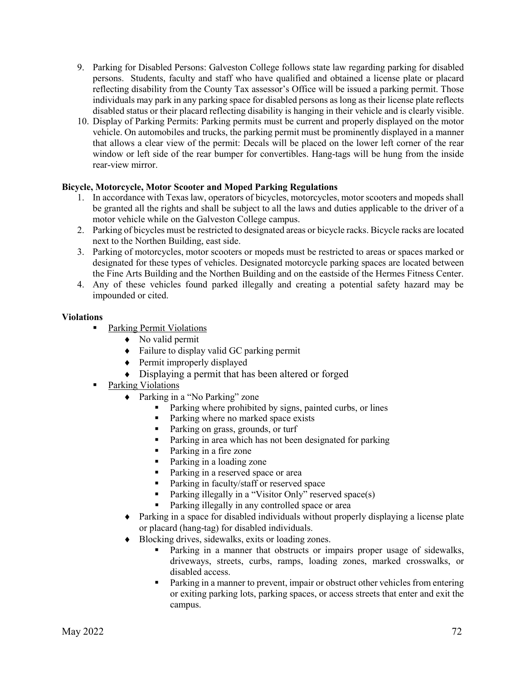- 9. Parking for Disabled Persons: Galveston College follows state law regarding parking for disabled persons. Students, faculty and staff who have qualified and obtained a license plate or placard reflecting disability from the County Tax assessor's Office will be issued a parking permit. Those individuals may park in any parking space for disabled persons as long as their license plate reflects disabled status or their placard reflecting disability is hanging in their vehicle and is clearly visible.
- 10. Display of Parking Permits: Parking permits must be current and properly displayed on the motor vehicle. On automobiles and trucks, the parking permit must be prominently displayed in a manner that allows a clear view of the permit: Decals will be placed on the lower left corner of the rear window or left side of the rear bumper for convertibles. Hang-tags will be hung from the inside rear-view mirror.

#### **Bicycle, Motorcycle, Motor Scooter and Moped Parking Regulations**

- 1. In accordance with Texas law, operators of bicycles, motorcycles, motor scooters and mopeds shall be granted all the rights and shall be subject to all the laws and duties applicable to the driver of a motor vehicle while on the Galveston College campus.
- 2. Parking of bicycles must be restricted to designated areas or bicycle racks. Bicycle racks are located next to the Northen Building, east side.
- 3. Parking of motorcycles, motor scooters or mopeds must be restricted to areas or spaces marked or designated for these types of vehicles. Designated motorcycle parking spaces are located between the Fine Arts Building and the Northen Building and on the eastside of the Hermes Fitness Center.
- 4. Any of these vehicles found parked illegally and creating a potential safety hazard may be impounded or cited.

#### **Violations**

- Parking Permit Violations
	- ♦ No valid permit
	- ♦ Failure to display valid GC parking permit
	- ♦ Permit improperly displayed
	- ♦ Displaying a permit that has been altered or forged
- Parking Violations
	- ♦ Parking in a "No Parking" zone
		- Parking where prohibited by signs, painted curbs, or lines
		- Parking where no marked space exists
		- Parking on grass, grounds, or turf
		- Parking in area which has not been designated for parking
		- Parking in a fire zone
		- Parking in a loading zone
		- Parking in a reserved space or area
		- **Parking in faculty/staff or reserved space**
		- Parking illegally in a "Visitor Only" reserved space(s)
		- **Parking illegally in any controlled space or area**
	- ♦ Parking in a space for disabled individuals without properly displaying a license plate or placard (hang-tag) for disabled individuals.
	- ♦ Blocking drives, sidewalks, exits or loading zones.
		- Parking in a manner that obstructs or impairs proper usage of sidewalks, driveways, streets, curbs, ramps, loading zones, marked crosswalks, or disabled access.
		- **Parking in a manner to prevent, impair or obstruct other vehicles from entering** or exiting parking lots, parking spaces, or access streets that enter and exit the campus.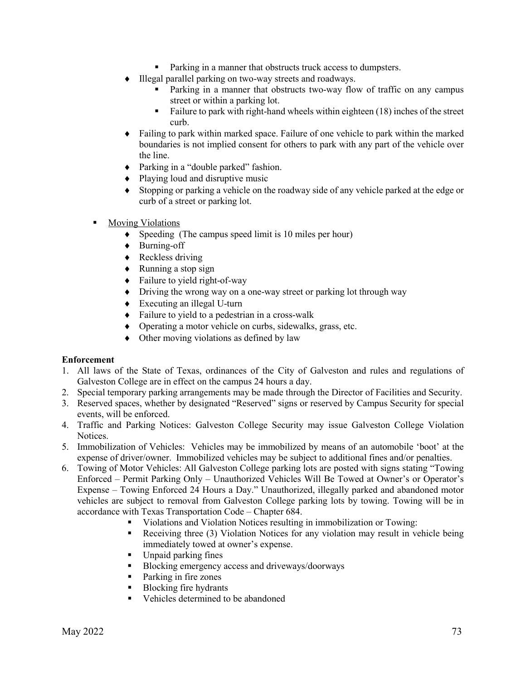- **Parking in a manner that obstructs truck access to dumpsters.**
- ♦ Illegal parallel parking on two-way streets and roadways.
	- Parking in a manner that obstructs two-way flow of traffic on any campus street or within a parking lot.
	- Failure to park with right-hand wheels within eighteen  $(18)$  inches of the street curb.
- ♦ Failing to park within marked space. Failure of one vehicle to park within the marked boundaries is not implied consent for others to park with any part of the vehicle over the line.
- ♦ Parking in a "double parked" fashion.
- ♦ Playing loud and disruptive music
- ♦ Stopping or parking a vehicle on the roadway side of any vehicle parked at the edge or curb of a street or parking lot.
- **Moving Violations** 
	- ♦ Speeding (The campus speed limit is 10 miles per hour)
	- ♦ Burning-off
	- ♦ Reckless driving
	- ♦ Running a stop sign
	- ♦ Failure to yield right-of-way
	- ♦ Driving the wrong way on a one-way street or parking lot through way
	- ♦ Executing an illegal U-turn
	- ♦ Failure to yield to a pedestrian in a cross-walk
	- ♦ Operating a motor vehicle on curbs, sidewalks, grass, etc.
	- ♦ Other moving violations as defined by law

#### **Enforcement**

- 1. All laws of the State of Texas, ordinances of the City of Galveston and rules and regulations of Galveston College are in effect on the campus 24 hours a day.
- 2. Special temporary parking arrangements may be made through the Director of Facilities and Security.
- 3. Reserved spaces, whether by designated "Reserved" signs or reserved by Campus Security for special events, will be enforced.
- 4. Traffic and Parking Notices: Galveston College Security may issue Galveston College Violation Notices.
- 5. Immobilization of Vehicles: Vehicles may be immobilized by means of an automobile 'boot' at the expense of driver/owner. Immobilized vehicles may be subject to additional fines and/or penalties.
- 6. Towing of Motor Vehicles: All Galveston College parking lots are posted with signs stating "Towing Enforced – Permit Parking Only – Unauthorized Vehicles Will Be Towed at Owner's or Operator's Expense – Towing Enforced 24 Hours a Day." Unauthorized, illegally parked and abandoned motor vehicles are subject to removal from Galveston College parking lots by towing. Towing will be in accordance with Texas Transportation Code – Chapter 684.
	- Violations and Violation Notices resulting in immobilization or Towing:
	- Receiving three (3) Violation Notices for any violation may result in vehicle being immediately towed at owner's expense.
	- Unpaid parking fines
	- Blocking emergency access and driveways/doorways
	- Parking in fire zones
	- Blocking fire hydrants
	- Vehicles determined to be abandoned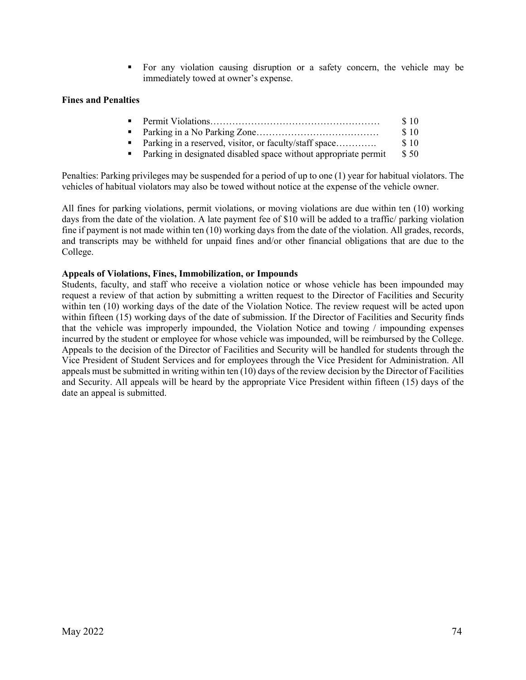For any violation causing disruption or a safety concern, the vehicle may be immediately towed at owner's expense.

#### **Fines and Penalties**

|                                                                   | \$10 |
|-------------------------------------------------------------------|------|
|                                                                   | \$10 |
| • Parking in a reserved, visitor, or faculty/staff space          | \$10 |
| • Parking in designated disabled space without appropriate permit | \$50 |
|                                                                   |      |

Penalties: Parking privileges may be suspended for a period of up to one (1) year for habitual violators. The vehicles of habitual violators may also be towed without notice at the expense of the vehicle owner.

All fines for parking violations, permit violations, or moving violations are due within ten (10) working days from the date of the violation. A late payment fee of \$10 will be added to a traffic/ parking violation fine if payment is not made within ten (10) working days from the date of the violation. All grades, records, and transcripts may be withheld for unpaid fines and/or other financial obligations that are due to the College.

#### **Appeals of Violations, Fines, Immobilization, or Impounds**

Students, faculty, and staff who receive a violation notice or whose vehicle has been impounded may request a review of that action by submitting a written request to the Director of Facilities and Security within ten (10) working days of the date of the Violation Notice. The review request will be acted upon within fifteen (15) working days of the date of submission. If the Director of Facilities and Security finds that the vehicle was improperly impounded, the Violation Notice and towing / impounding expenses incurred by the student or employee for whose vehicle was impounded, will be reimbursed by the College. Appeals to the decision of the Director of Facilities and Security will be handled for students through the Vice President of Student Services and for employees through the Vice President for Administration. All appeals must be submitted in writing within ten (10) days of the review decision by the Director of Facilities and Security. All appeals will be heard by the appropriate Vice President within fifteen (15) days of the date an appeal is submitted.